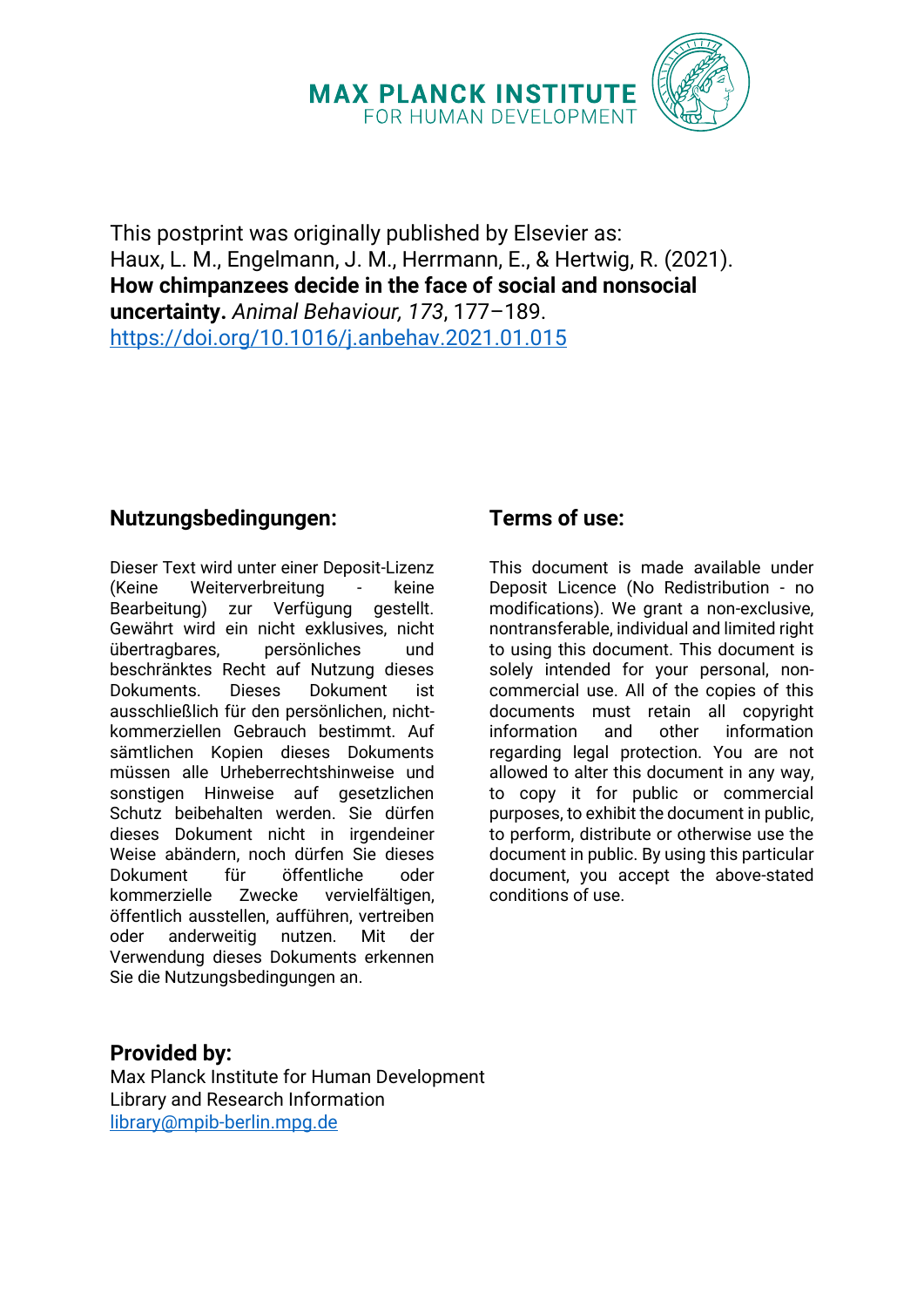# **MAX PLANCK INSTITUTE** FOR HUMAN DEVELOPMENT



This postprint was originally published by Elsevier as: Haux, L. M., Engelmann, J. M., Herrmann, E., & Hertwig, R. (2021). **How chimpanzees decide in the face of social and nonsocial uncertainty.** *Animal Behaviour, 173*, 177–189. <https://doi.org/10.1016/j.anbehav.2021.01.015>

## **Nutzungsbedingungen:**

Dieser Text wird unter einer Deposit-Lizenz (Keine Weiterverbreitung - keine Bearbeitung) zur Verfügung gestellt. Gewährt wird ein nicht exklusives, nicht übertragbares, persönliches und beschränktes Recht auf Nutzung dieses<br>Dokuments. Dieses Dokument ist Dokuments. Dieses Dokument ist ausschließlich für den persönlichen, nichtkommerziellen Gebrauch bestimmt. Auf sämtlichen Kopien dieses Dokuments müssen alle Urheberrechtshinweise und sonstigen Hinweise auf gesetzlichen Schutz beibehalten werden. Sie dürfen dieses Dokument nicht in irgendeiner Weise abändern, noch dürfen Sie dieses Dokument für öffentliche oder kommerzielle Zwecke vervielfältigen, öffentlich ausstellen, aufführen, vertreiben oder anderweitig nutzen. Mit der Verwendung dieses Dokuments erkennen Sie die Nutzungsbedingungen an.

## **Terms of use:**

This document is made available under Deposit Licence (No Redistribution - no modifications). We grant a non-exclusive, nontransferable, individual and limited right to using this document. This document is solely intended for your personal, noncommercial use. All of the copies of this documents must retain all copyright information and other information regarding legal protection. You are not allowed to alter this document in any way, to copy it for public or commercial purposes, to exhibit the document in public, to perform, distribute or otherwise use the document in public. By using this particular document, you accept the above-stated conditions of use.

## **Provided by:**

Max Planck Institute for Human Development Library and Research Information [library@mpib-berlin.mpg.de](mailto:library@mpib-berlin.mpg.de)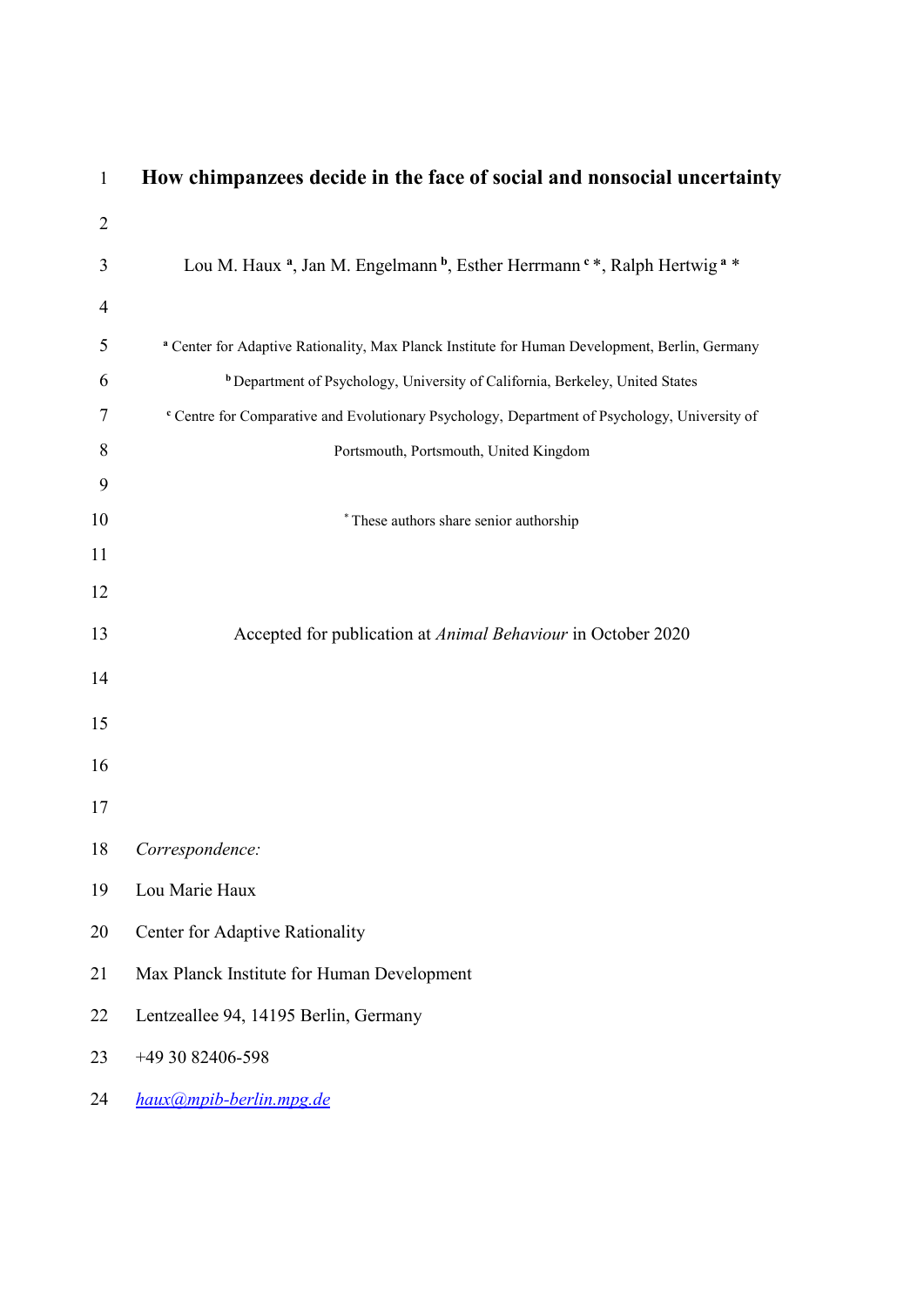| 1  | How chimpanzees decide in the face of social and nonsocial uncertainty                                                  |
|----|-------------------------------------------------------------------------------------------------------------------------|
| 2  |                                                                                                                         |
| 3  | Lou M. Haux <sup>a</sup> , Jan M. Engelmann <sup>b</sup> , Esther Herrmann <sup>c</sup> *, Ralph Hertwig <sup>a</sup> * |
| 4  |                                                                                                                         |
| 5  | a Center for Adaptive Rationality, Max Planck Institute for Human Development, Berlin, Germany                          |
| 6  | <sup>b</sup> Department of Psychology, University of California, Berkeley, United States                                |
| 7  | <sup>c</sup> Centre for Comparative and Evolutionary Psychology, Department of Psychology, University of                |
| 8  | Portsmouth, Portsmouth, United Kingdom                                                                                  |
| 9  |                                                                                                                         |
| 10 | * These authors share senior authorship                                                                                 |
| 11 |                                                                                                                         |
| 12 |                                                                                                                         |
| 13 | Accepted for publication at Animal Behaviour in October 2020                                                            |
| 14 |                                                                                                                         |
| 15 |                                                                                                                         |
| 16 |                                                                                                                         |
| 17 |                                                                                                                         |
| 18 | Correspondence:                                                                                                         |
| 19 | Lou Marie Haux                                                                                                          |
| 20 | Center for Adaptive Rationality                                                                                         |
| 21 | Max Planck Institute for Human Development                                                                              |
| 22 | Lentzeallee 94, 14195 Berlin, Germany                                                                                   |
| 23 | +49 30 82406-598                                                                                                        |
| 24 | haux@mpib-berlin.mpg.de                                                                                                 |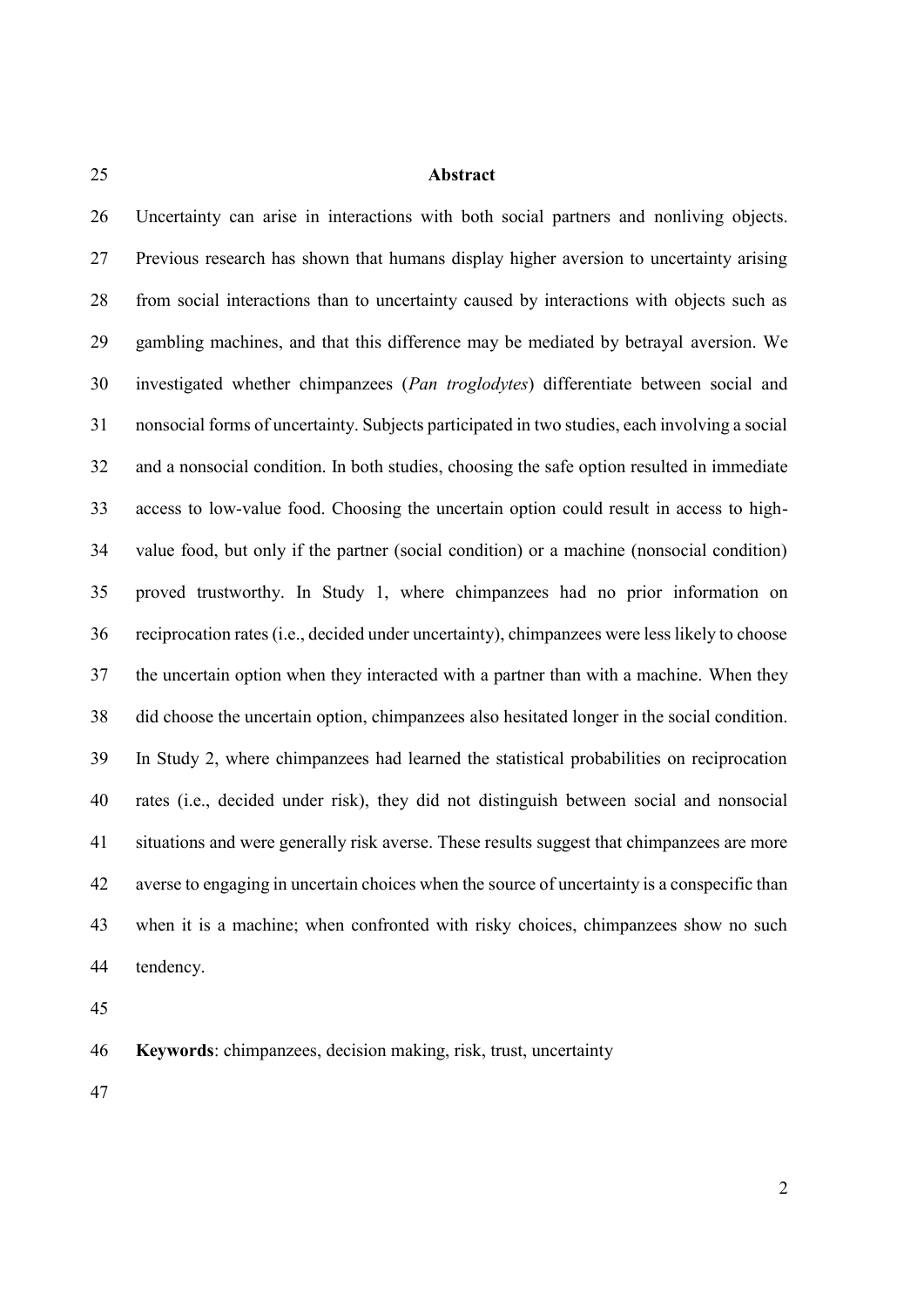### **Abstract**

 Uncertainty can arise in interactions with both social partners and nonliving objects. Previous research has shown that humans display higher aversion to uncertainty arising from social interactions than to uncertainty caused by interactions with objects such as gambling machines, and that this difference may be mediated by betrayal aversion. We investigated whether chimpanzees (*Pan troglodytes*) differentiate between social and nonsocial forms of uncertainty. Subjects participated in two studies, each involving a social and a nonsocial condition. In both studies, choosing the safe option resulted in immediate access to low-value food. Choosing the uncertain option could result in access to high- value food, but only if the partner (social condition) or a machine (nonsocial condition) proved trustworthy. In Study 1, where chimpanzees had no prior information on reciprocation rates (i.e., decided under uncertainty), chimpanzees were less likely to choose the uncertain option when they interacted with a partner than with a machine. When they did choose the uncertain option, chimpanzees also hesitated longer in the social condition. In Study 2, where chimpanzees had learned the statistical probabilities on reciprocation rates (i.e., decided under risk), they did not distinguish between social and nonsocial situations and were generally risk averse. These results suggest that chimpanzees are more averse to engaging in uncertain choices when the source of uncertainty is a conspecific than when it is a machine; when confronted with risky choices, chimpanzees show no such tendency.

**Keywords**: chimpanzees, decision making, risk, trust, uncertainty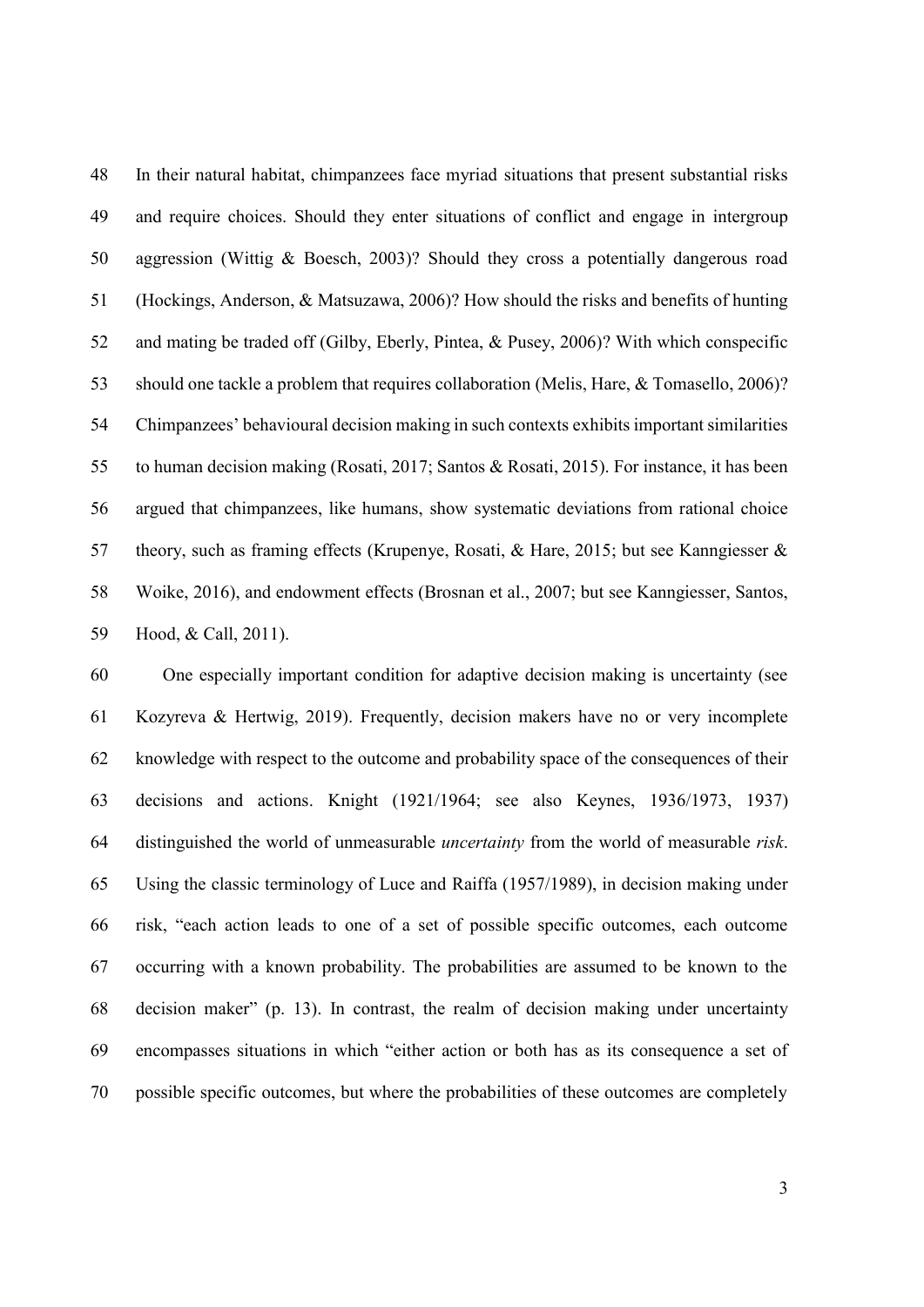In their natural habitat, chimpanzees face myriad situations that present substantial risks and require choices. Should they enter situations of conflict and engage in intergroup aggression (Wittig & Boesch, 2003)? Should they cross a potentially dangerous road (Hockings, Anderson, & Matsuzawa, 2006)? How should the risks and benefits of hunting and mating be traded off (Gilby, Eberly, Pintea, & Pusey, 2006)? With which conspecific should one tackle a problem that requires collaboration (Melis, Hare, & Tomasello, 2006)? Chimpanzees' behavioural decision making in such contexts exhibits important similarities to human decision making (Rosati, 2017; Santos & Rosati, 2015). For instance, it has been argued that chimpanzees, like humans, show systematic deviations from rational choice theory, such as framing effects (Krupenye, Rosati, & Hare, 2015; but see Kanngiesser & Woike, 2016), and endowment effects (Brosnan et al., 2007; but see Kanngiesser, Santos, Hood, & Call, 2011).

 One especially important condition for adaptive decision making is uncertainty (see Kozyreva & Hertwig, 2019). Frequently, decision makers have no or very incomplete knowledge with respect to the outcome and probability space of the consequences of their decisions and actions. Knight (1921/1964; see also Keynes, 1936/1973, 1937) distinguished the world of unmeasurable *uncertainty* from the world of measurable *risk*. Using the classic terminology of Luce and Raiffa (1957/1989), in decision making under risk, "each action leads to one of a set of possible specific outcomes, each outcome occurring with a known probability. The probabilities are assumed to be known to the decision maker" (p. 13). In contrast, the realm of decision making under uncertainty encompasses situations in which "either action or both has as its consequence a set of possible specific outcomes, but where the probabilities of these outcomes are completely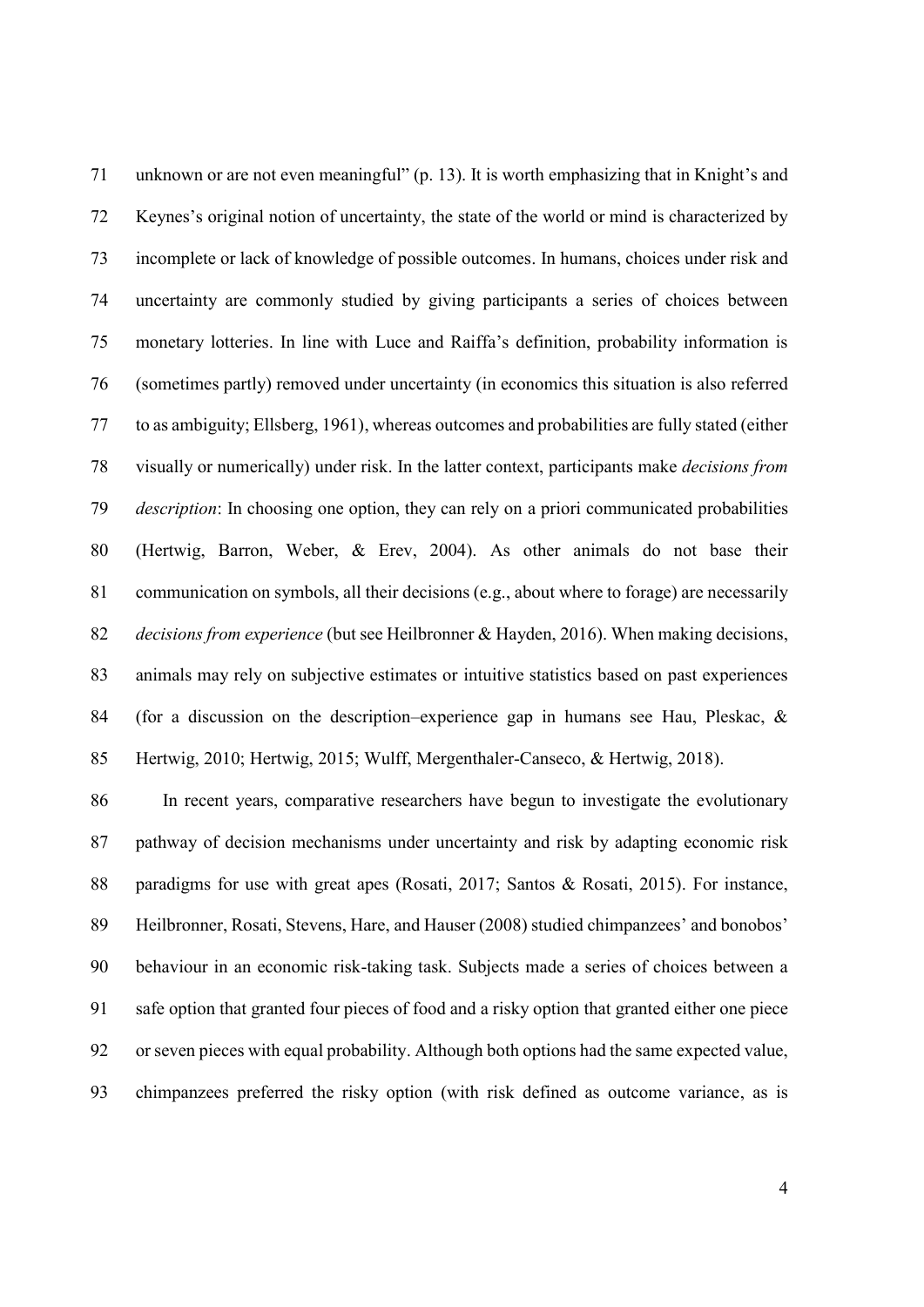unknown or are not even meaningful" (p. 13). It is worth emphasizing that in Knight's and Keynes's original notion of uncertainty, the state of the world or mind is characterized by incomplete or lack of knowledge of possible outcomes. In humans, choices under risk and uncertainty are commonly studied by giving participants a series of choices between monetary lotteries. In line with Luce and Raiffa's definition, probability information is (sometimes partly) removed under uncertainty (in economics this situation is also referred to as ambiguity; Ellsberg, 1961), whereas outcomes and probabilities are fully stated (either visually or numerically) under risk. In the latter context, participants make *decisions from description*: In choosing one option, they can rely on a priori communicated probabilities (Hertwig, Barron, Weber, & Erev, 2004). As other animals do not base their communication on symbols, all their decisions (e.g., about where to forage) are necessarily *decisions from experience* (but see Heilbronner & Hayden, 2016). When making decisions, animals may rely on subjective estimates or intuitive statistics based on past experiences (for a discussion on the description–experience gap in humans see Hau, Pleskac, & Hertwig, 2010; Hertwig, 2015; Wulff, Mergenthaler-Canseco, & Hertwig, 2018).

 In recent years, comparative researchers have begun to investigate the evolutionary pathway of decision mechanisms under uncertainty and risk by adapting economic risk paradigms for use with great apes (Rosati, 2017; Santos & Rosati, 2015). For instance, Heilbronner, Rosati, Stevens, Hare, and Hauser (2008) studied chimpanzees' and bonobos' behaviour in an economic risk-taking task. Subjects made a series of choices between a safe option that granted four pieces of food and a risky option that granted either one piece or seven pieces with equal probability. Although both options had the same expected value, chimpanzees preferred the risky option (with risk defined as outcome variance, as is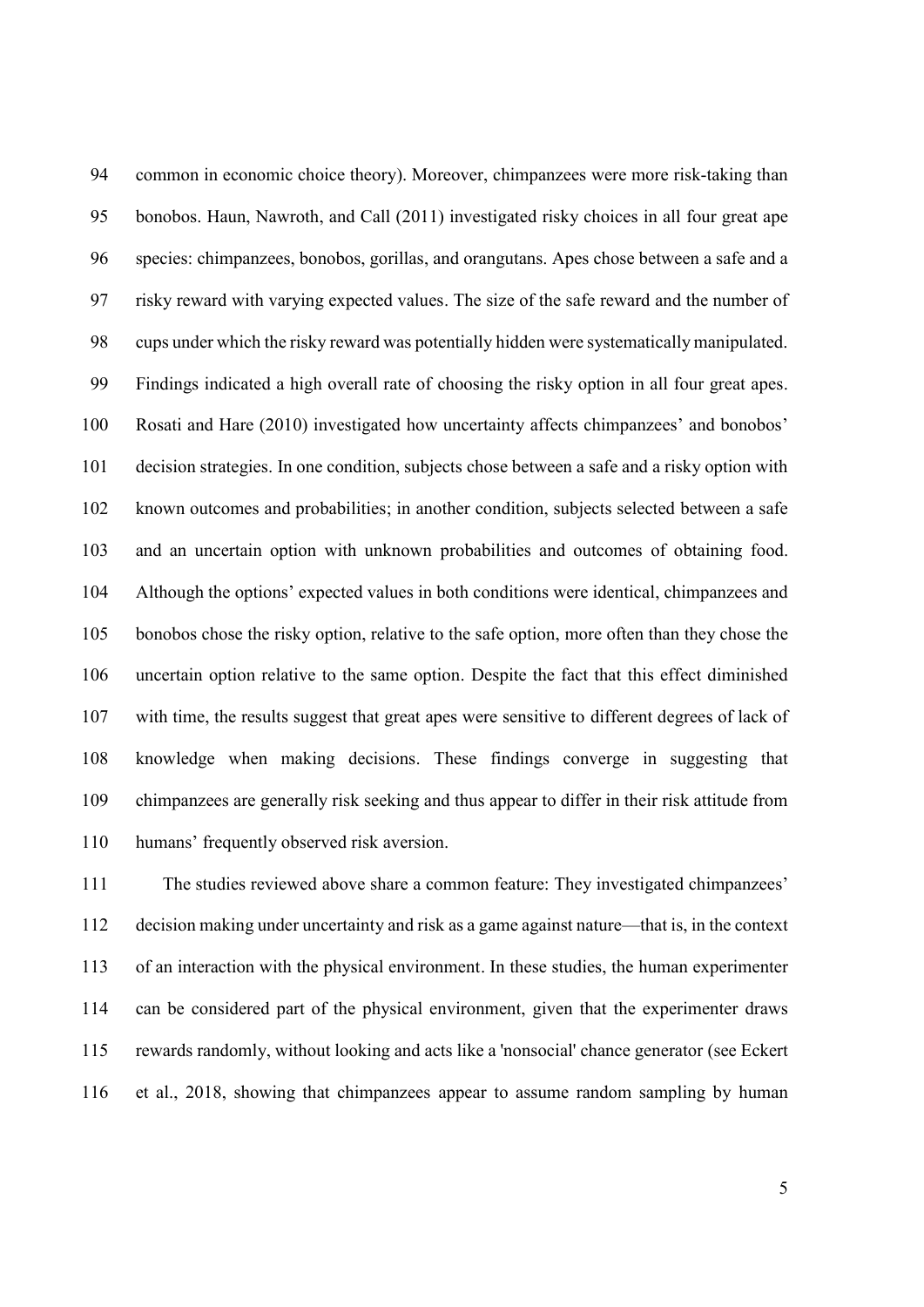common in economic choice theory). Moreover, chimpanzees were more risk-taking than bonobos. Haun, Nawroth, and Call (2011) investigated risky choices in all four great ape species: chimpanzees, bonobos, gorillas, and orangutans. Apes chose between a safe and a risky reward with varying expected values. The size of the safe reward and the number of cups under which the risky reward was potentially hidden were systematically manipulated. Findings indicated a high overall rate of choosing the risky option in all four great apes. Rosati and Hare (2010) investigated how uncertainty affects chimpanzees' and bonobos' decision strategies. In one condition, subjects chose between a safe and a risky option with known outcomes and probabilities; in another condition, subjects selected between a safe and an uncertain option with unknown probabilities and outcomes of obtaining food. Although the options' expected values in both conditions were identical, chimpanzees and bonobos chose the risky option, relative to the safe option, more often than they chose the uncertain option relative to the same option. Despite the fact that this effect diminished with time, the results suggest that great apes were sensitive to different degrees of lack of knowledge when making decisions. These findings converge in suggesting that chimpanzees are generally risk seeking and thus appear to differ in their risk attitude from humans' frequently observed risk aversion.

 The studies reviewed above share a common feature: They investigated chimpanzees' decision making under uncertainty and risk as a game against nature—that is, in the context of an interaction with the physical environment. In these studies, the human experimenter can be considered part of the physical environment, given that the experimenter draws rewards randomly, without looking and acts like a 'nonsocial' chance generator (see Eckert et al., 2018, showing that chimpanzees appear to assume random sampling by human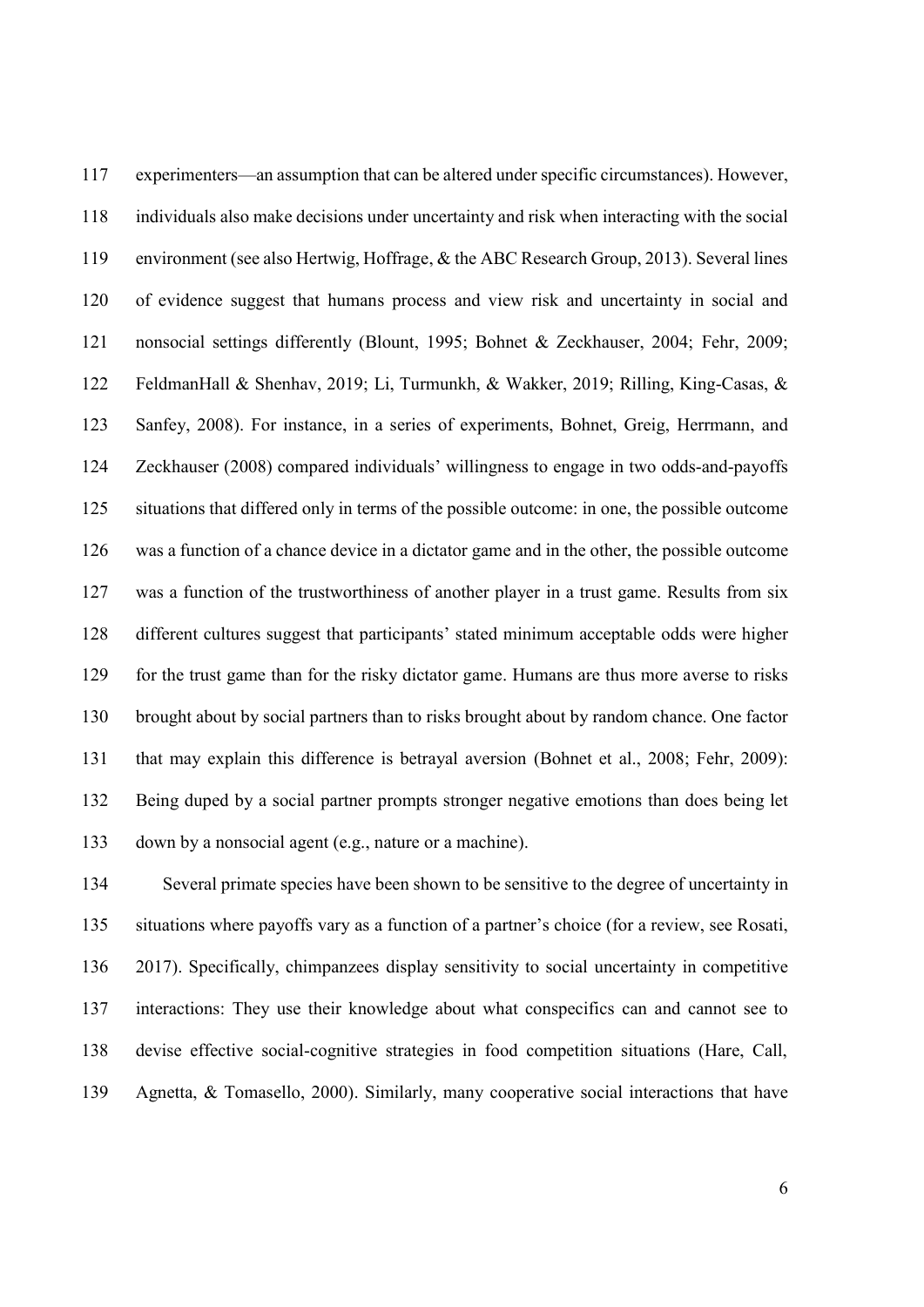experimenters—an assumption that can be altered under specific circumstances). However, individuals also make decisions under uncertainty and risk when interacting with the social environment (see also Hertwig, Hoffrage, & the ABC Research Group, 2013). Several lines of evidence suggest that humans process and view risk and uncertainty in social and nonsocial settings differently (Blount, 1995; Bohnet & Zeckhauser, 2004; Fehr, 2009; FeldmanHall & Shenhav, 2019; Li, Turmunkh, & Wakker, 2019; Rilling, King-Casas, & Sanfey, 2008). For instance, in a series of experiments, Bohnet, Greig, Herrmann, and Zeckhauser (2008) compared individuals' willingness to engage in two odds-and-payoffs situations that differed only in terms of the possible outcome: in one, the possible outcome was a function of a chance device in a dictator game and in the other, the possible outcome was a function of the trustworthiness of another player in a trust game. Results from six different cultures suggest that participants' stated minimum acceptable odds were higher for the trust game than for the risky dictator game. Humans are thus more averse to risks brought about by social partners than to risks brought about by random chance. One factor that may explain this difference is betrayal aversion (Bohnet et al., 2008; Fehr, 2009): Being duped by a social partner prompts stronger negative emotions than does being let down by a nonsocial agent (e.g., nature or a machine).

 Several primate species have been shown to be sensitive to the degree of uncertainty in situations where payoffs vary as a function of a partner's choice (for a review, see Rosati, 2017). Specifically, chimpanzees display sensitivity to social uncertainty in competitive interactions: They use their knowledge about what conspecifics can and cannot see to devise effective social-cognitive strategies in food competition situations (Hare, Call, Agnetta, & Tomasello, 2000). Similarly, many cooperative social interactions that have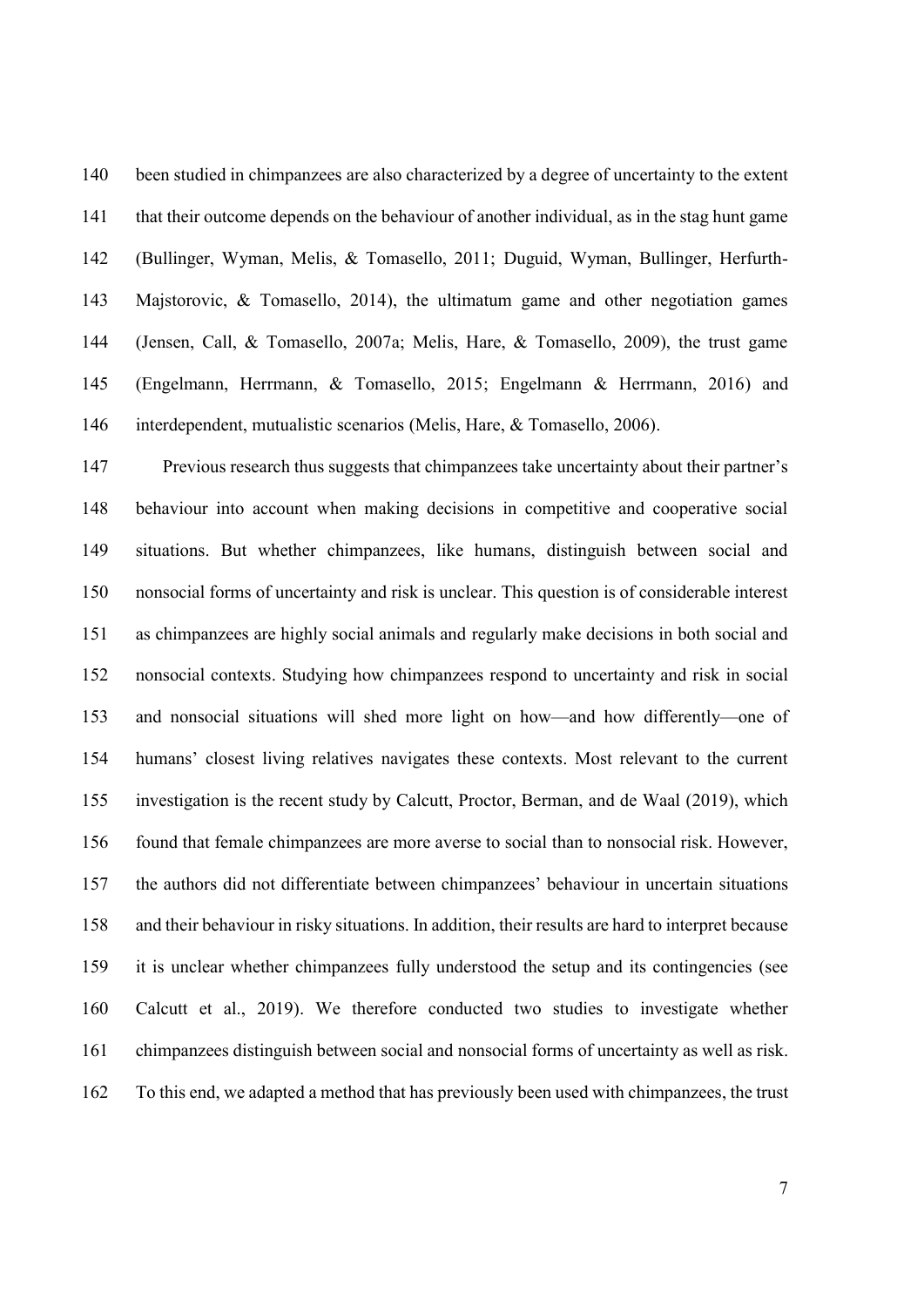been studied in chimpanzees are also characterized by a degree of uncertainty to the extent that their outcome depends on the behaviour of another individual, as in the stag hunt game (Bullinger, Wyman, Melis, & Tomasello, 2011; Duguid, Wyman, Bullinger, Herfurth- Majstorovic, & Tomasello, 2014), the ultimatum game and other negotiation games (Jensen, Call, & Tomasello, 2007a; Melis, Hare, & Tomasello, 2009), the trust game (Engelmann, Herrmann, & Tomasello, 2015; Engelmann & Herrmann, 2016) and interdependent, mutualistic scenarios (Melis, Hare, & Tomasello, 2006).

 Previous research thus suggests that chimpanzees take uncertainty about their partner's behaviour into account when making decisions in competitive and cooperative social situations. But whether chimpanzees, like humans, distinguish between social and nonsocial forms of uncertainty and risk is unclear. This question is of considerable interest as chimpanzees are highly social animals and regularly make decisions in both social and nonsocial contexts. Studying how chimpanzees respond to uncertainty and risk in social and nonsocial situations will shed more light on how—and how differently—one of humans' closest living relatives navigates these contexts. Most relevant to the current investigation is the recent study by Calcutt, Proctor, Berman, and de Waal (2019), which found that female chimpanzees are more averse to social than to nonsocial risk. However, the authors did not differentiate between chimpanzees' behaviour in uncertain situations and their behaviour in risky situations. In addition, their results are hard to interpret because it is unclear whether chimpanzees fully understood the setup and its contingencies (see Calcutt et al., 2019). We therefore conducted two studies to investigate whether chimpanzees distinguish between social and nonsocial forms of uncertainty as well as risk. To this end, we adapted a method that has previously been used with chimpanzees, the trust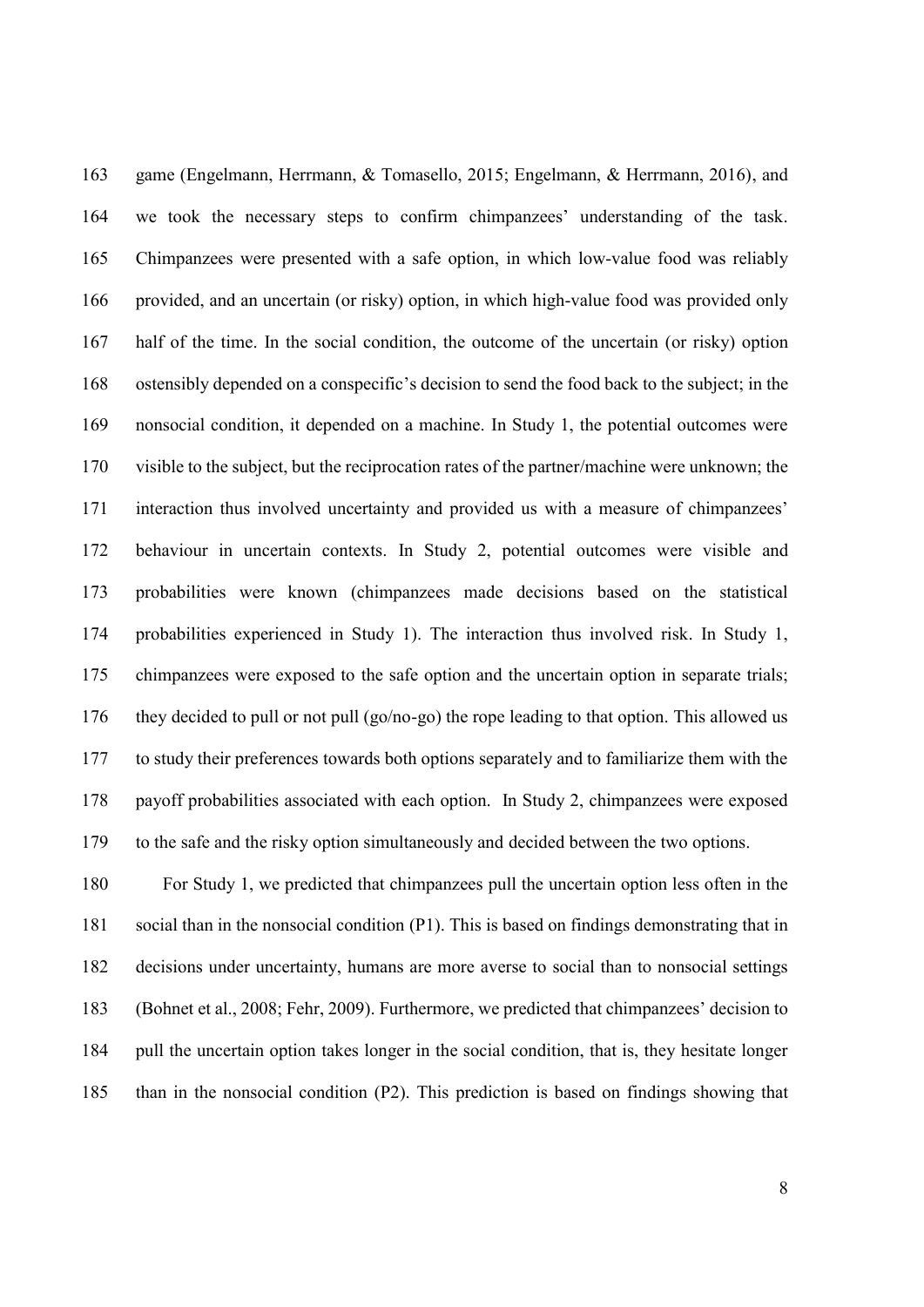game (Engelmann, Herrmann, & Tomasello, 2015; Engelmann, & Herrmann, 2016), and we took the necessary steps to confirm chimpanzees' understanding of the task. Chimpanzees were presented with a safe option, in which low-value food was reliably provided, and an uncertain (or risky) option, in which high-value food was provided only half of the time. In the social condition, the outcome of the uncertain (or risky) option ostensibly depended on a conspecific's decision to send the food back to the subject; in the nonsocial condition, it depended on a machine. In Study 1, the potential outcomes were visible to the subject, but the reciprocation rates of the partner/machine were unknown; the interaction thus involved uncertainty and provided us with a measure of chimpanzees' behaviour in uncertain contexts. In Study 2, potential outcomes were visible and probabilities were known (chimpanzees made decisions based on the statistical probabilities experienced in Study 1). The interaction thus involved risk. In Study 1, chimpanzees were exposed to the safe option and the uncertain option in separate trials; they decided to pull or not pull (go/no-go) the rope leading to that option. This allowed us to study their preferences towards both options separately and to familiarize them with the payoff probabilities associated with each option. In Study 2, chimpanzees were exposed to the safe and the risky option simultaneously and decided between the two options.

 For Study 1, we predicted that chimpanzees pull the uncertain option less often in the social than in the nonsocial condition (P1). This is based on findings demonstrating that in decisions under uncertainty, humans are more averse to social than to nonsocial settings (Bohnet et al., 2008; Fehr, 2009). Furthermore, we predicted that chimpanzees' decision to pull the uncertain option takes longer in the social condition, that is, they hesitate longer than in the nonsocial condition (P2). This prediction is based on findings showing that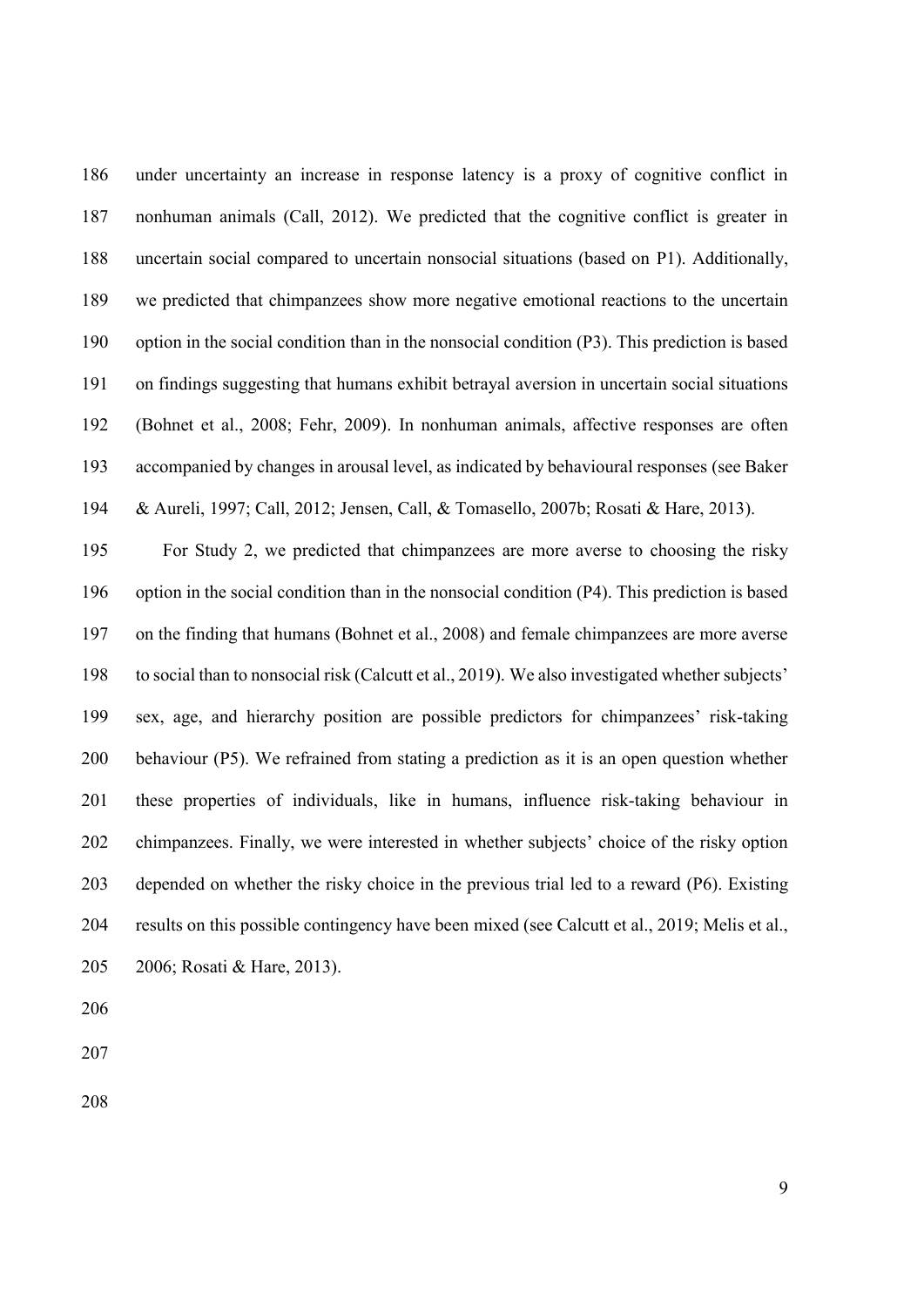under uncertainty an increase in response latency is a proxy of cognitive conflict in nonhuman animals (Call, 2012). We predicted that the cognitive conflict is greater in uncertain social compared to uncertain nonsocial situations (based on P1). Additionally, we predicted that chimpanzees show more negative emotional reactions to the uncertain option in the social condition than in the nonsocial condition (P3). This prediction is based on findings suggesting that humans exhibit betrayal aversion in uncertain social situations (Bohnet et al., 2008; Fehr, 2009). In nonhuman animals, affective responses are often accompanied by changes in arousal level, as indicated by behavioural responses (see Baker & Aureli, 1997; Call, 2012; Jensen, Call, & Tomasello, 2007b; Rosati & Hare, 2013).

 For Study 2, we predicted that chimpanzees are more averse to choosing the risky option in the social condition than in the nonsocial condition (P4). This prediction is based on the finding that humans (Bohnet et al., 2008) and female chimpanzees are more averse to social than to nonsocial risk (Calcutt et al., 2019). We also investigated whether subjects' sex, age, and hierarchy position are possible predictors for chimpanzees' risk-taking behaviour (P5). We refrained from stating a prediction as it is an open question whether these properties of individuals, like in humans, influence risk-taking behaviour in chimpanzees. Finally, we were interested in whether subjects' choice of the risky option depended on whether the risky choice in the previous trial led to a reward (P6). Existing results on this possible contingency have been mixed (see Calcutt et al., 2019; Melis et al., 2006; Rosati & Hare, 2013).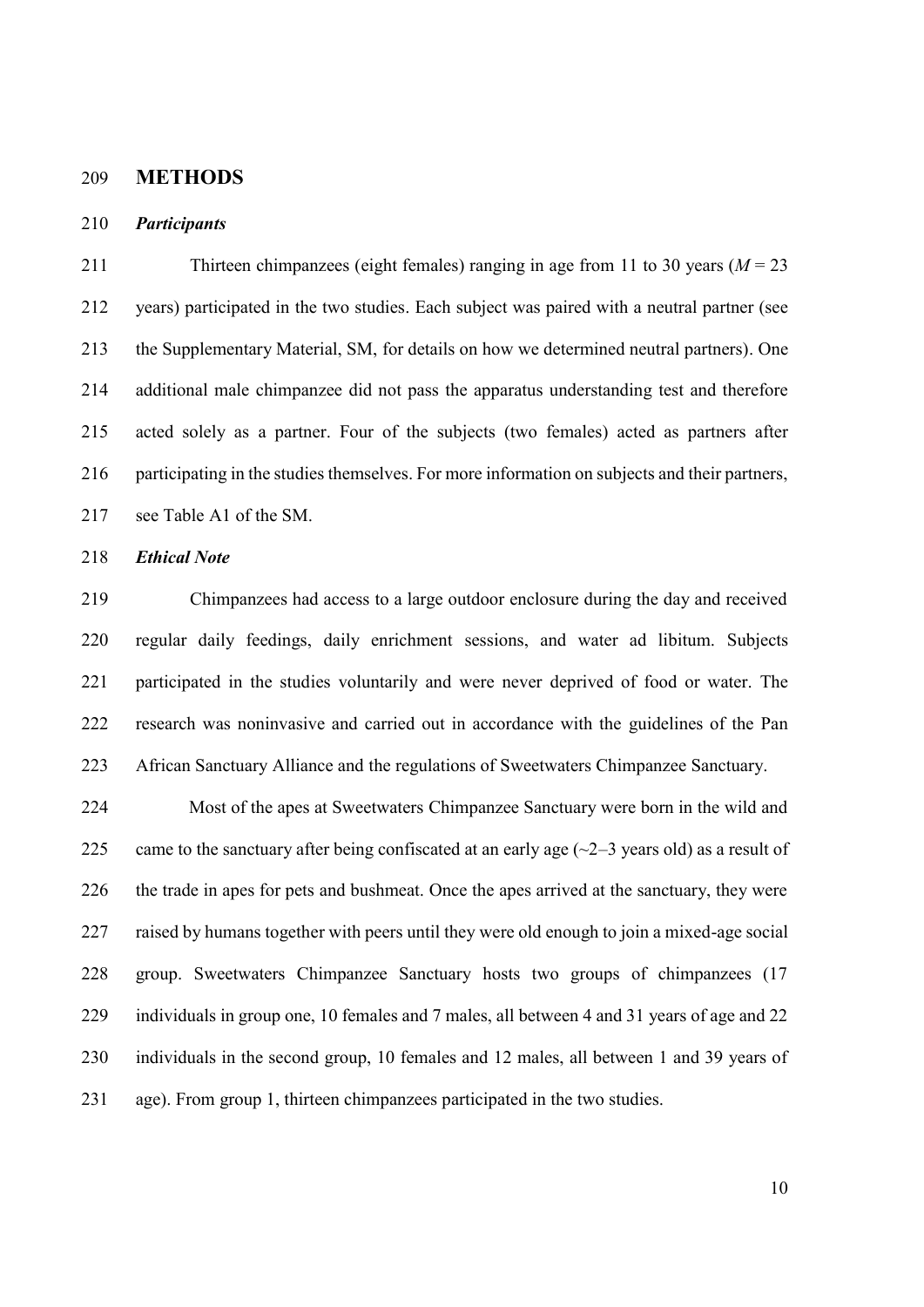### **METHODS**

### *Participants*

 Thirteen chimpanzees (eight females) ranging in age from 11 to 30 years (*M* = 23 years) participated in the two studies. Each subject was paired with a neutral partner (see the Supplementary Material, SM, for details on how we determined neutral partners). One additional male chimpanzee did not pass the apparatus understanding test and therefore acted solely as a partner. Four of the subjects (two females) acted as partners after participating in the studies themselves. For more information on subjects and their partners, see Table A1 of the SM.

*Ethical Note*

 Chimpanzees had access to a large outdoor enclosure during the day and received regular daily feedings, daily enrichment sessions, and water ad libitum. Subjects participated in the studies voluntarily and were never deprived of food or water. The research was noninvasive and carried out in accordance with the guidelines of the Pan African Sanctuary Alliance and the regulations of Sweetwaters Chimpanzee Sanctuary.

 Most of the apes at Sweetwaters Chimpanzee Sanctuary were born in the wild and 225 came to the sanctuary after being confiscated at an early age  $(\sim 2-3$  years old) as a result of the trade in apes for pets and bushmeat. Once the apes arrived at the sanctuary, they were raised by humans together with peers until they were old enough to join a mixed-age social group. Sweetwaters Chimpanzee Sanctuary hosts two groups of chimpanzees (17 229 individuals in group one, 10 females and 7 males, all between 4 and 31 years of age and 22 individuals in the second group, 10 females and 12 males, all between 1 and 39 years of age). From group 1, thirteen chimpanzees participated in the two studies.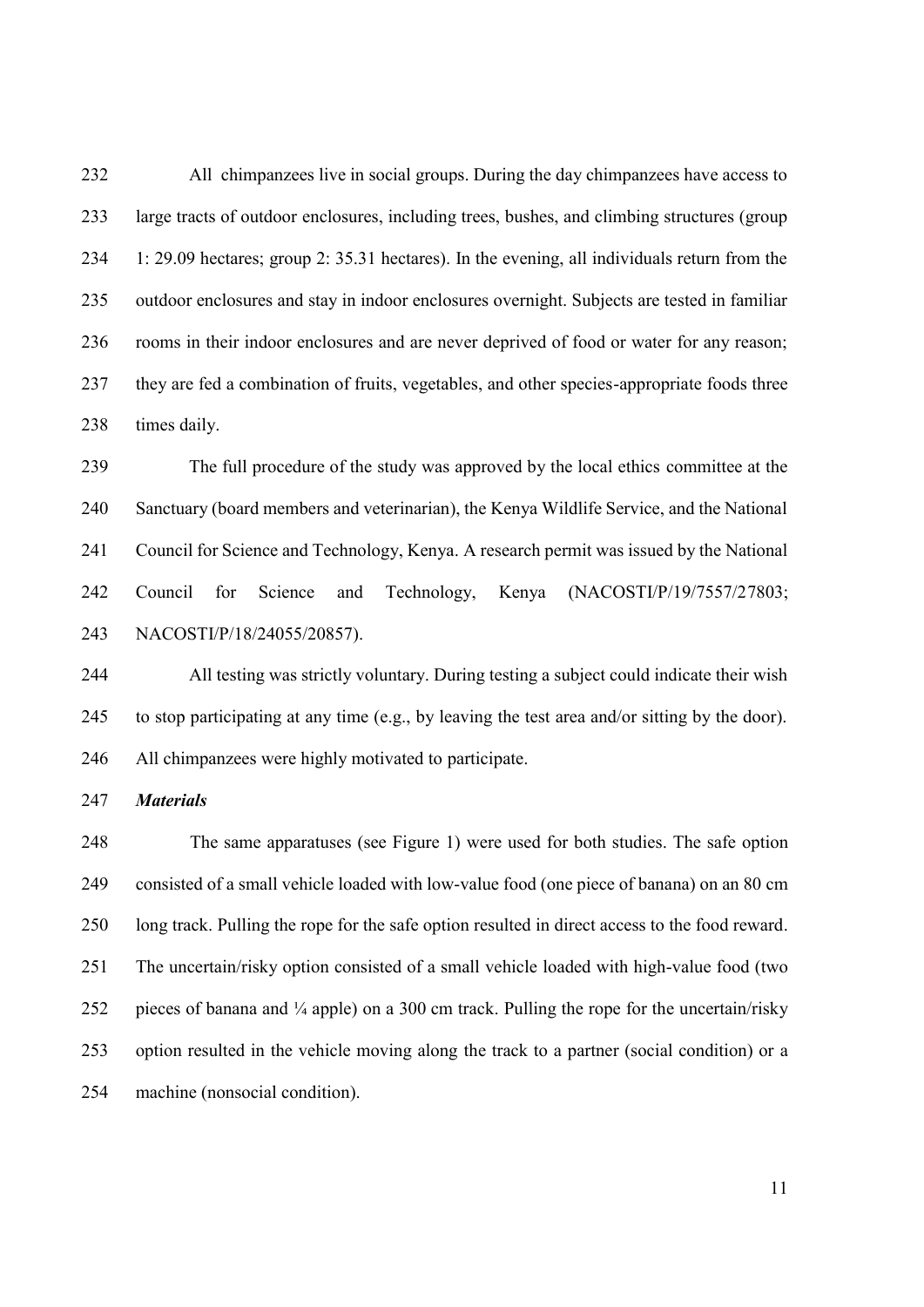All chimpanzees live in social groups. During the day chimpanzees have access to large tracts of outdoor enclosures, including trees, bushes, and climbing structures (group 1: 29.09 hectares; group 2: 35.31 hectares). In the evening, all individuals return from the outdoor enclosures and stay in indoor enclosures overnight. Subjects are tested in familiar rooms in their indoor enclosures and are never deprived of food or water for any reason; they are fed a combination of fruits, vegetables, and other species-appropriate foods three times daily.

 The full procedure of the study was approved by the local ethics committee at the Sanctuary (board members and veterinarian), the Kenya Wildlife Service, and the National Council for Science and Technology, Kenya. A research permit was issued by the National Council for Science and Technology, Kenya (NACOSTI/P/19/7557/27803; NACOSTI/P/18/24055/20857).

 All testing was strictly voluntary. During testing a subject could indicate their wish to stop participating at any time (e.g., by leaving the test area and/or sitting by the door). All chimpanzees were highly motivated to participate.

*Materials*

 The same apparatuses (see Figure 1) were used for both studies. The safe option consisted of a small vehicle loaded with low-value food (one piece of banana) on an 80 cm long track. Pulling the rope for the safe option resulted in direct access to the food reward. The uncertain/risky option consisted of a small vehicle loaded with high-value food (two 252 pieces of banana and  $\frac{1}{4}$  apple) on a 300 cm track. Pulling the rope for the uncertain/risky option resulted in the vehicle moving along the track to a partner (social condition) or a machine (nonsocial condition).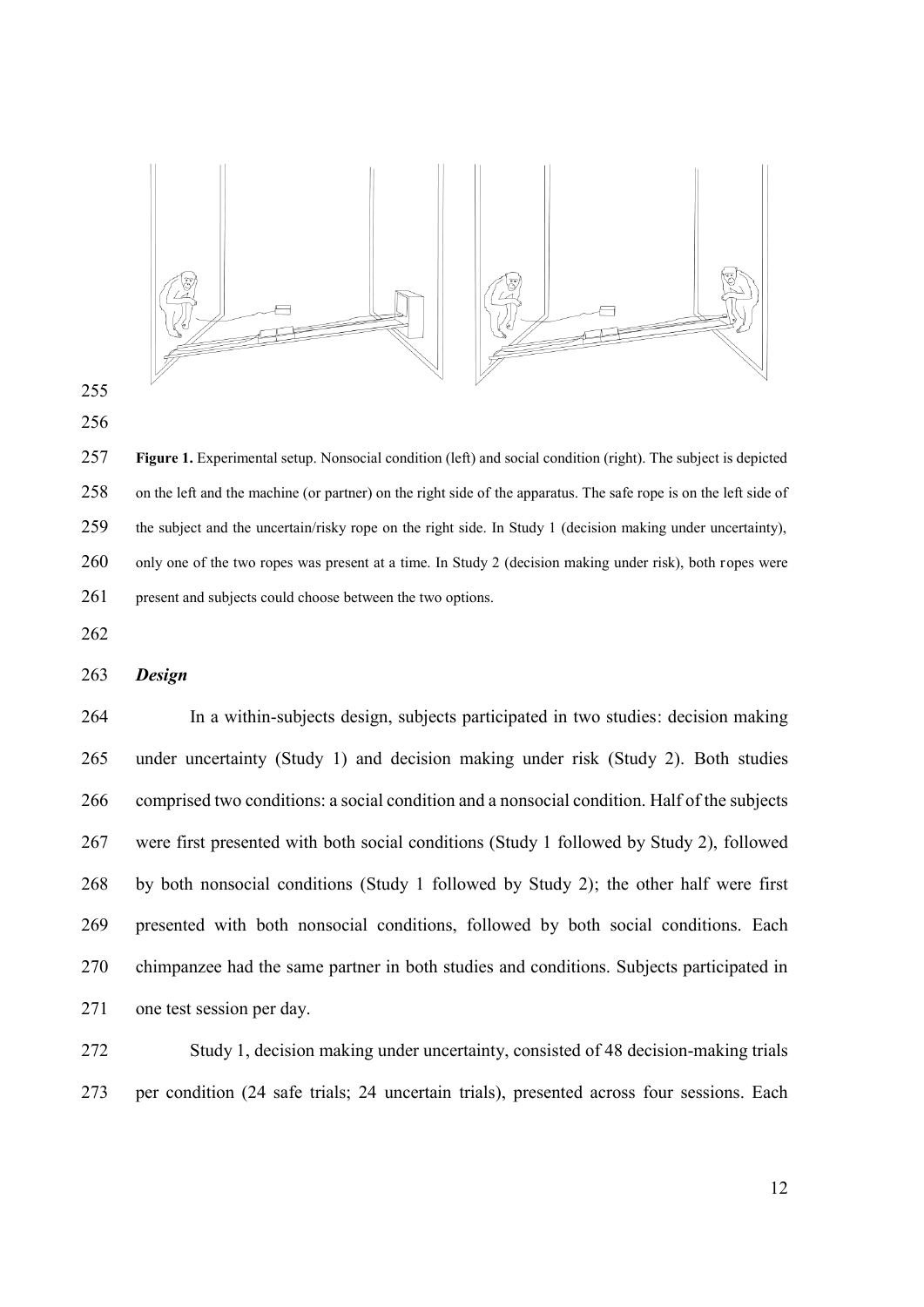



 **Figure 1.** Experimental setup. Nonsocial condition (left) and social condition (right). The subject is depicted on the left and the machine (or partner) on the right side of the apparatus. The safe rope is on the left side of the subject and the uncertain/risky rope on the right side. In Study 1 (decision making under uncertainty), 260 only one of the two ropes was present at a time. In Study 2 (decision making under risk), both ropes were 261 present and subjects could choose between the two options.

### *Design*

 In a within-subjects design, subjects participated in two studies: decision making under uncertainty (Study 1) and decision making under risk (Study 2). Both studies comprised two conditions: a social condition and a nonsocial condition. Half of the subjects were first presented with both social conditions (Study 1 followed by Study 2), followed by both nonsocial conditions (Study 1 followed by Study 2); the other half were first presented with both nonsocial conditions, followed by both social conditions. Each chimpanzee had the same partner in both studies and conditions. Subjects participated in one test session per day.

 Study 1, decision making under uncertainty, consisted of 48 decision-making trials per condition (24 safe trials; 24 uncertain trials), presented across four sessions. Each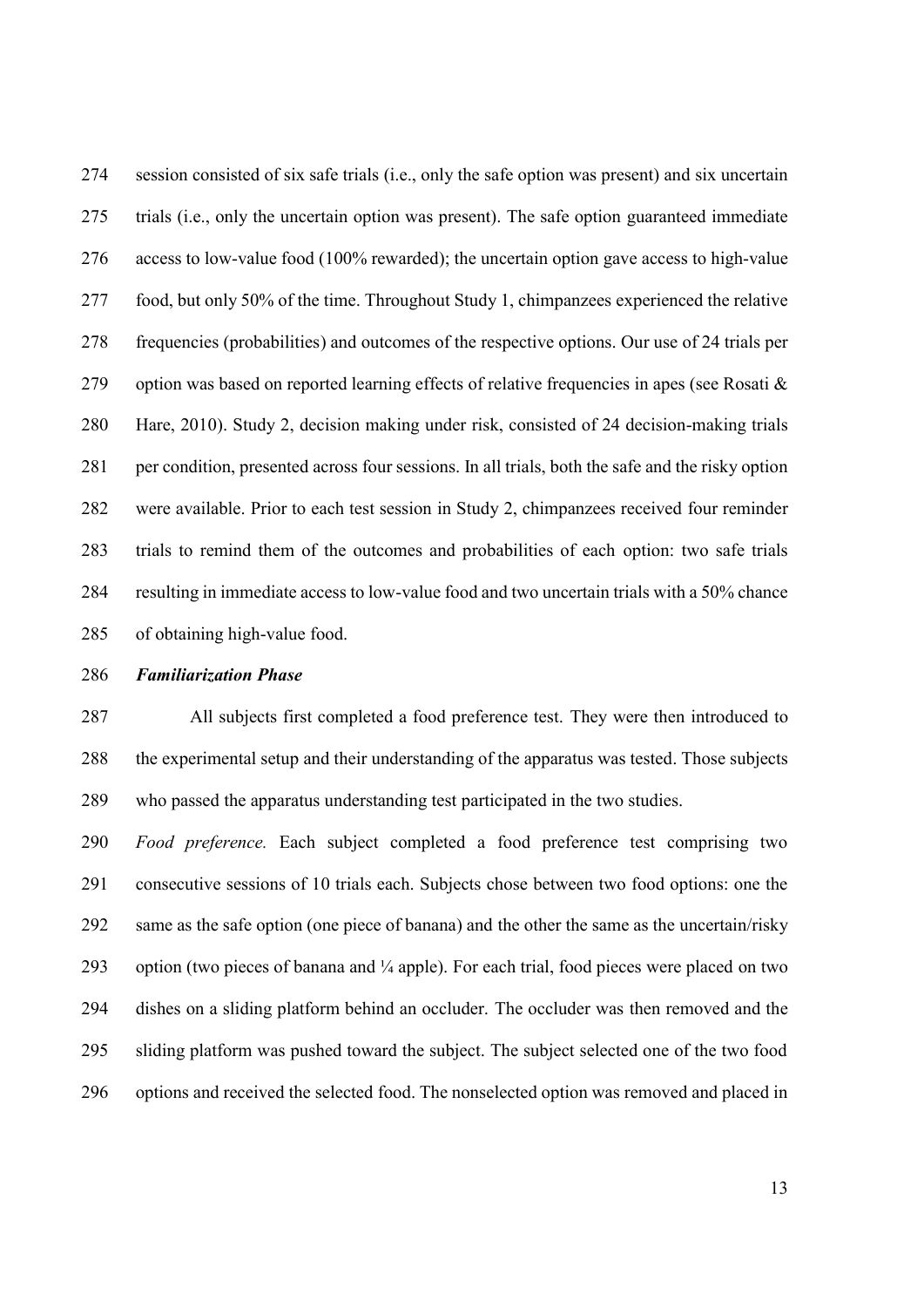session consisted of six safe trials (i.e., only the safe option was present) and six uncertain trials (i.e., only the uncertain option was present). The safe option guaranteed immediate access to low-value food (100% rewarded); the uncertain option gave access to high-value food, but only 50% of the time. Throughout Study 1, chimpanzees experienced the relative frequencies (probabilities) and outcomes of the respective options. Our use of 24 trials per 279 option was based on reported learning effects of relative frequencies in apes (see Rosati  $\&$  Hare, 2010). Study 2, decision making under risk, consisted of 24 decision-making trials per condition, presented across four sessions. In all trials, both the safe and the risky option were available. Prior to each test session in Study 2, chimpanzees received four reminder trials to remind them of the outcomes and probabilities of each option: two safe trials resulting in immediate access to low-value food and two uncertain trials with a 50% chance of obtaining high-value food.

#### *Familiarization Phase*

 All subjects first completed a food preference test. They were then introduced to the experimental setup and their understanding of the apparatus was tested. Those subjects who passed the apparatus understanding test participated in the two studies.

 *Food preference.* Each subject completed a food preference test comprising two consecutive sessions of 10 trials each. Subjects chose between two food options: one the same as the safe option (one piece of banana) and the other the same as the uncertain/risky 293 option (two pieces of banana and  $\frac{1}{4}$  apple). For each trial, food pieces were placed on two dishes on a sliding platform behind an occluder. The occluder was then removed and the sliding platform was pushed toward the subject. The subject selected one of the two food options and received the selected food. The nonselected option was removed and placed in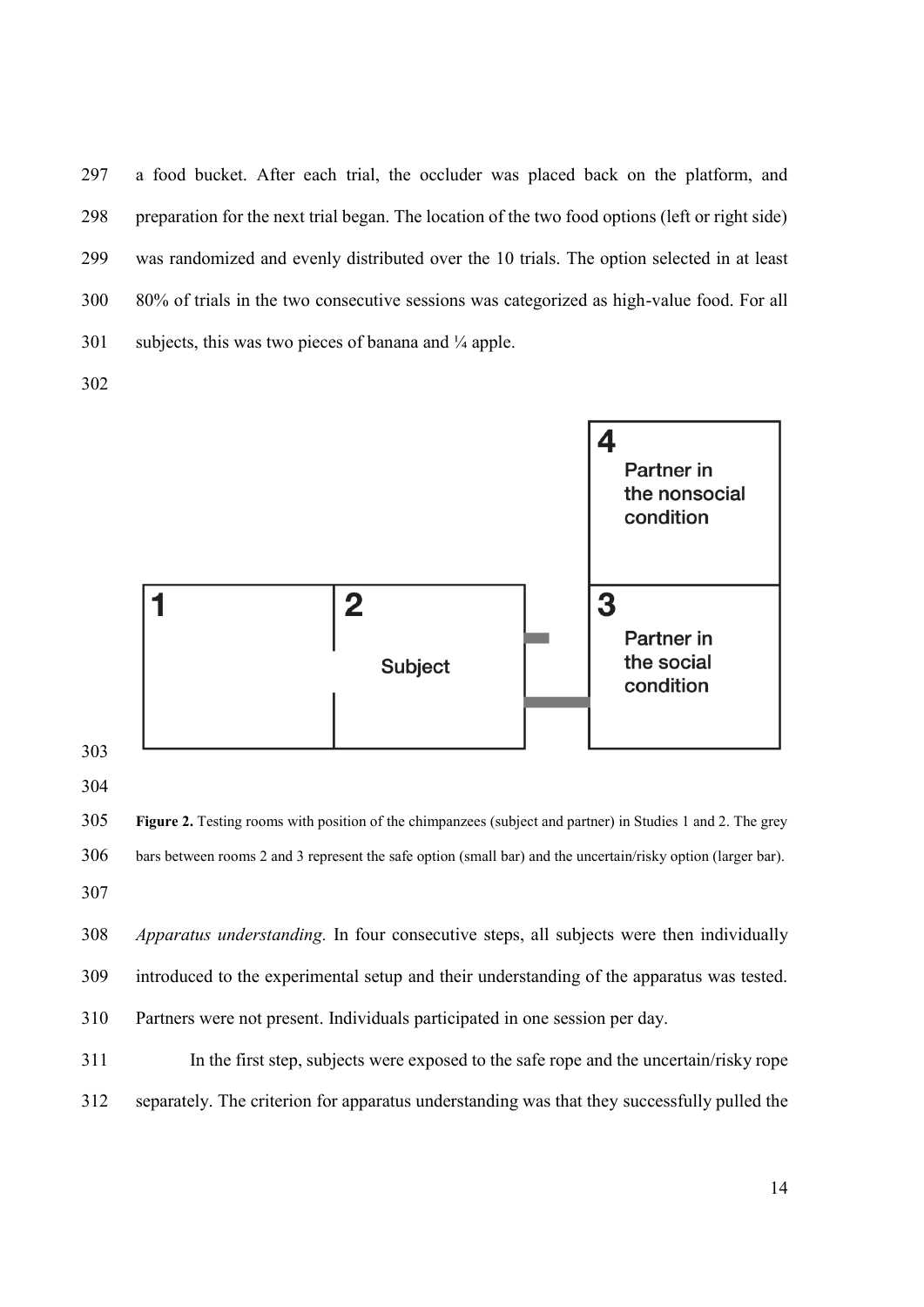a food bucket. After each trial, the occluder was placed back on the platform, and preparation for the next trial began. The location of the two food options (left or right side) was randomized and evenly distributed over the 10 trials. The option selected in at least 80% of trials in the two consecutive sessions was categorized as high-value food. For all 301 subjects, this was two pieces of banana and  $\frac{1}{4}$  apple.



 **Figure 2.** Testing rooms with position of the chimpanzees (subject and partner) in Studies 1 and 2. The grey bars between rooms 2 and 3 represent the safe option (small bar) and the uncertain/risky option (larger bar). 

 *Apparatus understanding.* In four consecutive steps, all subjects were then individually introduced to the experimental setup and their understanding of the apparatus was tested. Partners were not present. Individuals participated in one session per day.

311 In the first step, subjects were exposed to the safe rope and the uncertain/risky rope separately. The criterion for apparatus understanding was that they successfully pulled the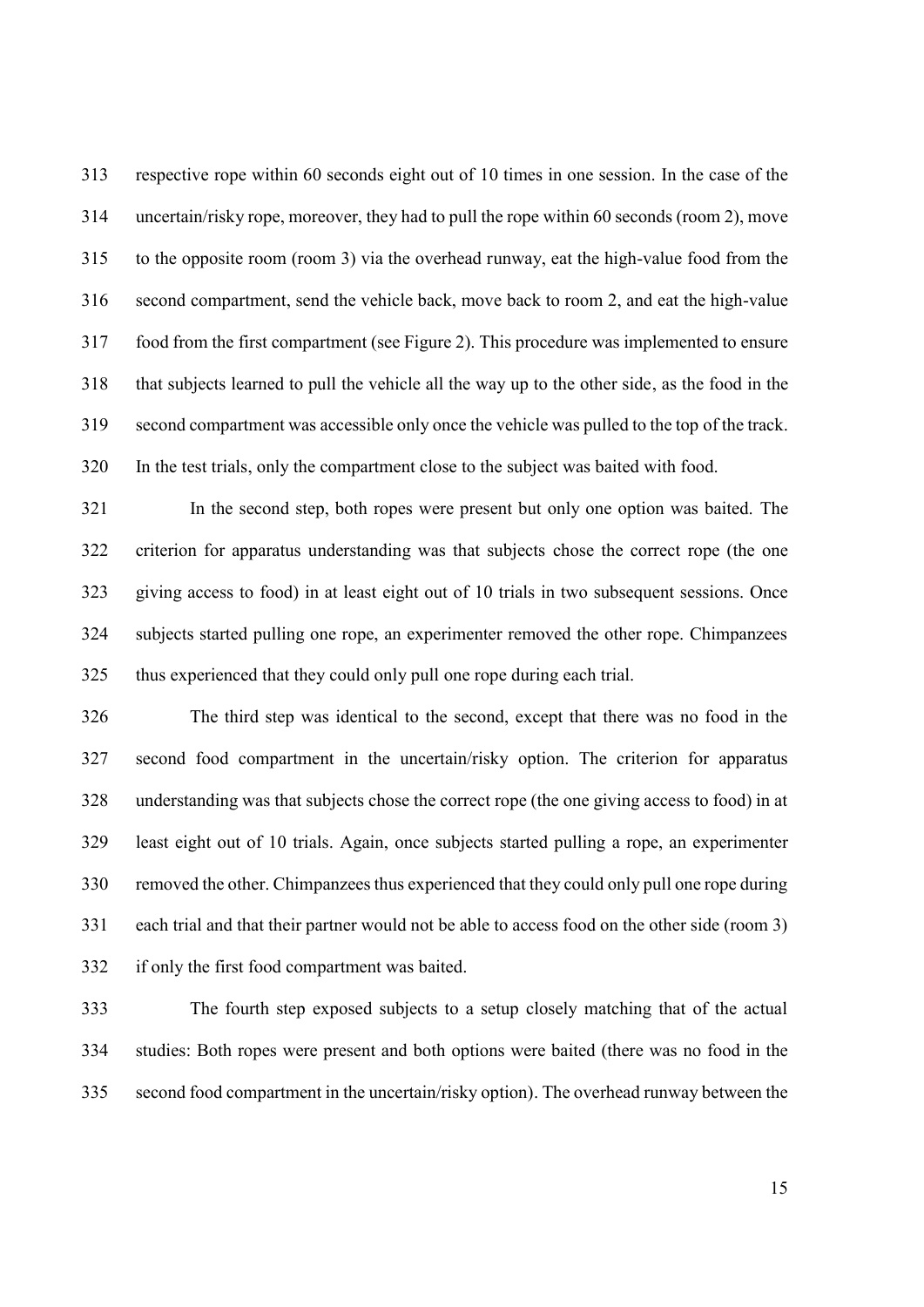respective rope within 60 seconds eight out of 10 times in one session. In the case of the uncertain/risky rope, moreover, they had to pull the rope within 60 seconds (room 2), move to the opposite room (room 3) via the overhead runway, eat the high-value food from the second compartment, send the vehicle back, move back to room 2, and eat the high-value food from the first compartment (see Figure 2). This procedure was implemented to ensure that subjects learned to pull the vehicle all the way up to the other side, as the food in the second compartment was accessible only once the vehicle was pulled to the top of the track. In the test trials, only the compartment close to the subject was baited with food.

 In the second step, both ropes were present but only one option was baited. The criterion for apparatus understanding was that subjects chose the correct rope (the one giving access to food) in at least eight out of 10 trials in two subsequent sessions. Once subjects started pulling one rope, an experimenter removed the other rope. Chimpanzees thus experienced that they could only pull one rope during each trial.

 The third step was identical to the second, except that there was no food in the second food compartment in the uncertain/risky option. The criterion for apparatus understanding was that subjects chose the correct rope (the one giving access to food) in at least eight out of 10 trials. Again, once subjects started pulling a rope, an experimenter removed the other. Chimpanzees thus experienced that they could only pull one rope during each trial and that their partner would not be able to access food on the other side (room 3) if only the first food compartment was baited.

 The fourth step exposed subjects to a setup closely matching that of the actual studies: Both ropes were present and both options were baited (there was no food in the second food compartment in the uncertain/risky option). The overhead runway between the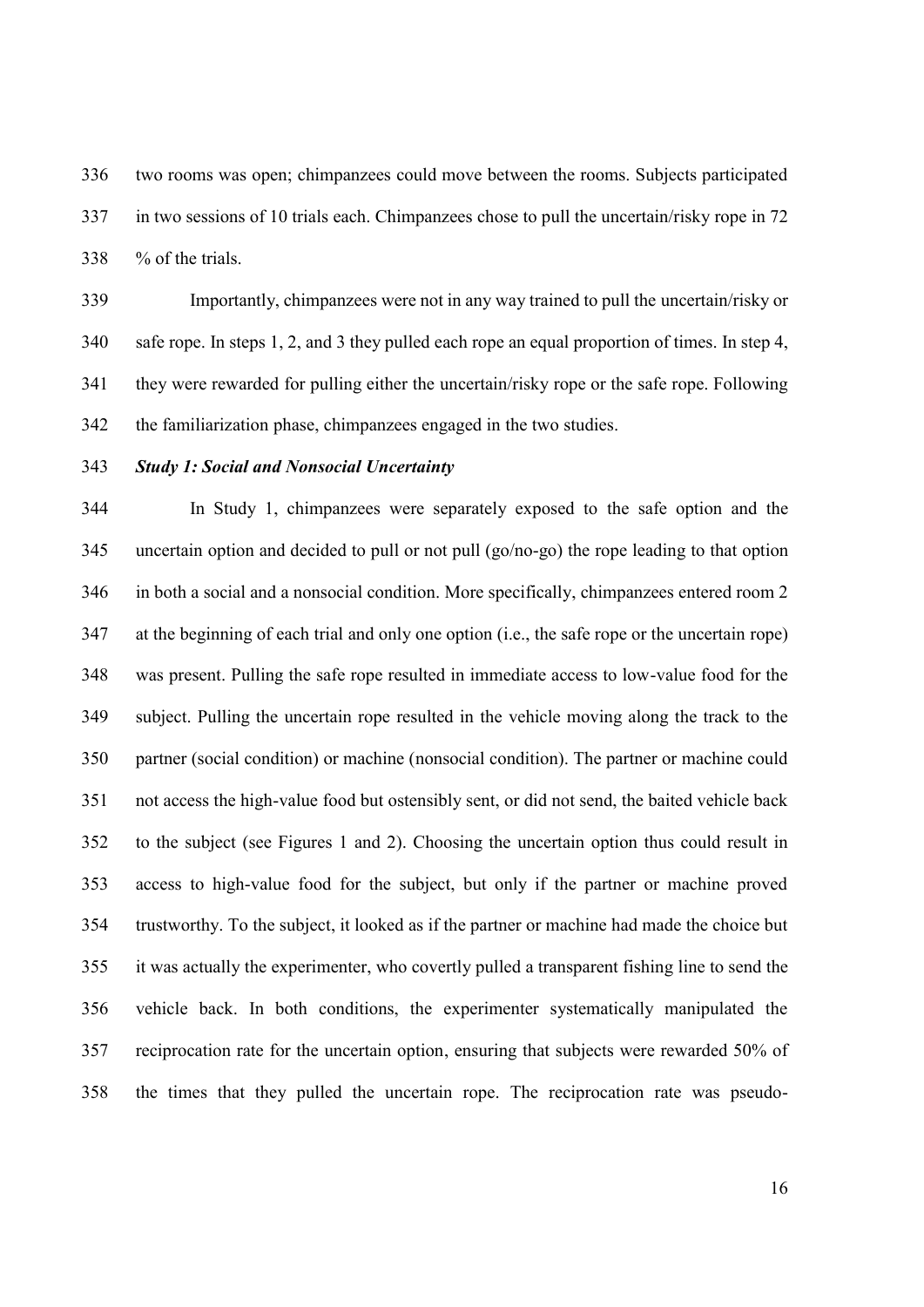two rooms was open; chimpanzees could move between the rooms. Subjects participated in two sessions of 10 trials each. Chimpanzees chose to pull the uncertain/risky rope in 72 % of the trials.

 Importantly, chimpanzees were not in any way trained to pull the uncertain/risky or safe rope. In steps 1, 2, and 3 they pulled each rope an equal proportion of times. In step 4, they were rewarded for pulling either the uncertain/risky rope or the safe rope. Following the familiarization phase, chimpanzees engaged in the two studies.

### *Study 1: Social and Nonsocial Uncertainty*

 In Study 1, chimpanzees were separately exposed to the safe option and the uncertain option and decided to pull or not pull (go/no-go) the rope leading to that option in both a social and a nonsocial condition. More specifically, chimpanzees entered room 2 at the beginning of each trial and only one option (i.e., the safe rope or the uncertain rope) was present. Pulling the safe rope resulted in immediate access to low-value food for the subject. Pulling the uncertain rope resulted in the vehicle moving along the track to the partner (social condition) or machine (nonsocial condition). The partner or machine could not access the high-value food but ostensibly sent, or did not send, the baited vehicle back to the subject (see Figures 1 and 2). Choosing the uncertain option thus could result in access to high-value food for the subject, but only if the partner or machine proved trustworthy. To the subject, it looked as if the partner or machine had made the choice but it was actually the experimenter, who covertly pulled a transparent fishing line to send the vehicle back. In both conditions, the experimenter systematically manipulated the reciprocation rate for the uncertain option, ensuring that subjects were rewarded 50% of the times that they pulled the uncertain rope. The reciprocation rate was pseudo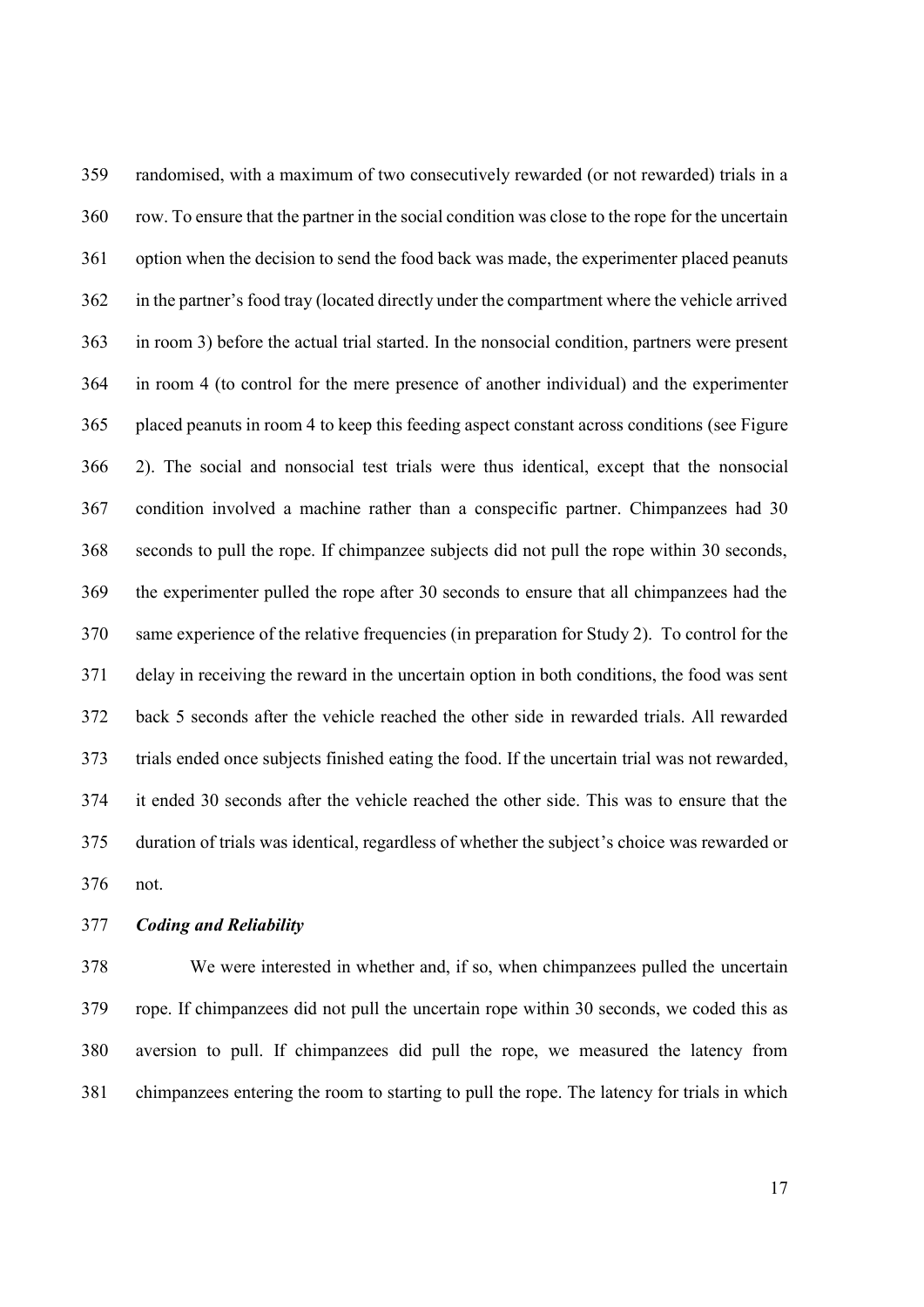randomised, with a maximum of two consecutively rewarded (or not rewarded) trials in a row. To ensure that the partner in the social condition was close to the rope for the uncertain option when the decision to send the food back was made, the experimenter placed peanuts in the partner's food tray (located directly under the compartment where the vehicle arrived in room 3) before the actual trial started. In the nonsocial condition, partners were present in room 4 (to control for the mere presence of another individual) and the experimenter placed peanuts in room 4 to keep this feeding aspect constant across conditions (see Figure 2). The social and nonsocial test trials were thus identical, except that the nonsocial condition involved a machine rather than a conspecific partner. Chimpanzees had 30 seconds to pull the rope. If chimpanzee subjects did not pull the rope within 30 seconds, the experimenter pulled the rope after 30 seconds to ensure that all chimpanzees had the same experience of the relative frequencies (in preparation for Study 2). To control for the delay in receiving the reward in the uncertain option in both conditions, the food was sent back 5 seconds after the vehicle reached the other side in rewarded trials. All rewarded trials ended once subjects finished eating the food. If the uncertain trial was not rewarded, it ended 30 seconds after the vehicle reached the other side. This was to ensure that the duration of trials was identical, regardless of whether the subject's choice was rewarded or not.

*Coding and Reliability*

 We were interested in whether and, if so, when chimpanzees pulled the uncertain rope. If chimpanzees did not pull the uncertain rope within 30 seconds, we coded this as aversion to pull. If chimpanzees did pull the rope, we measured the latency from chimpanzees entering the room to starting to pull the rope. The latency for trials in which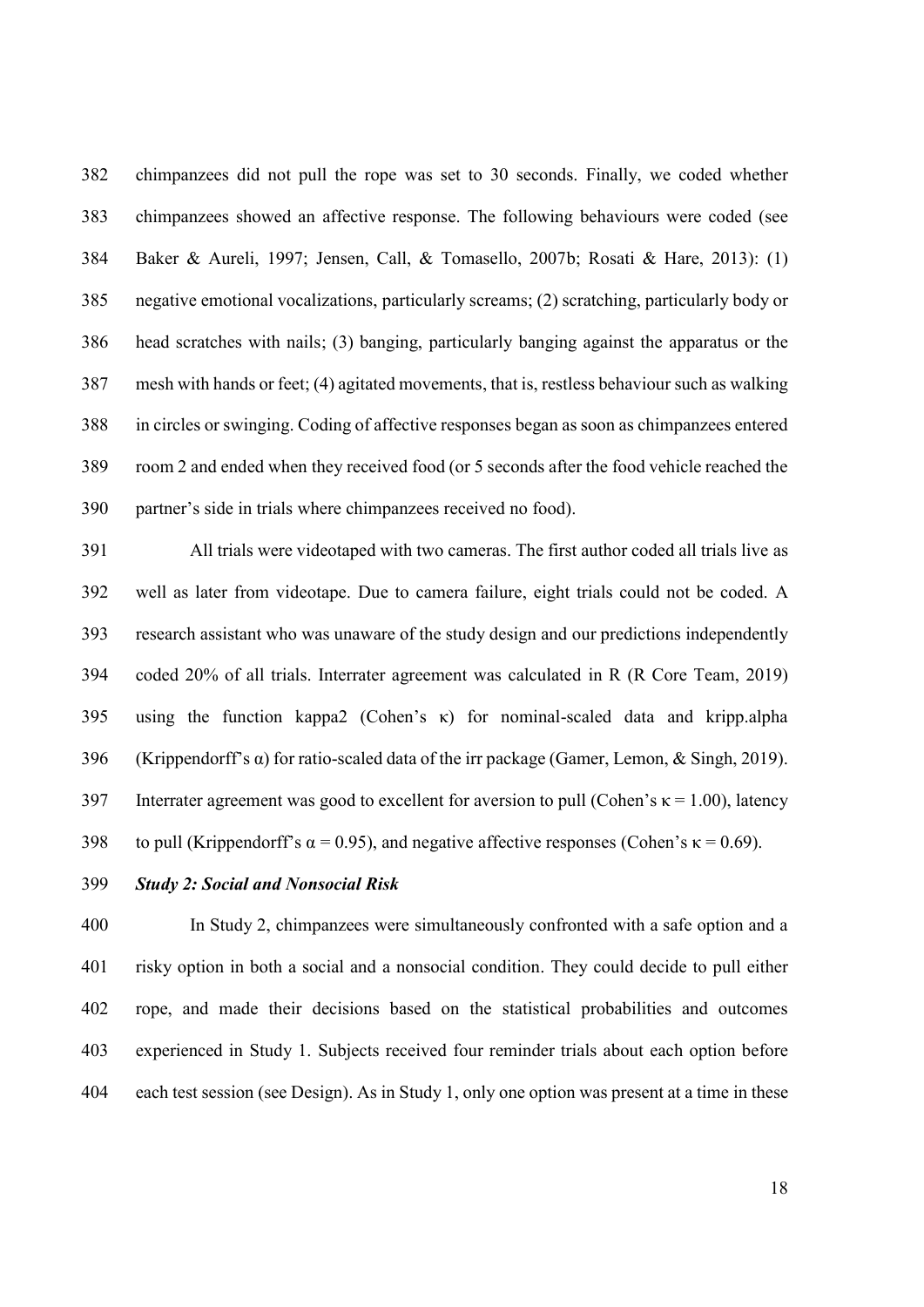chimpanzees did not pull the rope was set to 30 seconds. Finally, we coded whether chimpanzees showed an affective response. The following behaviours were coded (see Baker & Aureli, 1997; Jensen, Call, & Tomasello, 2007b; Rosati & Hare, 2013): (1) negative emotional vocalizations, particularly screams; (2) scratching, particularly body or head scratches with nails; (3) banging, particularly banging against the apparatus or the mesh with hands or feet; (4) agitated movements, that is, restless behaviour such as walking in circles or swinging. Coding of affective responses began as soon as chimpanzees entered room 2 and ended when they received food (or 5 seconds after the food vehicle reached the partner's side in trials where chimpanzees received no food).

 All trials were videotaped with two cameras. The first author coded all trials live as well as later from videotape. Due to camera failure, eight trials could not be coded. A research assistant who was unaware of the study design and our predictions independently coded 20% of all trials. Interrater agreement was calculated in R (R Core Team, 2019) using the function kappa2 (Cohen's κ) for nominal-scaled data and kripp.alpha 396 (Krippendorff's  $\alpha$ ) for ratio-scaled data of the irr package (Gamer, Lemon, & Singh, 2019). 397 Interrater agreement was good to excellent for aversion to pull (Cohen's  $\kappa$  = 1.00), latency 398 to pull (Krippendorff's  $\alpha = 0.95$ ), and negative affective responses (Cohen's  $\kappa = 0.69$ ).

*Study 2: Social and Nonsocial Risk*

 In Study 2, chimpanzees were simultaneously confronted with a safe option and a risky option in both a social and a nonsocial condition. They could decide to pull either rope, and made their decisions based on the statistical probabilities and outcomes experienced in Study 1. Subjects received four reminder trials about each option before each test session (see Design). As in Study 1, only one option was present at a time in these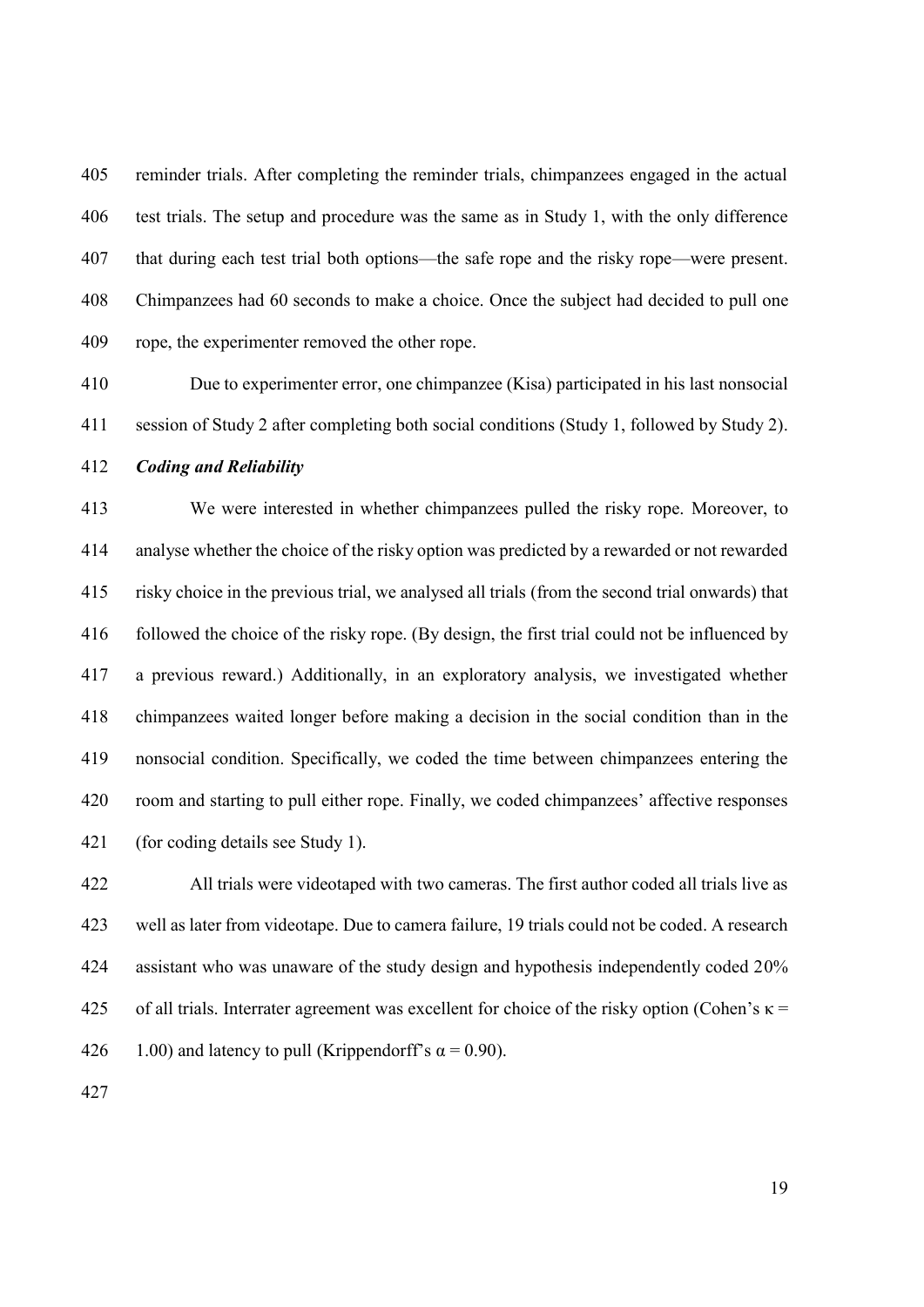reminder trials. After completing the reminder trials, chimpanzees engaged in the actual test trials. The setup and procedure was the same as in Study 1, with the only difference that during each test trial both options—the safe rope and the risky rope—were present. Chimpanzees had 60 seconds to make a choice. Once the subject had decided to pull one rope, the experimenter removed the other rope.

 Due to experimenter error, one chimpanzee (Kisa) participated in his last nonsocial session of Study 2 after completing both social conditions (Study 1, followed by Study 2).

### *Coding and Reliability*

 We were interested in whether chimpanzees pulled the risky rope. Moreover, to analyse whether the choice of the risky option was predicted by a rewarded or not rewarded risky choice in the previous trial, we analysed all trials (from the second trial onwards) that followed the choice of the risky rope. (By design, the first trial could not be influenced by a previous reward.) Additionally, in an exploratory analysis, we investigated whether chimpanzees waited longer before making a decision in the social condition than in the nonsocial condition. Specifically, we coded the time between chimpanzees entering the room and starting to pull either rope. Finally, we coded chimpanzees' affective responses (for coding details see Study 1).

 All trials were videotaped with two cameras. The first author coded all trials live as well as later from videotape. Due to camera failure, 19 trials could not be coded. A research 424 assistant who was unaware of the study design and hypothesis independently coded 20% 425 of all trials. Interrater agreement was excellent for choice of the risky option (Cohen's  $\kappa$  = 426 1.00) and latency to pull (Krippendorff's  $\alpha = 0.90$ ).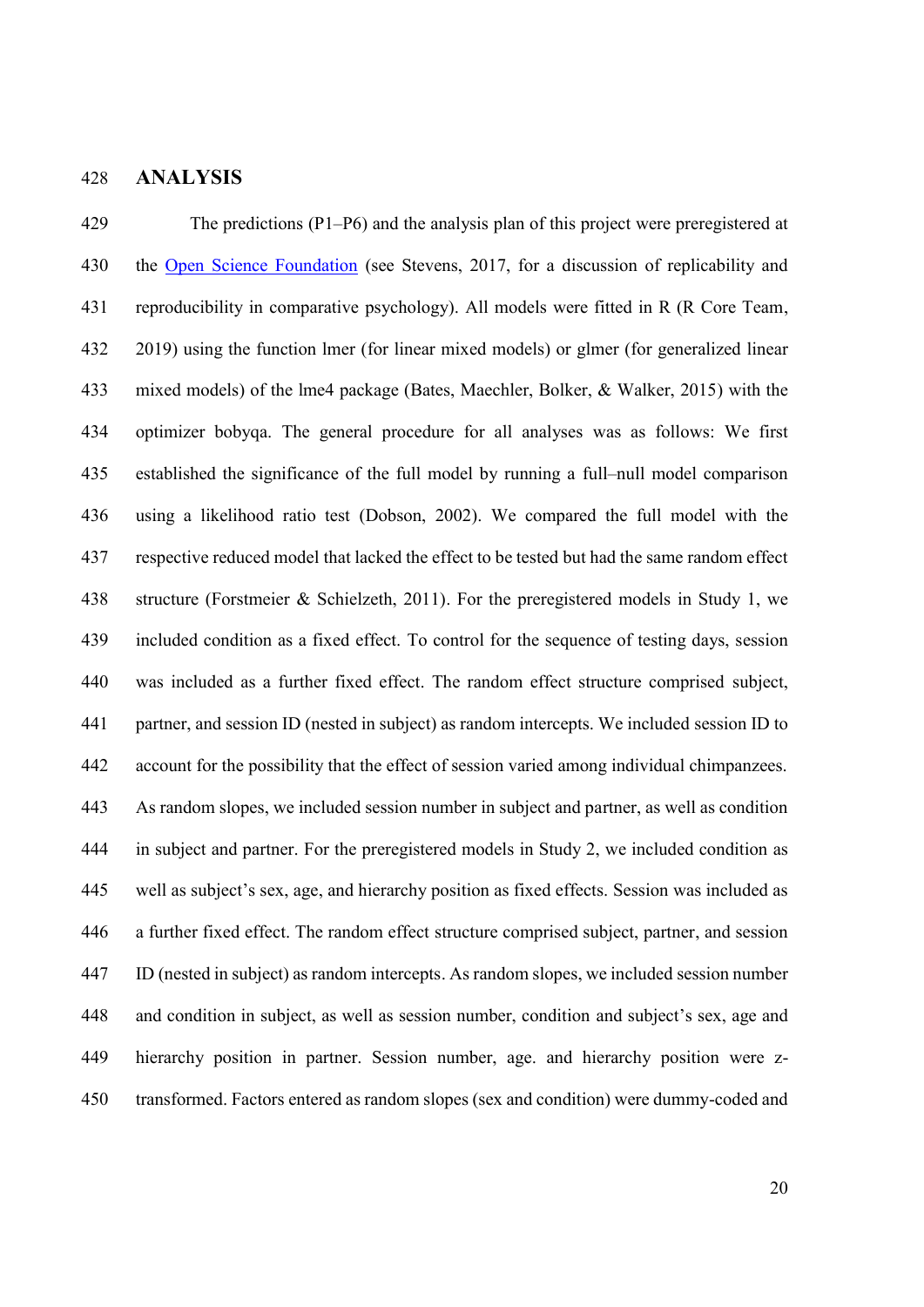### **ANALYSIS**

 The predictions (P1–P6) and the analysis plan of this project were preregistered at the [Open Science Foundation](https://osf.io/auv7c/?view_only=0b69fdcee67a4c5f9b44a475d7017896) (see Stevens, 2017, for a discussion of replicability and reproducibility in comparative psychology). All models were fitted in R (R Core Team, 2019) using the function lmer (for linear mixed models) or glmer (for generalized linear mixed models) of the lme4 package (Bates, Maechler, Bolker, & Walker, 2015) with the optimizer bobyqa. The general procedure for all analyses was as follows: We first established the significance of the full model by running a full–null model comparison using a likelihood ratio test (Dobson, 2002). We compared the full model with the respective reduced model that lacked the effect to be tested but had the same random effect structure (Forstmeier & Schielzeth, 2011). For the preregistered models in Study 1, we included condition as a fixed effect. To control for the sequence of testing days, session was included as a further fixed effect. The random effect structure comprised subject, partner, and session ID (nested in subject) as random intercepts. We included session ID to account for the possibility that the effect of session varied among individual chimpanzees. As random slopes, we included session number in subject and partner, as well as condition in subject and partner. For the preregistered models in Study 2, we included condition as well as subject's sex, age, and hierarchy position as fixed effects. Session was included as a further fixed effect. The random effect structure comprised subject, partner, and session ID (nested in subject) as random intercepts. As random slopes, we included session number and condition in subject, as well as session number, condition and subject's sex, age and hierarchy position in partner. Session number, age. and hierarchy position were z-transformed. Factors entered as random slopes (sex and condition) were dummy-coded and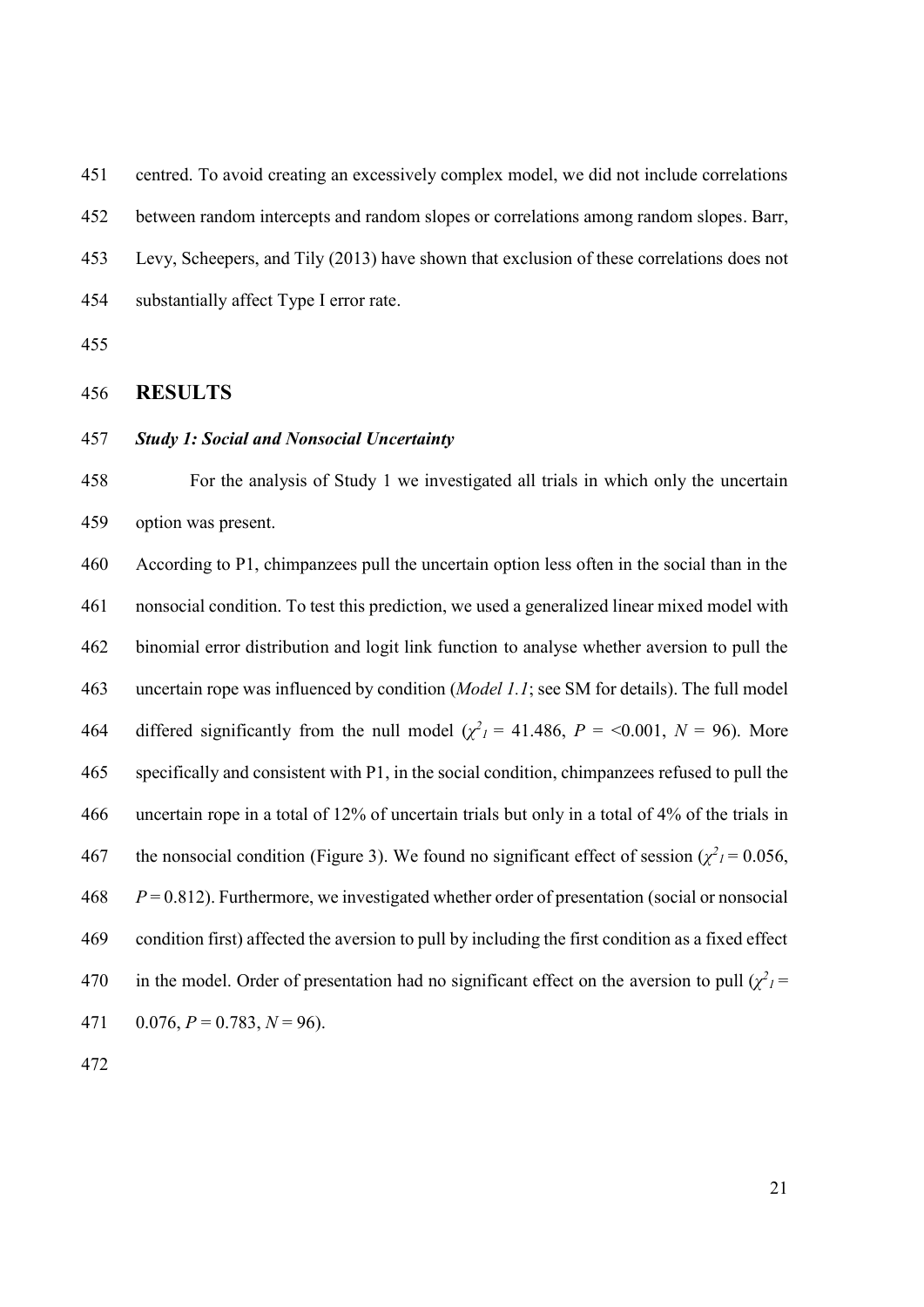centred. To avoid creating an excessively complex model, we did not include correlations between random intercepts and random slopes or correlations among random slopes. Barr, Levy, Scheepers, and Tily (2013) have shown that exclusion of these correlations does not substantially affect Type I error rate.

### **RESULTS**

### *Study 1: Social and Nonsocial Uncertainty*

 For the analysis of Study 1 we investigated all trials in which only the uncertain option was present.

 According to P1, chimpanzees pull the uncertain option less often in the social than in the nonsocial condition. To test this prediction, we used a generalized linear mixed model with binomial error distribution and logit link function to analyse whether aversion to pull the uncertain rope was influenced by condition (*Model 1.1*; see SM for details). The full model differed significantly from the null model  $(\chi^2)^2 = 41.486$ ,  $P = \langle 0.001, N = 96 \rangle$ . More specifically and consistent with P1, in the social condition, chimpanzees refused to pull the uncertain rope in a total of 12% of uncertain trials but only in a total of 4% of the trials in the nonsocial condition (Figure 3). We found no significant effect of session ( $\chi^2$ <sub>1</sub> = 0.056, *P* = 0.812). Furthermore, we investigated whether order of presentation (social or nonsocial condition first) affected the aversion to pull by including the first condition as a fixed effect 470 in the model. Order of presentation had no significant effect on the aversion to pull  $(\chi^2)^2$ 471 0.076,  $P = 0.783$ ,  $N = 96$ ).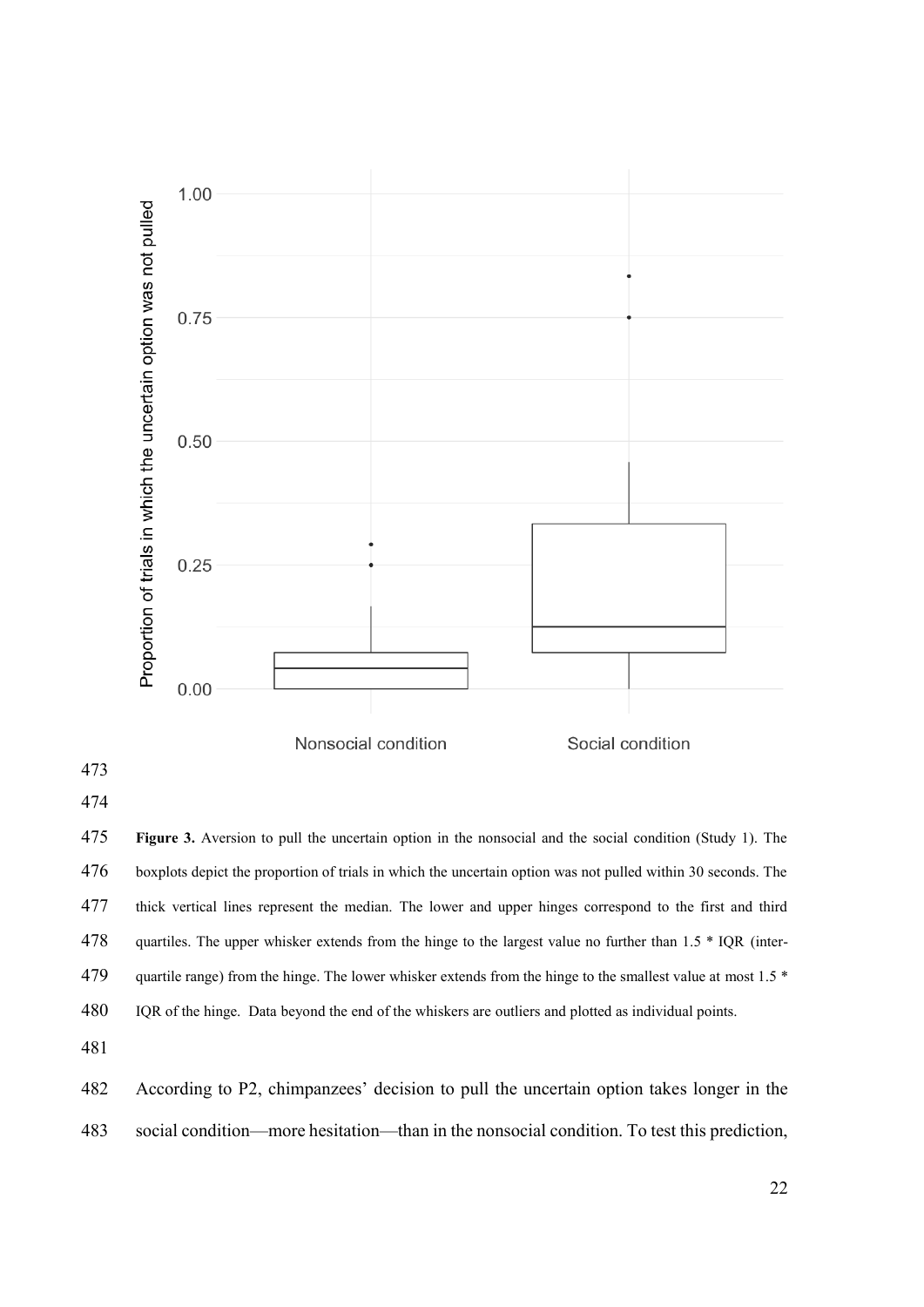

 **Figure 3.** Aversion to pull the uncertain option in the nonsocial and the social condition (Study 1). The boxplots depict the proportion of trials in which the uncertain option was not pulled within 30 seconds. The thick vertical lines represent the median. The lower and upper hinges correspond to the first and third 478 quartiles. The upper whisker extends from the hinge to the largest value no further than 1.5  $*$  IQR (inter-479 quartile range) from the hinge. The lower whisker extends from the hinge to the smallest value at most  $1.5$  \* IQR of the hinge. Data beyond the end of the whiskers are outliers and plotted as individual points.

 According to P2, chimpanzees' decision to pull the uncertain option takes longer in the social condition—more hesitation—than in the nonsocial condition. To test this prediction,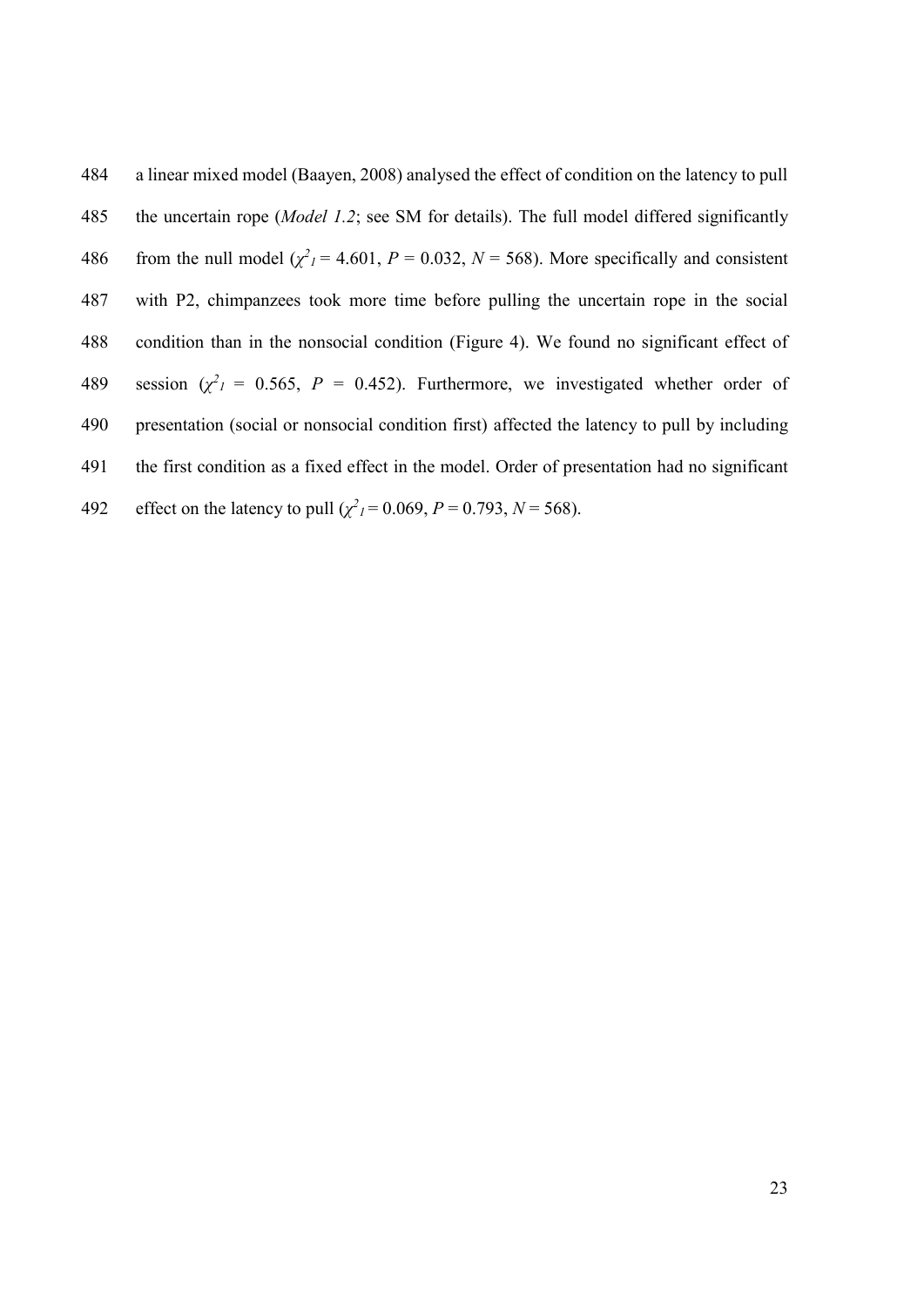a linear mixed model (Baayen, 2008) analysed the effect of condition on the latency to pull the uncertain rope (*Model 1.2*; see SM for details). The full model differed significantly 486 from the null model  $(\chi^2) = 4.601$ ,  $P = 0.032$ ,  $N = 568$ ). More specifically and consistent with P2, chimpanzees took more time before pulling the uncertain rope in the social condition than in the nonsocial condition (Figure 4). We found no significant effect of 489 session  $(\chi^2) = 0.565$ ,  $P = 0.452$ ). Furthermore, we investigated whether order of presentation (social or nonsocial condition first) affected the latency to pull by including the first condition as a fixed effect in the model. Order of presentation had no significant 492 effect on the latency to pull  $(\chi^2)^2 = 0.069$ ,  $P = 0.793$ ,  $N = 568$ ).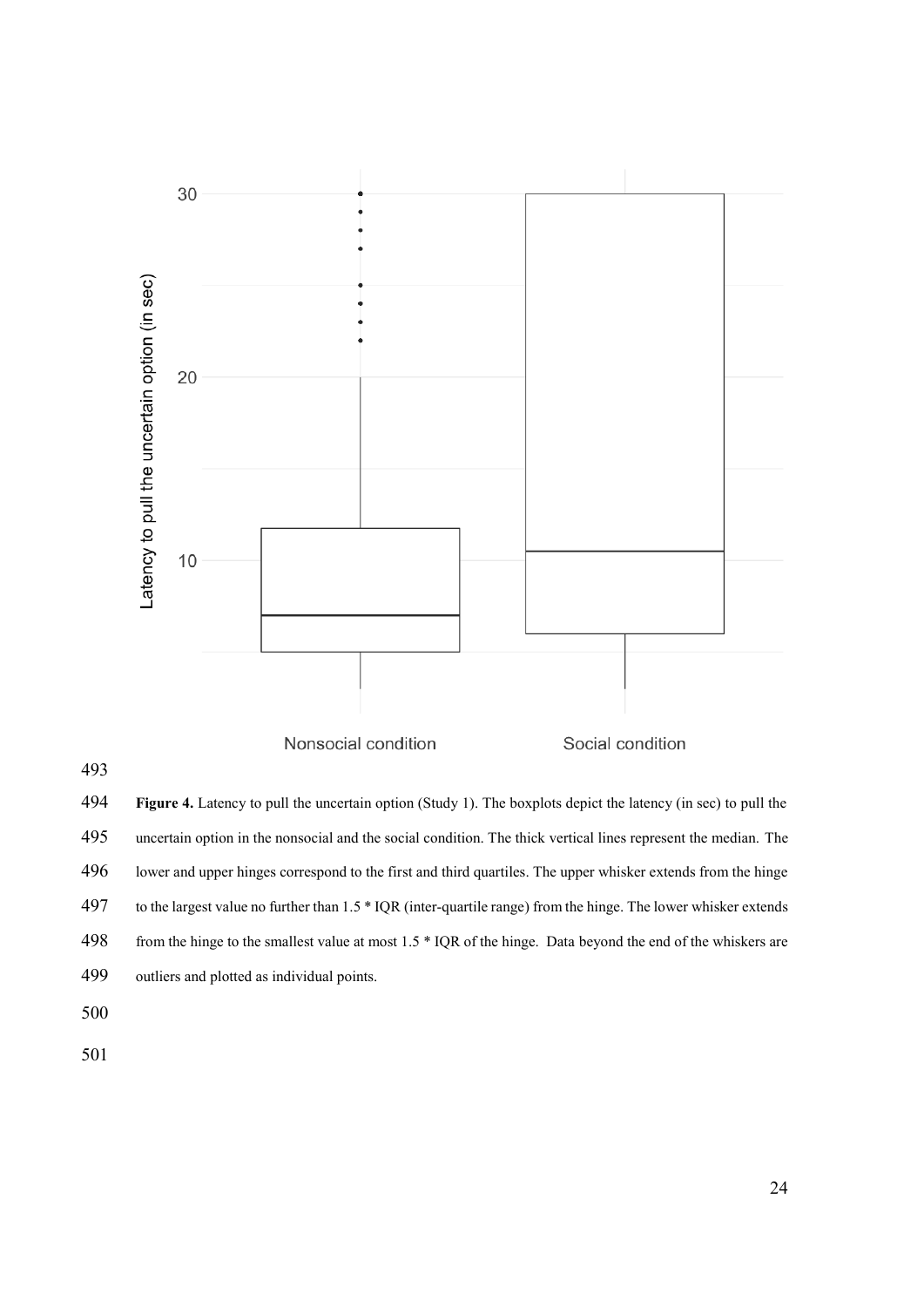

 **Figure 4.** Latency to pull the uncertain option (Study 1). The boxplots depict the latency (in sec) to pull the uncertain option in the nonsocial and the social condition. The thick vertical lines represent the median. The lower and upper hinges correspond to the first and third quartiles. The upper whisker extends from the hinge to the largest value no further than 1.5 \* IQR (inter-quartile range) from the hinge. The lower whisker extends 498 from the hinge to the smallest value at most 1.5  $*$  IQR of the hinge. Data beyond the end of the whiskers are outliers and plotted as individual points.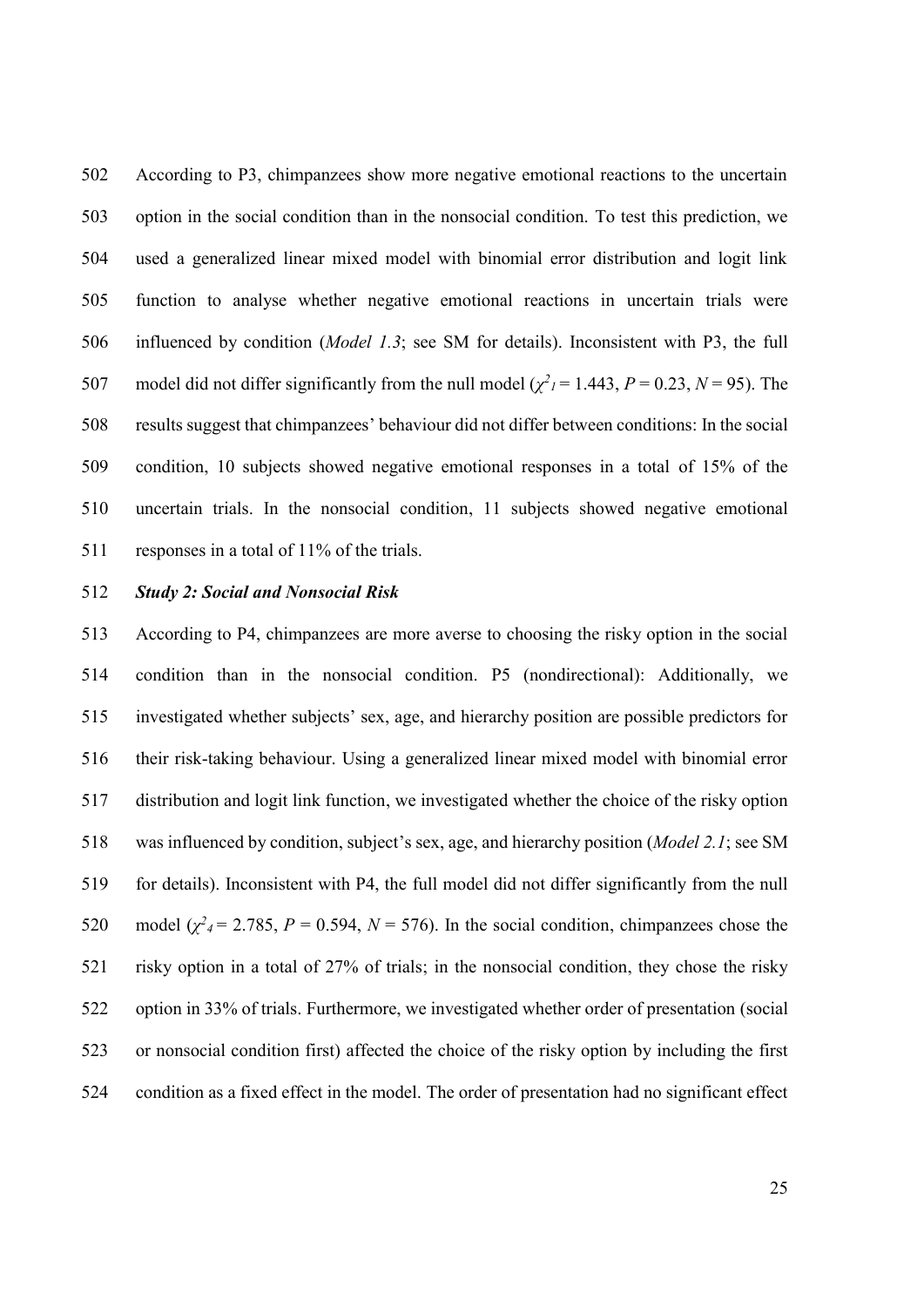According to P3, chimpanzees show more negative emotional reactions to the uncertain option in the social condition than in the nonsocial condition. To test this prediction, we used a generalized linear mixed model with binomial error distribution and logit link function to analyse whether negative emotional reactions in uncertain trials were influenced by condition (*Model 1.3*; see SM for details). Inconsistent with P3, the full 507 model did not differ significantly from the null model  $(\chi^2)^2 = 1.443$ ,  $P = 0.23$ ,  $N = 95$ ). The results suggest that chimpanzees' behaviour did not differ between conditions: In the social condition, 10 subjects showed negative emotional responses in a total of 15% of the uncertain trials. In the nonsocial condition, 11 subjects showed negative emotional 511 responses in a total of 11% of the trials.

### *Study 2: Social and Nonsocial Risk*

 According to P4, chimpanzees are more averse to choosing the risky option in the social condition than in the nonsocial condition. P5 (nondirectional): Additionally, we investigated whether subjects' sex, age, and hierarchy position are possible predictors for their risk-taking behaviour. Using a generalized linear mixed model with binomial error distribution and logit link function, we investigated whether the choice of the risky option was influenced by condition, subject's sex, age, and hierarchy position (*Model 2.1*; see SM for details). Inconsistent with P4, the full model did not differ significantly from the null 520 model  $(\chi^2 = 2.785, P = 0.594, N = 576)$ . In the social condition, chimpanzees chose the risky option in a total of 27% of trials; in the nonsocial condition, they chose the risky option in 33% of trials. Furthermore, we investigated whether order of presentation (social or nonsocial condition first) affected the choice of the risky option by including the first condition as a fixed effect in the model. The order of presentation had no significant effect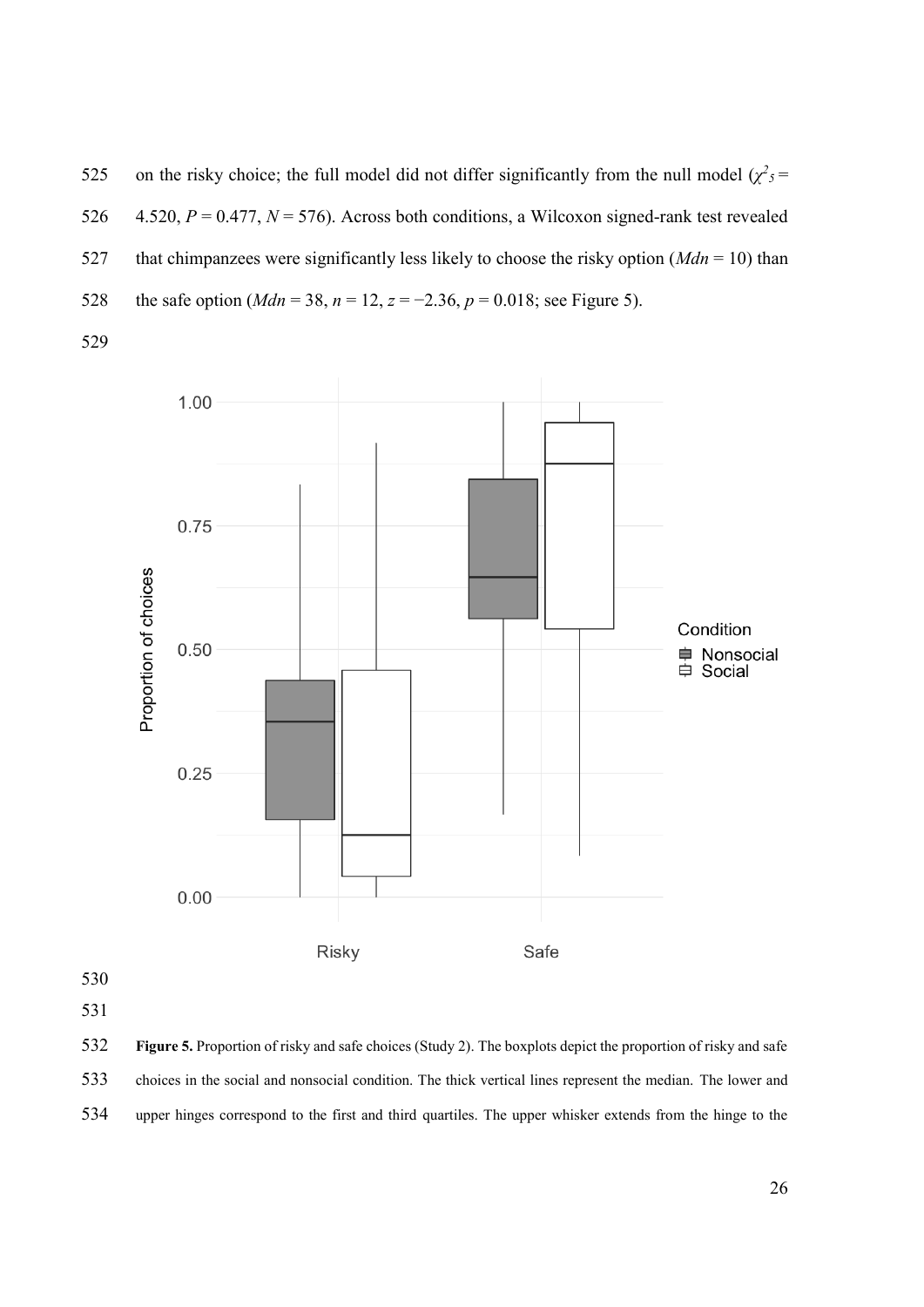525 on the risky choice; the full model did not differ significantly from the null model  $(\chi^2 s)$  = 4.520, *P* = 0.477, *N* = 576). Across both conditions, a Wilcoxon signed-rank test revealed that chimpanzees were significantly less likely to choose the risky option (*Mdn* = 10) than 528 the safe option ( $Mdn = 38$ ,  $n = 12$ ,  $z = -2.36$ ,  $p = 0.018$ ; see Figure 5).



 **Figure 5.** Proportion of risky and safe choices (Study 2). The boxplots depict the proportion of risky and safe choices in the social and nonsocial condition. The thick vertical lines represent the median. The lower and upper hinges correspond to the first and third quartiles. The upper whisker extends from the hinge to the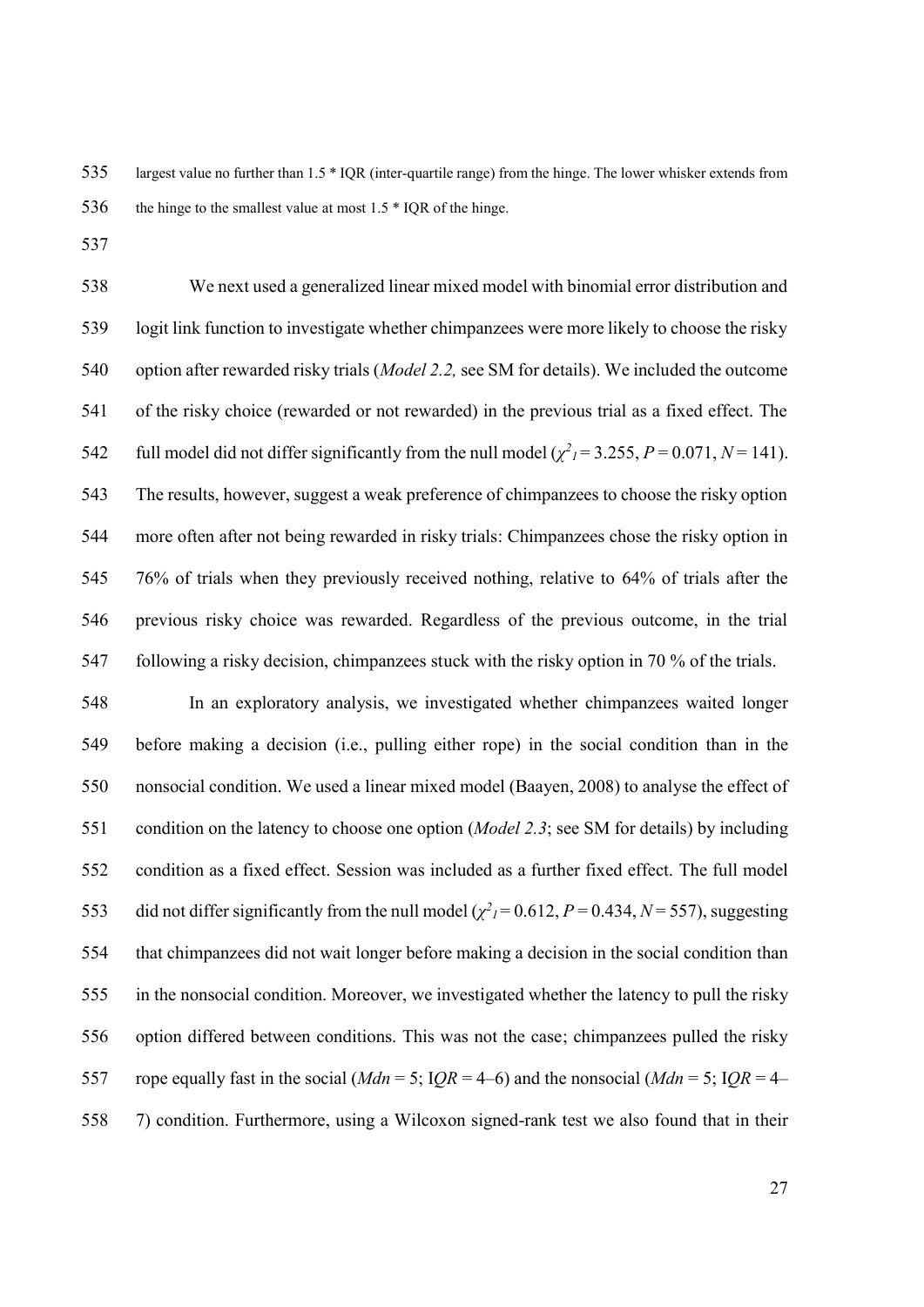largest value no further than 1.5 \* IQR (inter-quartile range) from the hinge. The lower whisker extends from 536 the hinge to the smallest value at most  $1.5 * IQR$  of the hinge.

 We next used a generalized linear mixed model with binomial error distribution and logit link function to investigate whether chimpanzees were more likely to choose the risky option after rewarded risky trials (*Model 2.2,* see SM for details). We included the outcome of the risky choice (rewarded or not rewarded) in the previous trial as a fixed effect. The full model did not differ significantly from the null model  $(\chi^2)^2 = 3.255$ ,  $P = 0.071$ ,  $N = 141$ ). The results, however, suggest a weak preference of chimpanzees to choose the risky option more often after not being rewarded in risky trials: Chimpanzees chose the risky option in 76% of trials when they previously received nothing, relative to 64% of trials after the previous risky choice was rewarded. Regardless of the previous outcome, in the trial 547 following a risky decision, chimpanzees stuck with the risky option in 70 % of the trials.

 In an exploratory analysis, we investigated whether chimpanzees waited longer before making a decision (i.e., pulling either rope) in the social condition than in the nonsocial condition. We used a linear mixed model (Baayen, 2008) to analyse the effect of condition on the latency to choose one option (*Model 2.3*; see SM for details) by including condition as a fixed effect. Session was included as a further fixed effect. The full model 553 did not differ significantly from the null model  $(\chi^2)^2 = 0.612$ ,  $P = 0.434$ ,  $N = 557$ ), suggesting that chimpanzees did not wait longer before making a decision in the social condition than in the nonsocial condition. Moreover, we investigated whether the latency to pull the risky option differed between conditions. This was not the case; chimpanzees pulled the risky 557 rope equally fast in the social ( $Mdn = 5$ ;  $IQR = 4-6$ ) and the nonsocial ( $Mdn = 5$ ;  $IQR = 4-6$ ) 7) condition. Furthermore, using a Wilcoxon signed-rank test we also found that in their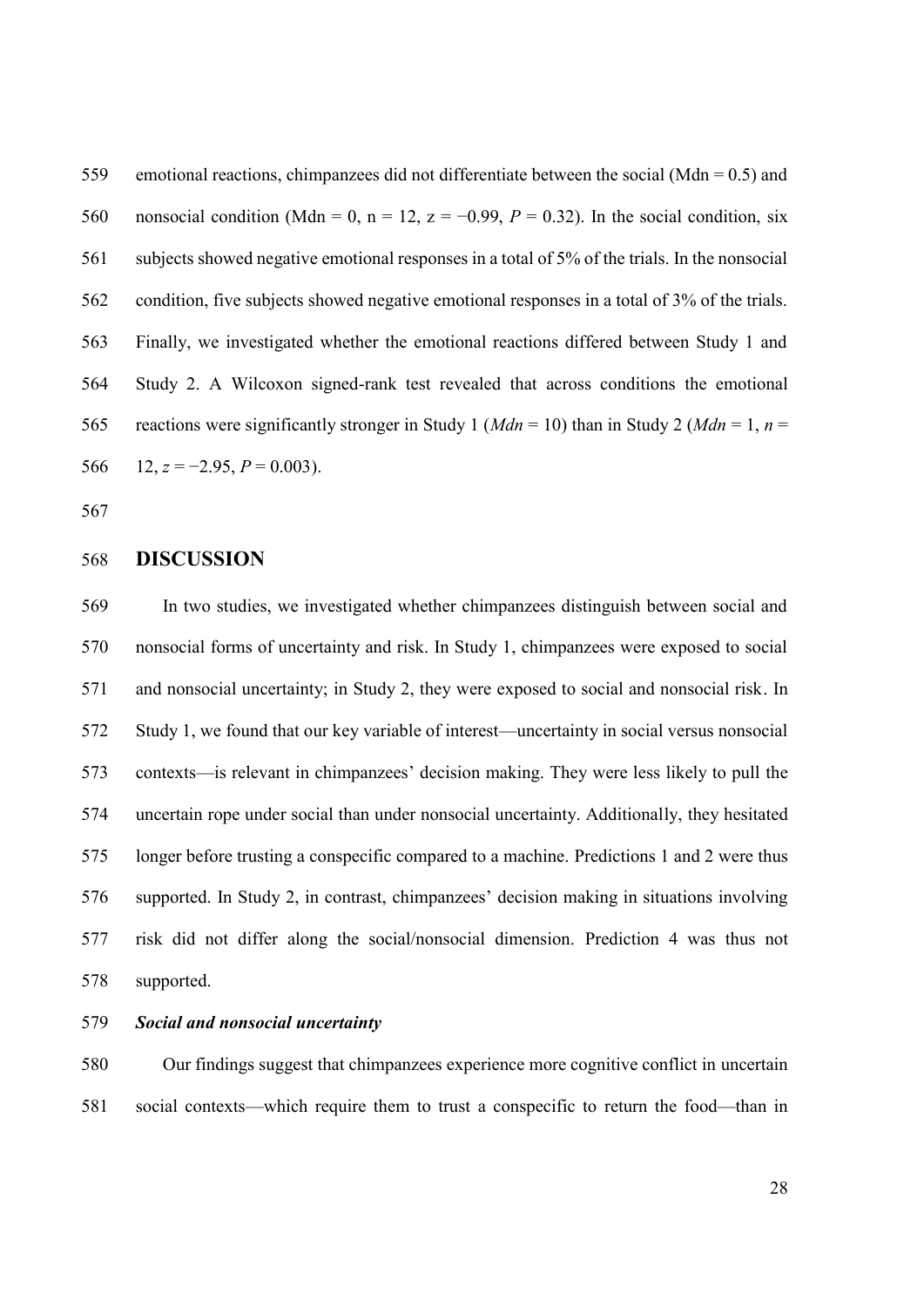emotional reactions, chimpanzees did not differentiate between the social (Mdn = 0.5) and 560 nonsocial condition (Mdn = 0, n = 12, z = -0.99,  $P = 0.32$ ). In the social condition, six subjects showed negative emotional responses in a total of 5% of the trials. In the nonsocial condition, five subjects showed negative emotional responses in a total of 3% of the trials. Finally, we investigated whether the emotional reactions differed between Study 1 and Study 2. A Wilcoxon signed-rank test revealed that across conditions the emotional 565 reactions were significantly stronger in Study 1 ( $Mdn = 10$ ) than in Study 2 ( $Mdn = 1$ ,  $n =$ 566 12,  $z = -2.95$ ,  $P = 0.003$ ).

### **DISCUSSION**

 In two studies, we investigated whether chimpanzees distinguish between social and nonsocial forms of uncertainty and risk. In Study 1, chimpanzees were exposed to social and nonsocial uncertainty; in Study 2, they were exposed to social and nonsocial risk. In Study 1, we found that our key variable of interest—uncertainty in social versus nonsocial contexts—is relevant in chimpanzees' decision making. They were less likely to pull the uncertain rope under social than under nonsocial uncertainty. Additionally, they hesitated longer before trusting a conspecific compared to a machine. Predictions 1 and 2 were thus supported. In Study 2, in contrast, chimpanzees' decision making in situations involving risk did not differ along the social/nonsocial dimension. Prediction 4 was thus not supported.

### *Social and nonsocial uncertainty*

 Our findings suggest that chimpanzees experience more cognitive conflict in uncertain social contexts—which require them to trust a conspecific to return the food—than in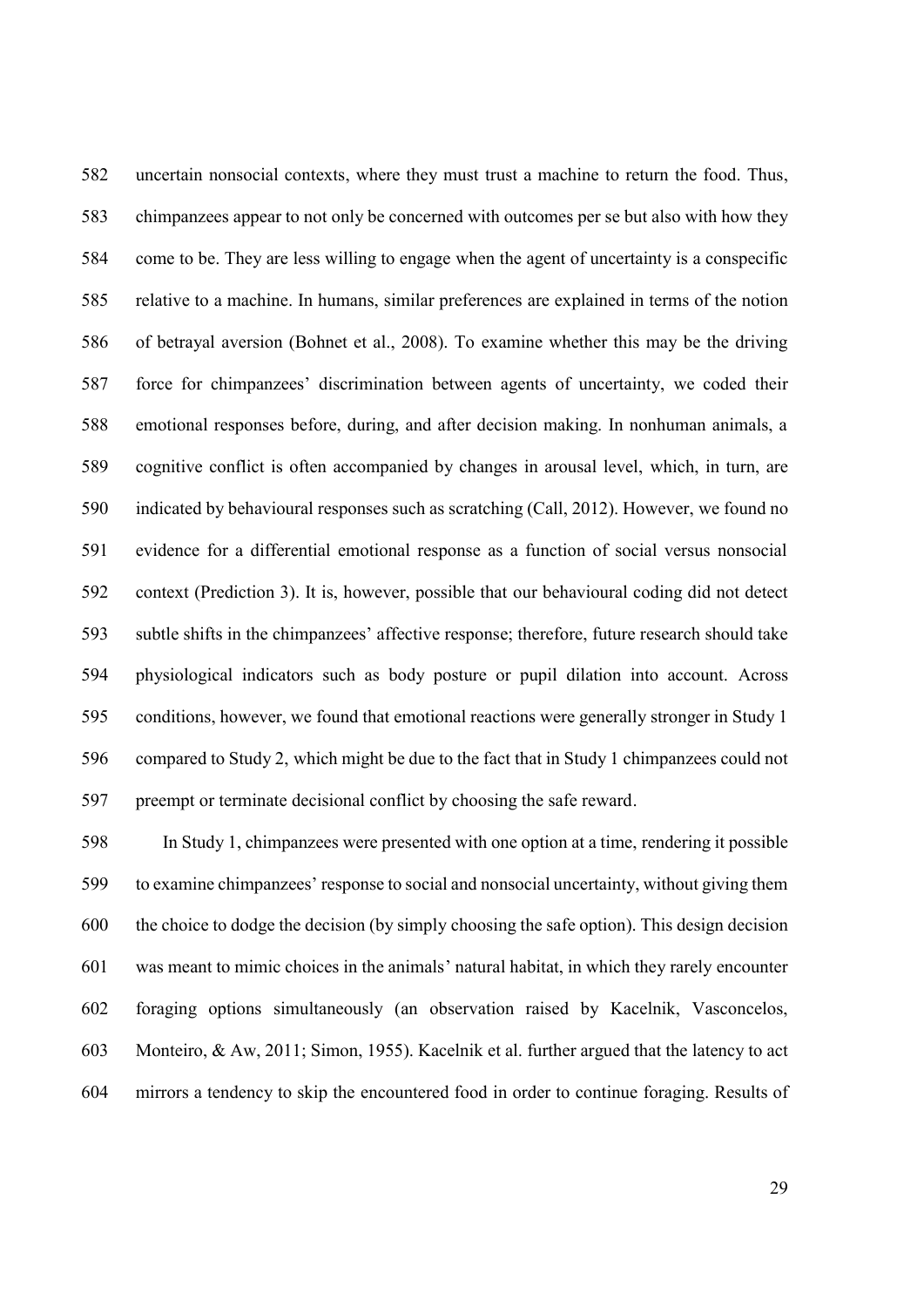uncertain nonsocial contexts, where they must trust a machine to return the food. Thus, chimpanzees appear to not only be concerned with outcomes per se but also with how they come to be. They are less willing to engage when the agent of uncertainty is a conspecific relative to a machine. In humans, similar preferences are explained in terms of the notion of betrayal aversion (Bohnet et al., 2008). To examine whether this may be the driving force for chimpanzees' discrimination between agents of uncertainty, we coded their emotional responses before, during, and after decision making. In nonhuman animals, a cognitive conflict is often accompanied by changes in arousal level, which, in turn, are indicated by behavioural responses such as scratching (Call, 2012). However, we found no evidence for a differential emotional response as a function of social versus nonsocial context (Prediction 3). It is, however, possible that our behavioural coding did not detect subtle shifts in the chimpanzees' affective response; therefore, future research should take physiological indicators such as body posture or pupil dilation into account. Across conditions, however, we found that emotional reactions were generally stronger in Study 1 compared to Study 2, which might be due to the fact that in Study 1 chimpanzees could not preempt or terminate decisional conflict by choosing the safe reward.

 In Study 1, chimpanzees were presented with one option at a time, rendering it possible to examine chimpanzees' response to social and nonsocial uncertainty, without giving them the choice to dodge the decision (by simply choosing the safe option). This design decision was meant to mimic choices in the animals' natural habitat, in which they rarely encounter foraging options simultaneously (an observation raised by Kacelnik, Vasconcelos, Monteiro, & Aw, 2011; Simon, 1955). Kacelnik et al. further argued that the latency to act mirrors a tendency to skip the encountered food in order to continue foraging. Results of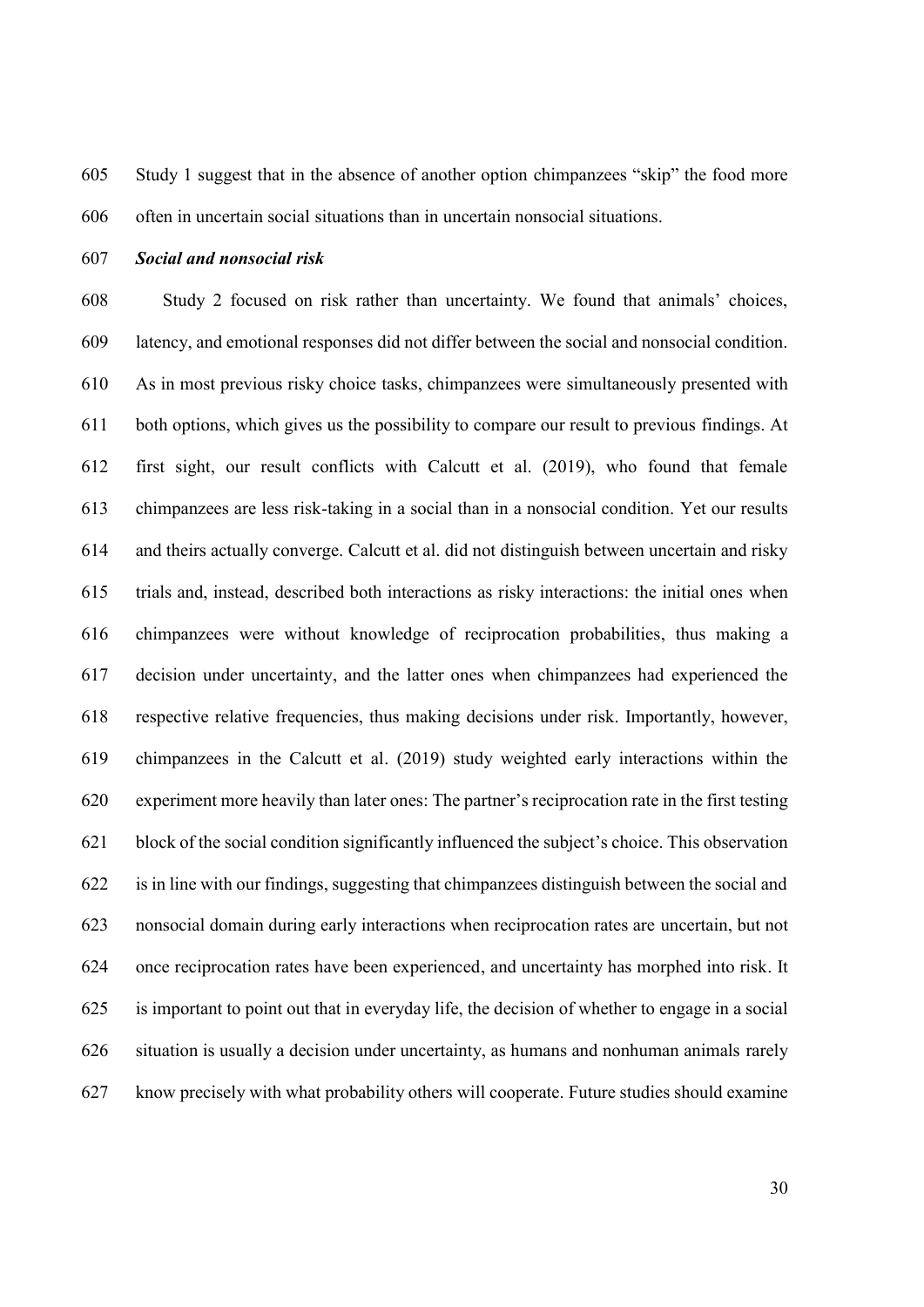Study 1 suggest that in the absence of another option chimpanzees "skip" the food more often in uncertain social situations than in uncertain nonsocial situations.

### *Social and nonsocial risk*

 Study 2 focused on risk rather than uncertainty. We found that animals' choices, latency, and emotional responses did not differ between the social and nonsocial condition. As in most previous risky choice tasks, chimpanzees were simultaneously presented with both options, which gives us the possibility to compare our result to previous findings. At first sight, our result conflicts with Calcutt et al. (2019), who found that female chimpanzees are less risk-taking in a social than in a nonsocial condition. Yet our results and theirs actually converge. Calcutt et al. did not distinguish between uncertain and risky trials and, instead, described both interactions as risky interactions: the initial ones when chimpanzees were without knowledge of reciprocation probabilities, thus making a decision under uncertainty, and the latter ones when chimpanzees had experienced the respective relative frequencies, thus making decisions under risk. Importantly, however, chimpanzees in the Calcutt et al. (2019) study weighted early interactions within the experiment more heavily than later ones: The partner's reciprocation rate in the first testing block of the social condition significantly influenced the subject's choice. This observation is in line with our findings, suggesting that chimpanzees distinguish between the social and nonsocial domain during early interactions when reciprocation rates are uncertain, but not once reciprocation rates have been experienced, and uncertainty has morphed into risk. It is important to point out that in everyday life, the decision of whether to engage in a social situation is usually a decision under uncertainty, as humans and nonhuman animals rarely know precisely with what probability others will cooperate. Future studies should examine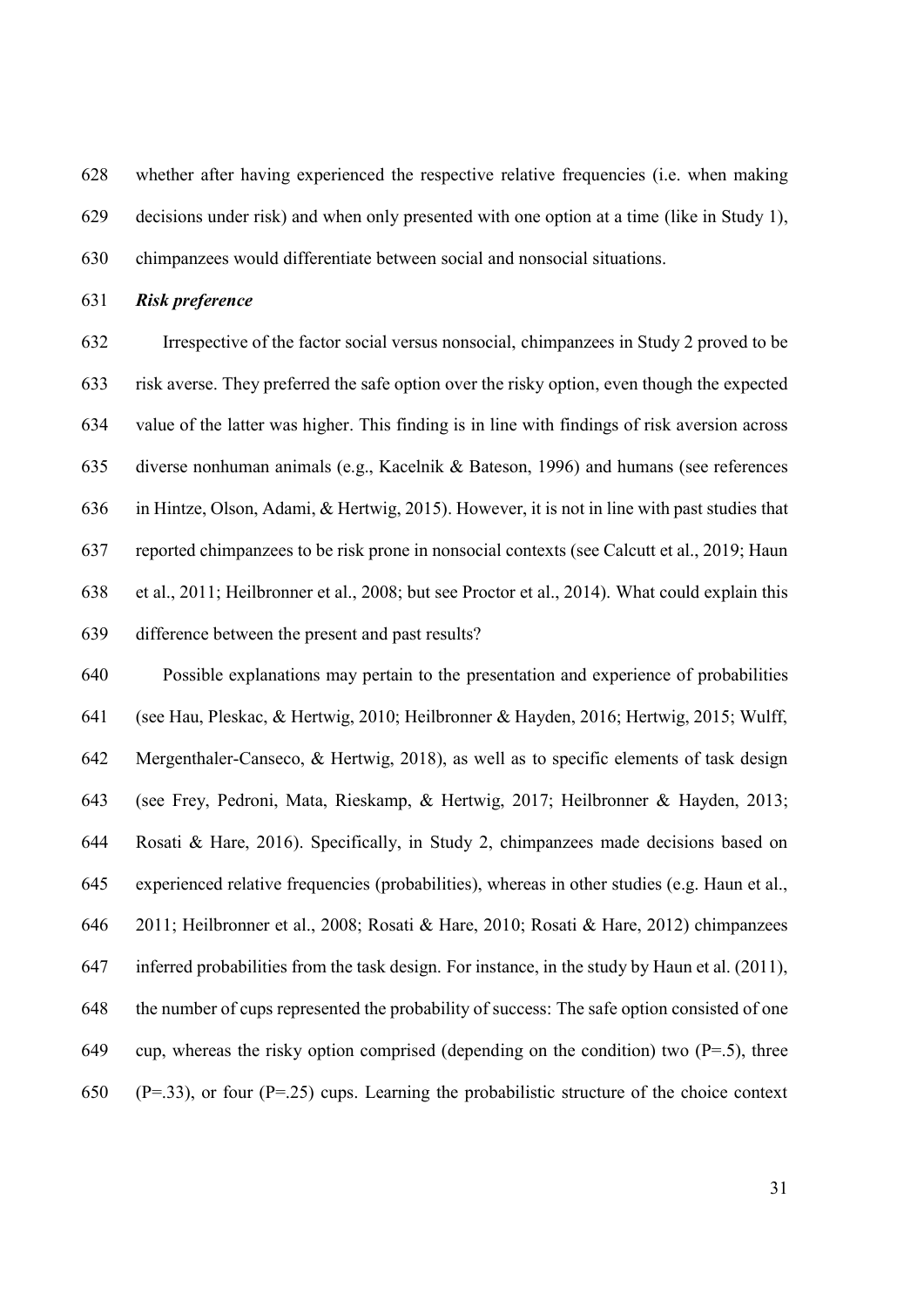whether after having experienced the respective relative frequencies (i.e. when making decisions under risk) and when only presented with one option at a time (like in Study 1), chimpanzees would differentiate between social and nonsocial situations.

*Risk preference*

 Irrespective of the factor social versus nonsocial, chimpanzees in Study 2 proved to be risk averse. They preferred the safe option over the risky option, even though the expected value of the latter was higher. This finding is in line with findings of risk aversion across diverse nonhuman animals (e.g., Kacelnik & Bateson, 1996) and humans (see references in Hintze, Olson, Adami, & Hertwig, 2015). However, it is not in line with past studies that reported chimpanzees to be risk prone in nonsocial contexts (see Calcutt et al., 2019; Haun et al., 2011; Heilbronner et al., 2008; but see Proctor et al., 2014). What could explain this difference between the present and past results?

 Possible explanations may pertain to the presentation and experience of probabilities (see Hau, Pleskac, & Hertwig, 2010; Heilbronner & Hayden, 2016; Hertwig, 2015; Wulff, Mergenthaler-Canseco, & Hertwig, 2018), as well as to specific elements of task design (see Frey, Pedroni, Mata, Rieskamp, & Hertwig, 2017; Heilbronner & Hayden, 2013; Rosati & Hare, 2016). Specifically, in Study 2, chimpanzees made decisions based on experienced relative frequencies (probabilities), whereas in other studies (e.g. Haun et al., 2011; Heilbronner et al., 2008; Rosati & Hare, 2010; Rosati & Hare, 2012) chimpanzees inferred probabilities from the task design. For instance, in the study by Haun et al. (2011), the number of cups represented the probability of success: The safe option consisted of one 649 cup, whereas the risky option comprised (depending on the condition) two  $(P=0.5)$ , three 650 (P=.33), or four (P=.25) cups. Learning the probabilistic structure of the choice context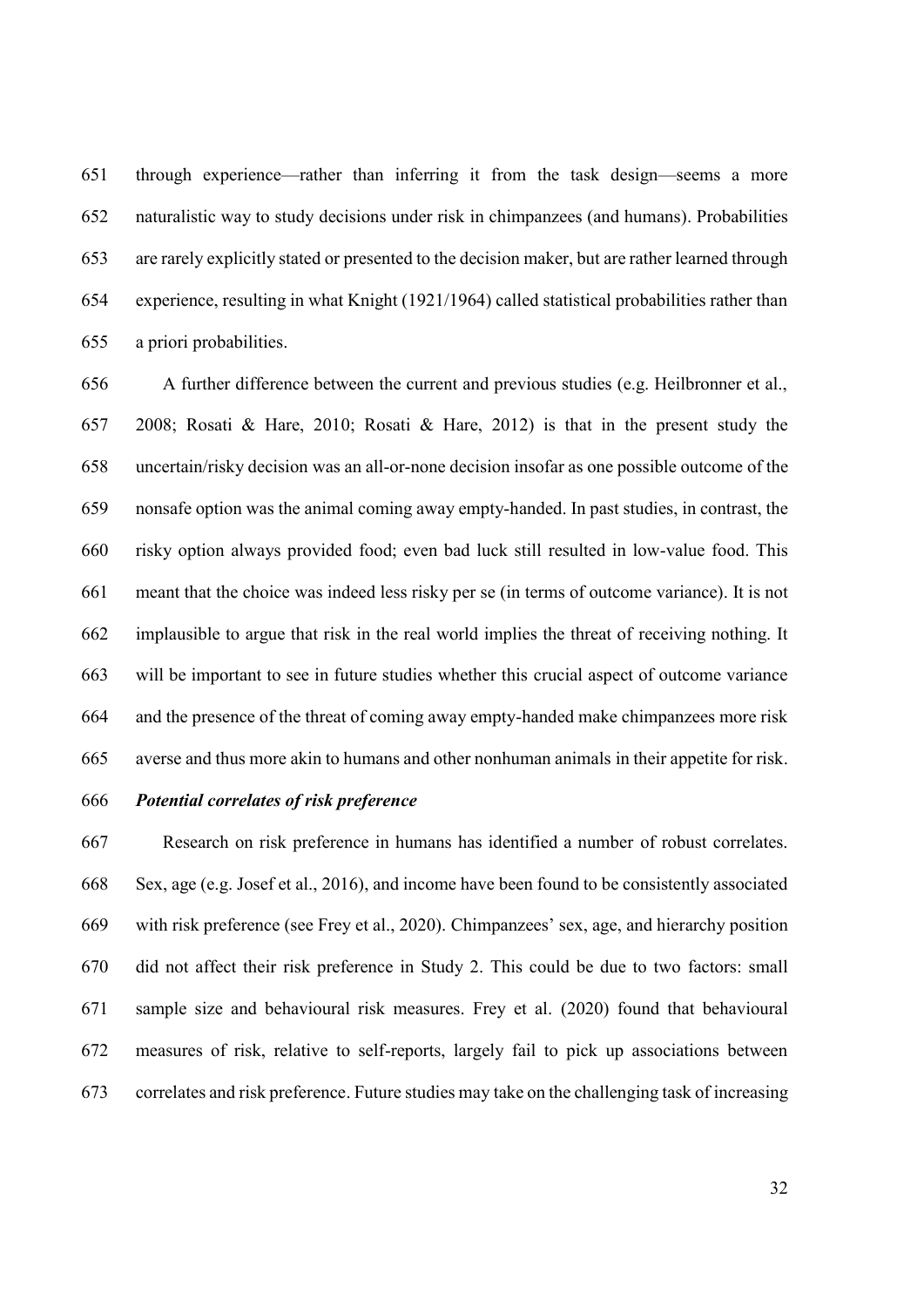through experience—rather than inferring it from the task design—seems a more naturalistic way to study decisions under risk in chimpanzees (and humans). Probabilities are rarely explicitly stated or presented to the decision maker, but are rather learned through experience, resulting in what Knight (1921/1964) called statistical probabilities rather than a priori probabilities.

 A further difference between the current and previous studies (e.g. Heilbronner et al., 2008; Rosati & Hare, 2010; Rosati & Hare, 2012) is that in the present study the uncertain/risky decision was an all-or-none decision insofar as one possible outcome of the nonsafe option was the animal coming away empty-handed. In past studies, in contrast, the risky option always provided food; even bad luck still resulted in low-value food. This meant that the choice was indeed less risky per se (in terms of outcome variance). It is not implausible to argue that risk in the real world implies the threat of receiving nothing. It will be important to see in future studies whether this crucial aspect of outcome variance and the presence of the threat of coming away empty-handed make chimpanzees more risk averse and thus more akin to humans and other nonhuman animals in their appetite for risk.

### *Potential correlates of risk preference*

 Research on risk preference in humans has identified a number of robust correlates. Sex, age (e.g. Josef et al., 2016), and income have been found to be consistently associated with risk preference (see Frey et al., 2020). Chimpanzees' sex, age, and hierarchy position did not affect their risk preference in Study 2. This could be due to two factors: small sample size and behavioural risk measures. Frey et al. (2020) found that behavioural measures of risk, relative to self-reports, largely fail to pick up associations between correlates and risk preference. Future studies may take on the challenging task of increasing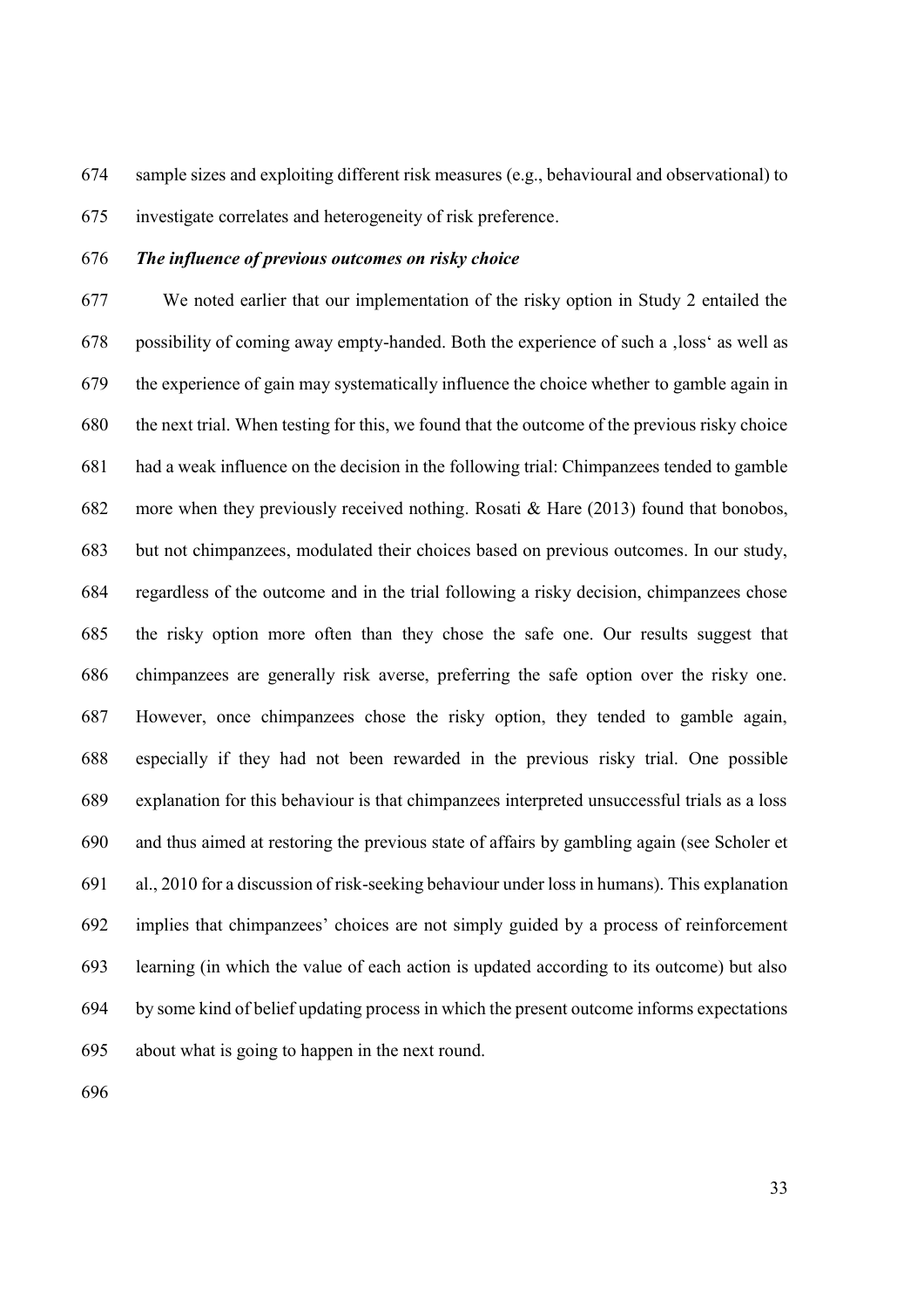sample sizes and exploiting different risk measures (e.g., behavioural and observational) to

investigate correlates and heterogeneity of risk preference.

### *The influence of previous outcomes on risky choice*

 We noted earlier that our implementation of the risky option in Study 2 entailed the possibility of coming away empty-handed. Both the experience of such a 'loss' as well as the experience of gain may systematically influence the choice whether to gamble again in the next trial. When testing for this, we found that the outcome of the previous risky choice had a weak influence on the decision in the following trial: Chimpanzees tended to gamble more when they previously received nothing. Rosati & Hare (2013) found that bonobos, but not chimpanzees, modulated their choices based on previous outcomes. In our study, regardless of the outcome and in the trial following a risky decision, chimpanzees chose the risky option more often than they chose the safe one. Our results suggest that chimpanzees are generally risk averse, preferring the safe option over the risky one. However, once chimpanzees chose the risky option, they tended to gamble again, especially if they had not been rewarded in the previous risky trial. One possible explanation for this behaviour is that chimpanzees interpreted unsuccessful trials as a loss and thus aimed at restoring the previous state of affairs by gambling again (see Scholer et al., 2010 for a discussion of risk-seeking behaviour under loss in humans). This explanation implies that chimpanzees' choices are not simply guided by a process of reinforcement learning (in which the value of each action is updated according to its outcome) but also by some kind of belief updating process in which the present outcome informs expectations about what is going to happen in the next round.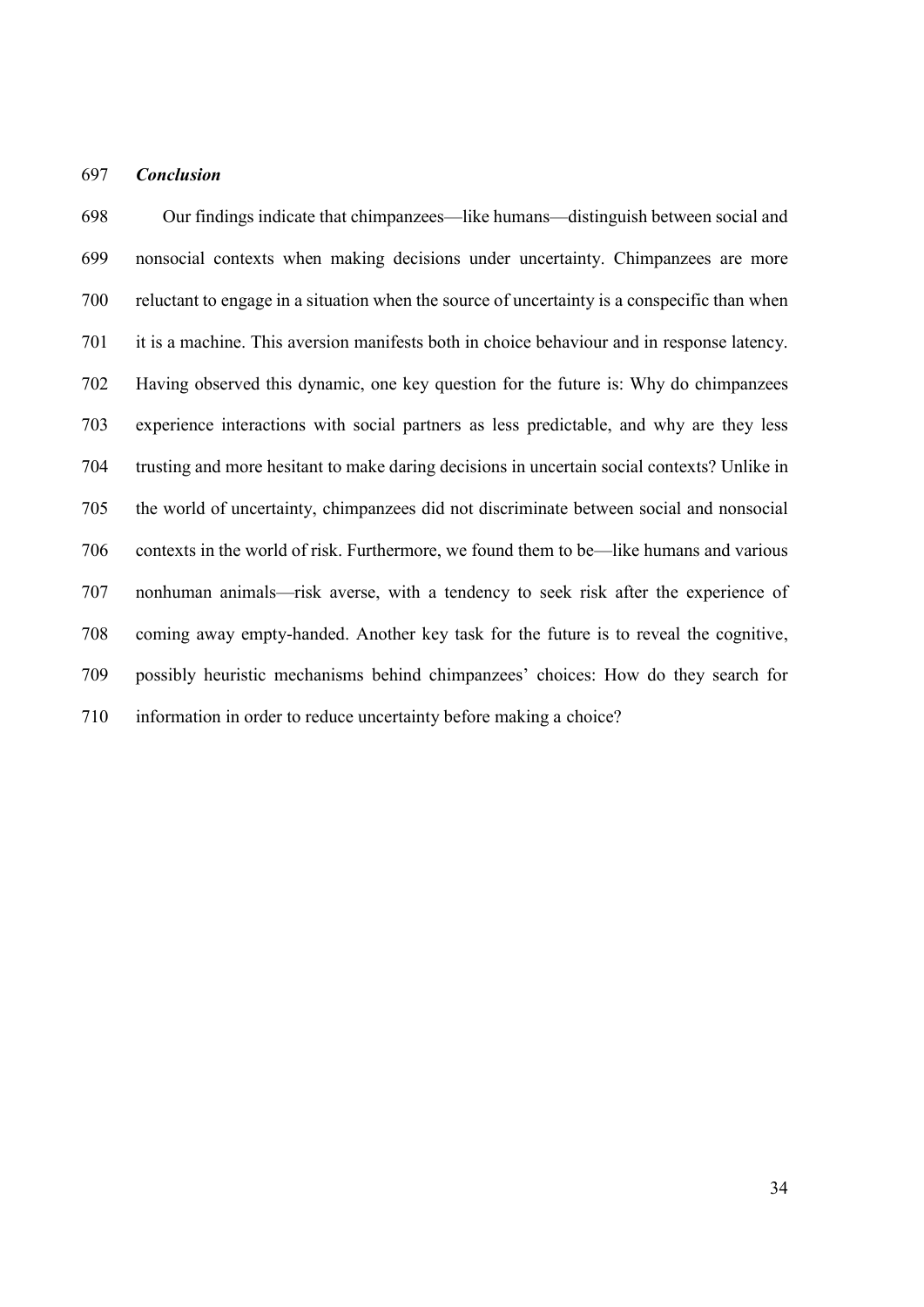### *Conclusion*

 Our findings indicate that chimpanzees—like humans—distinguish between social and nonsocial contexts when making decisions under uncertainty. Chimpanzees are more reluctant to engage in a situation when the source of uncertainty is a conspecific than when it is a machine. This aversion manifests both in choice behaviour and in response latency. Having observed this dynamic, one key question for the future is: Why do chimpanzees experience interactions with social partners as less predictable, and why are they less trusting and more hesitant to make daring decisions in uncertain social contexts? Unlike in the world of uncertainty, chimpanzees did not discriminate between social and nonsocial contexts in the world of risk. Furthermore, we found them to be—like humans and various nonhuman animals—risk averse, with a tendency to seek risk after the experience of coming away empty-handed. Another key task for the future is to reveal the cognitive, possibly heuristic mechanisms behind chimpanzees' choices: How do they search for information in order to reduce uncertainty before making a choice?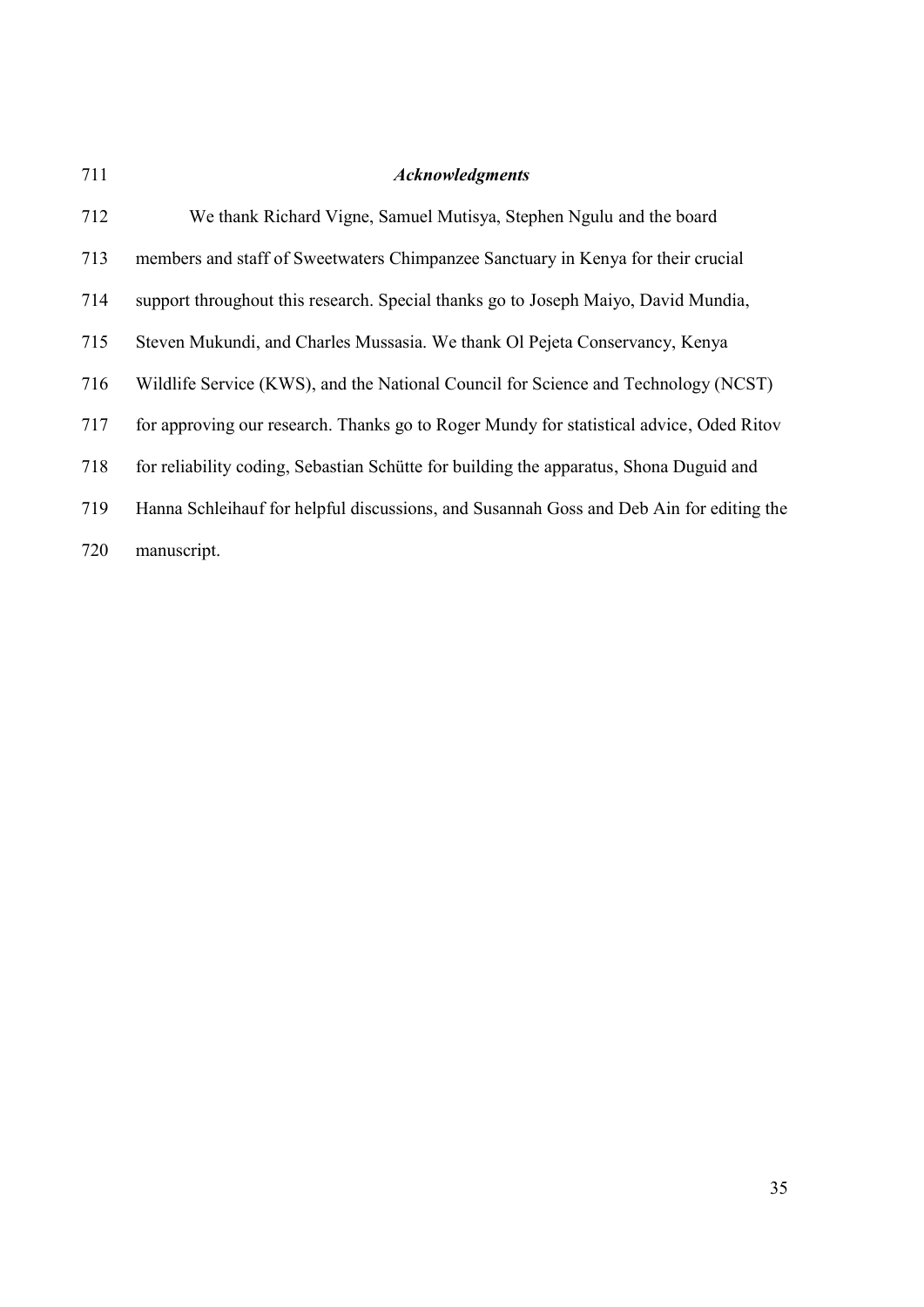| 711 | <b>Acknowledgments</b>                                                                  |
|-----|-----------------------------------------------------------------------------------------|
| 712 | We thank Richard Vigne, Samuel Mutisya, Stephen Ngulu and the board                     |
| 713 | members and staff of Sweetwaters Chimpanzee Sanctuary in Kenya for their crucial        |
| 714 | support throughout this research. Special thanks go to Joseph Maiyo, David Mundia,      |
| 715 | Steven Mukundi, and Charles Mussasia. We thank Ol Pejeta Conservancy, Kenya             |
| 716 | Wildlife Service (KWS), and the National Council for Science and Technology (NCST)      |
| 717 | for approving our research. Thanks go to Roger Mundy for statistical advice, Oded Ritov |
| 718 | for reliability coding, Sebastian Schütte for building the apparatus, Shona Duguid and  |
| 719 | Hanna Schleihauf for helpful discussions, and Susannah Goss and Deb Ain for editing the |
| 720 | manuscript.                                                                             |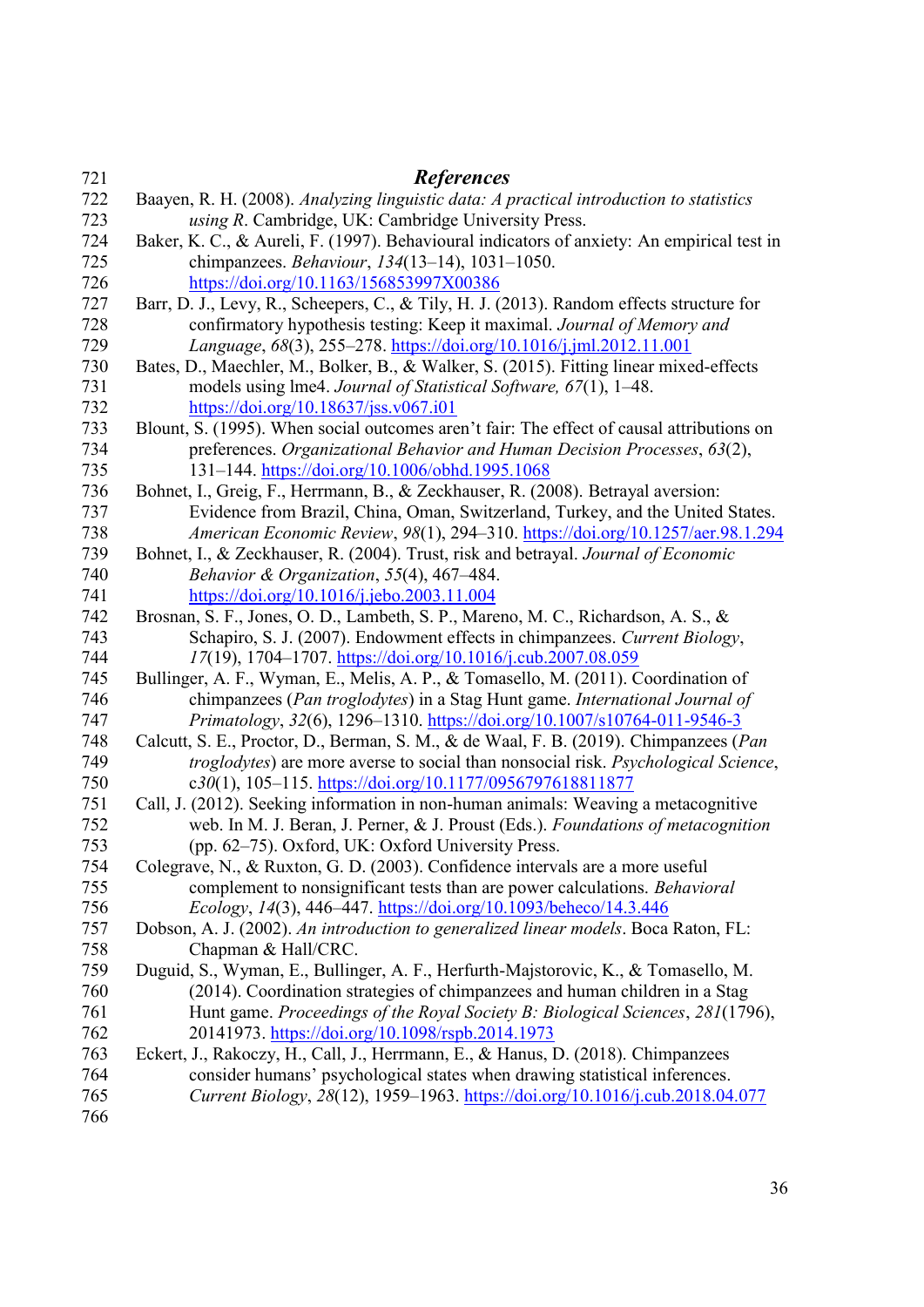| 721 | <b>References</b>                                                                          |
|-----|--------------------------------------------------------------------------------------------|
| 722 | Baayen, R. H. (2008). Analyzing linguistic data: A practical introduction to statistics    |
| 723 | using R. Cambridge, UK: Cambridge University Press.                                        |
| 724 | Baker, K. C., & Aureli, F. (1997). Behavioural indicators of anxiety: An empirical test in |
| 725 | chimpanzees. Behaviour, 134(13-14), 1031-1050.                                             |
| 726 | https://doi.org/10.1163/156853997X00386                                                    |
| 727 | Barr, D. J., Levy, R., Scheepers, C., & Tily, H. J. (2013). Random effects structure for   |
| 728 | confirmatory hypothesis testing: Keep it maximal. Journal of Memory and                    |
| 729 | Language, 68(3), 255-278. https://doi.org/10.1016/j.jml.2012.11.001                        |
| 730 | Bates, D., Maechler, M., Bolker, B., & Walker, S. (2015). Fitting linear mixed-effects     |
| 731 | models using lme4. Journal of Statistical Software, 67(1), 1–48.                           |
| 732 | https://doi.org/10.18637/jss.v067.i01                                                      |
| 733 | Blount, S. (1995). When social outcomes aren't fair: The effect of causal attributions on  |
| 734 | preferences. Organizational Behavior and Human Decision Processes, 63(2),                  |
| 735 | 131-144. https://doi.org/10.1006/obhd.1995.1068                                            |
| 736 | Bohnet, I., Greig, F., Herrmann, B., & Zeckhauser, R. (2008). Betrayal aversion:           |
| 737 | Evidence from Brazil, China, Oman, Switzerland, Turkey, and the United States.             |
| 738 | American Economic Review, 98(1), 294-310. https://doi.org/10.1257/aer.98.1.294             |
| 739 | Bohnet, I., & Zeckhauser, R. (2004). Trust, risk and betrayal. Journal of Economic         |
| 740 | Behavior & Organization, 55(4), 467-484.                                                   |
| 741 | https://doi.org/10.1016/j.jebo.2003.11.004                                                 |
| 742 | Brosnan, S. F., Jones, O. D., Lambeth, S. P., Mareno, M. C., Richardson, A. S., &          |
| 743 | Schapiro, S. J. (2007). Endowment effects in chimpanzees. Current Biology,                 |
| 744 | 17(19), 1704–1707. https://doi.org/10.1016/j.cub.2007.08.059                               |
| 745 | Bullinger, A. F., Wyman, E., Melis, A. P., & Tomasello, M. (2011). Coordination of         |
| 746 | chimpanzees (Pan troglodytes) in a Stag Hunt game. International Journal of                |
| 747 | Primatology, 32(6), 1296-1310. https://doi.org/10.1007/s10764-011-9546-3                   |
| 748 | Calcutt, S. E., Proctor, D., Berman, S. M., & de Waal, F. B. (2019). Chimpanzees (Pan      |
| 749 | troglodytes) are more averse to social than nonsocial risk. Psychological Science,         |
| 750 | c30(1), 105-115. https://doi.org/10.1177/0956797618811877                                  |
| 751 | Call, J. (2012). Seeking information in non-human animals: Weaving a metacognitive         |
| 752 | web. In M. J. Beran, J. Perner, & J. Proust (Eds.). Foundations of metacognition           |
| 753 | (pp. 62–75). Oxford, UK: Oxford University Press.                                          |
| 754 | Colegrave, N., & Ruxton, G. D. (2003). Confidence intervals are a more useful              |
| 755 | complement to nonsignificant tests than are power calculations. Behavioral                 |
| 756 | Ecology, 14(3), 446-447. https://doi.org/10.1093/beheco/14.3.446                           |
| 757 | Dobson, A. J. (2002). An introduction to generalized linear models. Boca Raton, FL:        |
| 758 | Chapman & Hall/CRC.                                                                        |
| 759 | Duguid, S., Wyman, E., Bullinger, A. F., Herfurth-Majstorovic, K., & Tomasello, M.         |
| 760 | (2014). Coordination strategies of chimpanzees and human children in a Stag                |
| 761 | Hunt game. Proceedings of the Royal Society B: Biological Sciences, 281(1796),             |
| 762 | 20141973. https://doi.org/10.1098/rspb.2014.1973                                           |
| 763 | Eckert, J., Rakoczy, H., Call, J., Herrmann, E., & Hanus, D. (2018). Chimpanzees           |
| 764 | consider humans' psychological states when drawing statistical inferences.                 |
| 765 | Current Biology, 28(12), 1959-1963. https://doi.org/10.1016/j.cub.2018.04.077              |
| 766 |                                                                                            |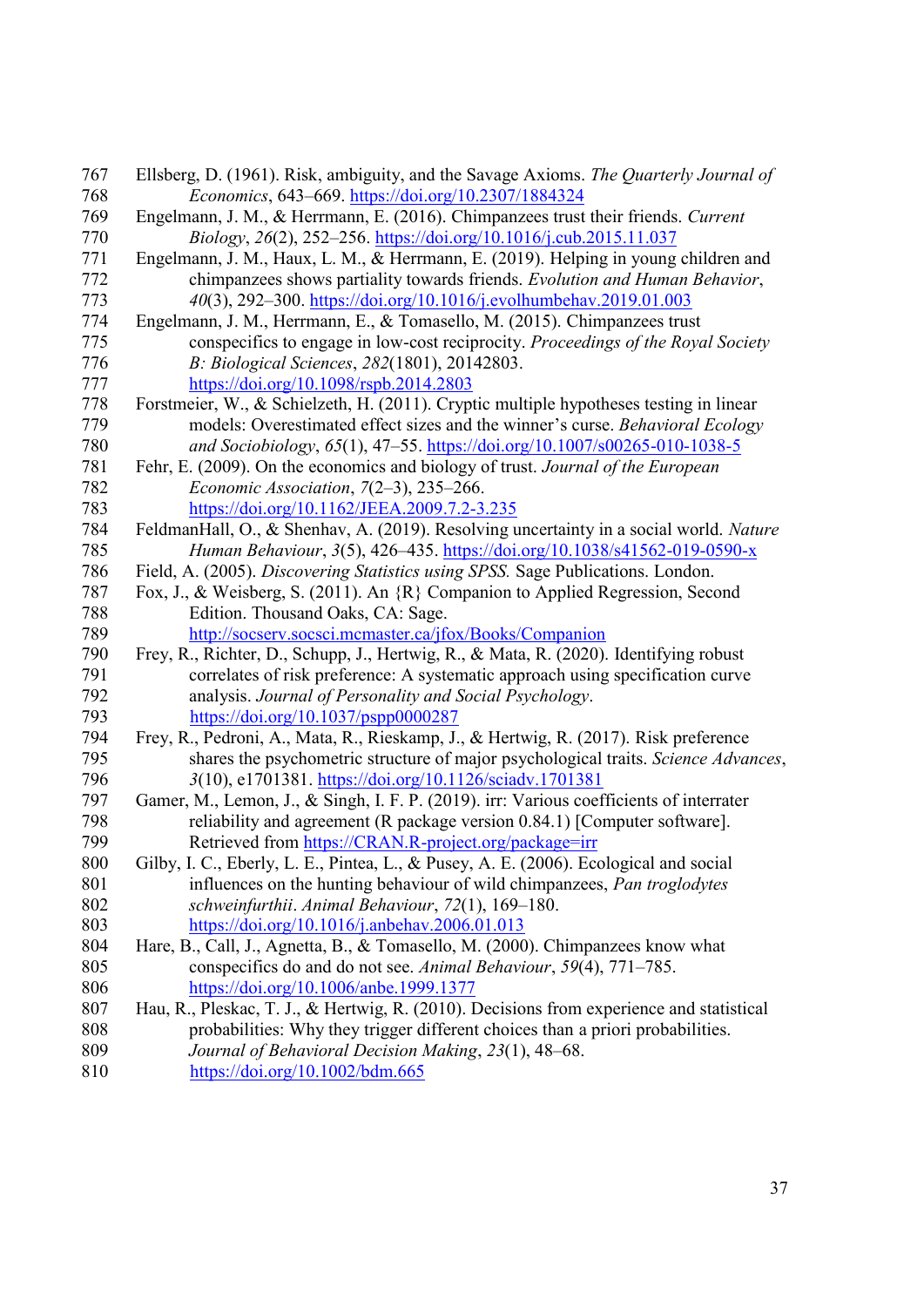| 767 | Ellsberg, D. (1961). Risk, ambiguity, and the Savage Axioms. The Quarterly Journal of    |
|-----|------------------------------------------------------------------------------------------|
| 768 | Economics, 643-669. https://doi.org/10.2307/1884324                                      |
| 769 | Engelmann, J. M., & Herrmann, E. (2016). Chimpanzees trust their friends. Current        |
| 770 | Biology, 26(2), 252-256. https://doi.org/10.1016/j.cub.2015.11.037                       |
| 771 | Engelmann, J. M., Haux, L. M., & Herrmann, E. (2019). Helping in young children and      |
| 772 | chimpanzees shows partiality towards friends. Evolution and Human Behavior,              |
| 773 | 40(3), 292-300. https://doi.org/10.1016/j.evolhumbehav.2019.01.003                       |
| 774 | Engelmann, J. M., Herrmann, E., & Tomasello, M. (2015). Chimpanzees trust                |
| 775 | conspecifics to engage in low-cost reciprocity. Proceedings of the Royal Society         |
| 776 | B: Biological Sciences, 282(1801), 20142803.                                             |
| 777 | https://doi.org/10.1098/rspb.2014.2803                                                   |
| 778 | Forstmeier, W., & Schielzeth, H. (2011). Cryptic multiple hypotheses testing in linear   |
| 779 | models: Overestimated effect sizes and the winner's curse. Behavioral Ecology            |
| 780 | and Sociobiology, 65(1), 47-55. https://doi.org/10.1007/s00265-010-1038-5                |
| 781 | Fehr, E. (2009). On the economics and biology of trust. Journal of the European          |
| 782 | Economic Association, $7(2-3)$ , $235-266$ .                                             |
| 783 | https://doi.org/10.1162/JEEA.2009.7.2-3.235                                              |
| 784 | FeldmanHall, O., & Shenhav, A. (2019). Resolving uncertainty in a social world. Nature   |
| 785 | Human Behaviour, 3(5), 426-435. https://doi.org/10.1038/s41562-019-0590-x                |
| 786 | Field, A. (2005). Discovering Statistics using SPSS. Sage Publications. London.          |
| 787 | Fox, J., & Weisberg, S. (2011). An {R} Companion to Applied Regression, Second           |
| 788 | Edition. Thousand Oaks, CA: Sage.                                                        |
| 789 | http://socserv.socsci.mcmaster.ca/jfox/Books/Companion                                   |
| 790 | Frey, R., Richter, D., Schupp, J., Hertwig, R., & Mata, R. (2020). Identifying robust    |
| 791 | correlates of risk preference: A systematic approach using specification curve           |
| 792 | analysis. Journal of Personality and Social Psychology.                                  |
| 793 | https://doi.org/10.1037/pspp0000287                                                      |
| 794 | Frey, R., Pedroni, A., Mata, R., Rieskamp, J., & Hertwig, R. (2017). Risk preference     |
| 795 | shares the psychometric structure of major psychological traits. Science Advances,       |
| 796 | 3(10), e1701381. https://doi.org/10.1126/sciadv.1701381                                  |
| 797 | Gamer, M., Lemon, J., & Singh, I. F. P. (2019). irr: Various coefficients of interrater  |
| 798 | reliability and agreement (R package version 0.84.1) [Computer software].                |
| 799 | Retrieved from https://CRAN.R-project.org/package=irr                                    |
| 800 | Gilby, I. C., Eberly, L. E., Pintea, L., & Pusey, A. E. (2006). Ecological and social    |
| 801 | influences on the hunting behaviour of wild chimpanzees, Pan troglodytes                 |
| 802 | schweinfurthii. Animal Behaviour, 72(1), 169-180.                                        |
| 803 | https://doi.org/10.1016/j.anbehav.2006.01.013                                            |
| 804 | Hare, B., Call, J., Agnetta, B., & Tomasello, M. (2000). Chimpanzees know what           |
| 805 | conspecifics do and do not see. Animal Behaviour, 59(4), 771–785.                        |
| 806 | https://doi.org/10.1006/anbe.1999.1377                                                   |
| 807 | Hau, R., Pleskac, T. J., & Hertwig, R. (2010). Decisions from experience and statistical |
| 808 | probabilities: Why they trigger different choices than a priori probabilities.           |
| 809 | Journal of Behavioral Decision Making, 23(1), 48-68.                                     |
| 810 | $\frac{https://doi.org/10.1002/bdm.665}{https://doi.org/10.1002/bdm.665}$                |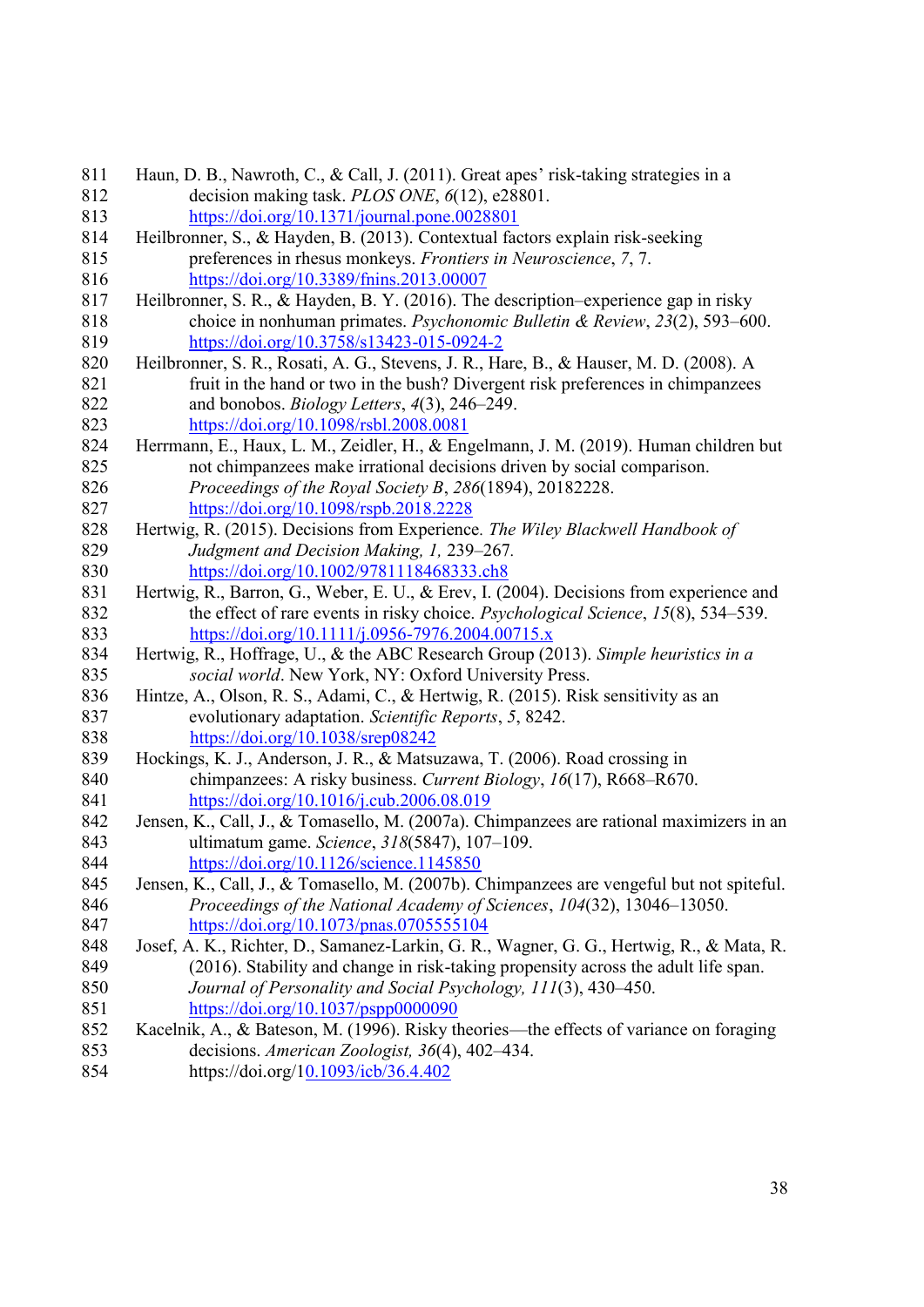| 811 | Haun, D. B., Nawroth, C., & Call, J. (2011). Great apes' risk-taking strategies in a      |
|-----|-------------------------------------------------------------------------------------------|
| 812 | decision making task. PLOS ONE, 6(12), e28801.                                            |
| 813 | https://doi.org/10.1371/journal.pone.0028801                                              |
| 814 | Heilbronner, S., & Hayden, B. (2013). Contextual factors explain risk-seeking             |
| 815 | preferences in rhesus monkeys. Frontiers in Neuroscience, 7, 7.                           |
| 816 | https://doi.org/10.3389/fnins.2013.00007                                                  |
| 817 | Heilbronner, S. R., & Hayden, B. Y. (2016). The description–experience gap in risky       |
| 818 | choice in nonhuman primates. Psychonomic Bulletin & Review, 23(2), 593–600.               |
| 819 | https://doi.org/10.3758/s13423-015-0924-2                                                 |
| 820 | Heilbronner, S. R., Rosati, A. G., Stevens, J. R., Hare, B., & Hauser, M. D. (2008). A    |
| 821 | fruit in the hand or two in the bush? Divergent risk preferences in chimpanzees           |
| 822 | and bonobos. <i>Biology Letters</i> , 4(3), 246–249.                                      |
| 823 | https://doi.org/10.1098/rsbl.2008.0081                                                    |
| 824 | Herrmann, E., Haux, L. M., Zeidler, H., & Engelmann, J. M. (2019). Human children but     |
| 825 | not chimpanzees make irrational decisions driven by social comparison.                    |
| 826 | Proceedings of the Royal Society B, 286(1894), 20182228.                                  |
| 827 | https://doi.org/10.1098/rspb.2018.2228                                                    |
| 828 | Hertwig, R. (2015). Decisions from Experience. The Wiley Blackwell Handbook of            |
| 829 | Judgment and Decision Making, 1, 239–267.                                                 |
| 830 | https://doi.org/10.1002/9781118468333.ch8                                                 |
| 831 | Hertwig, R., Barron, G., Weber, E. U., & Erev, I. (2004). Decisions from experience and   |
| 832 | the effect of rare events in risky choice. <i>Psychological Science</i> , 15(8), 534–539. |
| 833 | https://doi.org/10.1111/j.0956-7976.2004.00715.x                                          |
| 834 | Hertwig, R., Hoffrage, U., & the ABC Research Group (2013). Simple heuristics in a        |
| 835 | social world. New York, NY: Oxford University Press.                                      |
| 836 | Hintze, A., Olson, R. S., Adami, C., & Hertwig, R. (2015). Risk sensitivity as an         |
| 837 | evolutionary adaptation. Scientific Reports, 5, 8242.                                     |
| 838 | $\frac{https://doi.org/10.1038/srep08242}{https://doi.org/10.1038/srep08242}$             |
| 839 | Hockings, K. J., Anderson, J. R., & Matsuzawa, T. (2006). Road crossing in                |
| 840 | chimpanzees: A risky business. Current Biology, 16(17), R668-R670.                        |
| 841 | https://doi.org/10.1016/j.cub.2006.08.019                                                 |
| 842 | Jensen, K., Call, J., & Tomasello, M. (2007a). Chimpanzees are rational maximizers in an  |
| 843 | ultimatum game. Science, 318(5847), 107-109.                                              |
| 844 | https://doi.org/10.1126/science.1145850                                                   |
| 845 | Jensen, K., Call, J., & Tomasello, M. (2007b). Chimpanzees are vengeful but not spiteful. |
| 846 | Proceedings of the National Academy of Sciences, 104(32), 13046-13050.                    |
| 847 | https://doi.org/10.1073/pnas.0705555104                                                   |
| 848 | Josef, A. K., Richter, D., Samanez-Larkin, G. R., Wagner, G. G., Hertwig, R., & Mata, R.  |
| 849 | (2016). Stability and change in risk-taking propensity across the adult life span.        |
| 850 | Journal of Personality and Social Psychology, 111(3), 430–450.                            |
| 851 | $\frac{https://doi.org/10.1037/pspp0000090}{https://doi.org/10.1037/pspp0000090}$         |
| 852 | Kacelnik, A., & Bateson, M. (1996). Risky theories—the effects of variance on foraging    |
| 853 | decisions. American Zoologist, 36(4), 402-434.                                            |
| 854 | https://doi.org/10.1093/icb/36.4.402                                                      |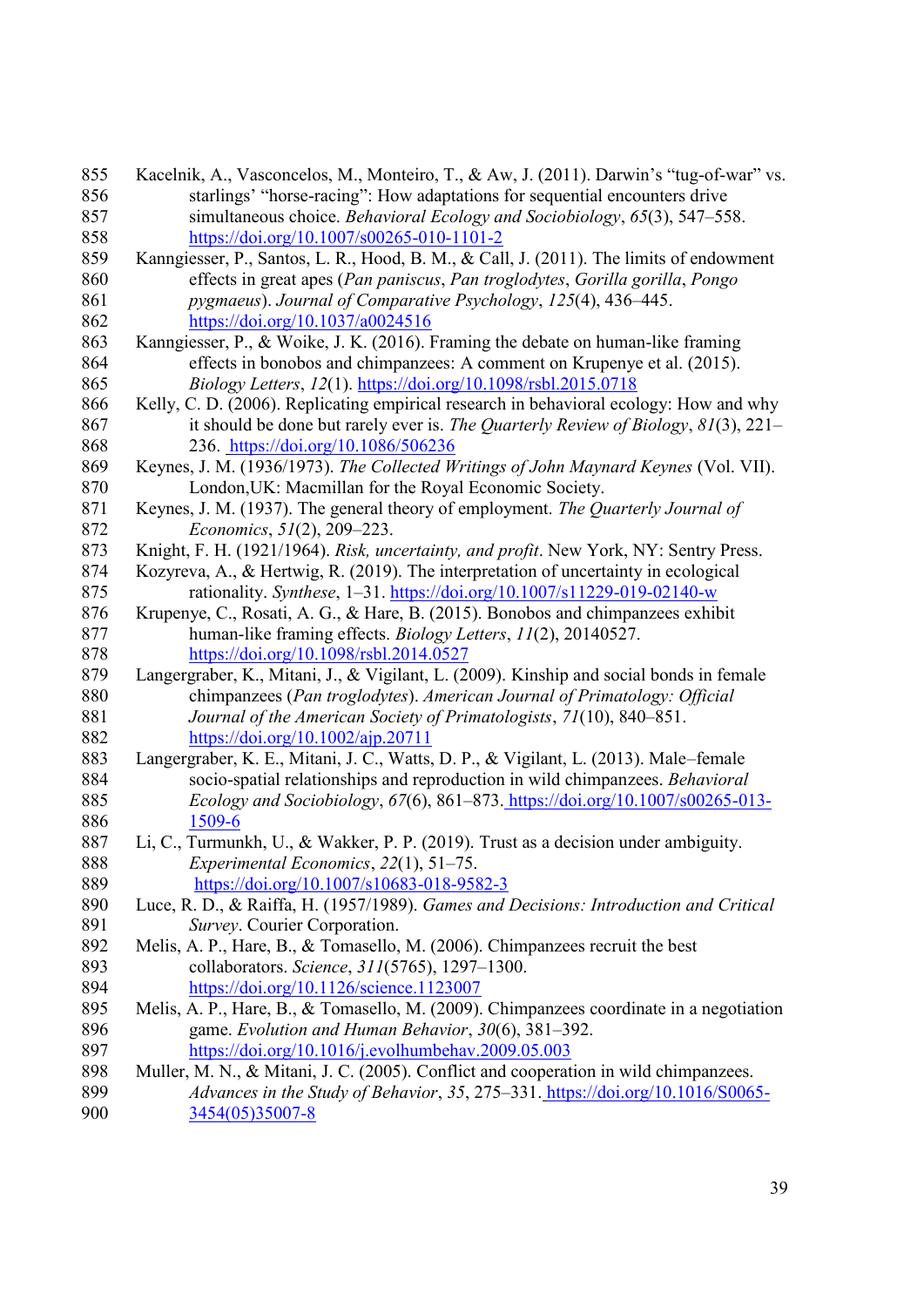| 855 | Kacelnik, A., Vasconcelos, M., Monteiro, T., & Aw, J. (2011). Darwin's "tug-of-war" vs. |
|-----|-----------------------------------------------------------------------------------------|
| 856 | starlings' "horse-racing": How adaptations for sequential encounters drive              |
| 857 | simultaneous choice. Behavioral Ecology and Sociobiology, 65(3), 547–558.               |
| 858 | https://doi.org/10.1007/s00265-010-1101-2                                               |
| 859 | Kanngiesser, P., Santos, L. R., Hood, B. M., & Call, J. (2011). The limits of endowment |
| 860 | effects in great apes (Pan paniscus, Pan troglodytes, Gorilla gorilla, Pongo            |
| 861 | pygmaeus). Journal of Comparative Psychology, 125(4), 436-445.                          |
| 862 | https://doi.org/10.1037/a0024516                                                        |
| 863 | Kanngiesser, P., & Woike, J. K. (2016). Framing the debate on human-like framing        |
| 864 | effects in bonobos and chimpanzees: A comment on Krupenye et al. (2015).                |
| 865 | Biology Letters, 12(1). https://doi.org/10.1098/rsbl.2015.0718                          |
| 866 | Kelly, C. D. (2006). Replicating empirical research in behavioral ecology: How and why  |
| 867 | it should be done but rarely ever is. The Quarterly Review of Biology, $81(3)$ , $221-$ |
| 868 | 236. https://doi.org/10.1086/506236                                                     |
| 869 | Keynes, J. M. (1936/1973). The Collected Writings of John Maynard Keynes (Vol. VII).    |
| 870 | London, UK: Macmillan for the Royal Economic Society.                                   |
| 871 | Keynes, J. M. (1937). The general theory of employment. The Quarterly Journal of        |
| 872 | Economics, 51(2), 209-223.                                                              |
| 873 | Knight, F. H. (1921/1964). Risk, uncertainty, and profit. New York, NY: Sentry Press.   |
| 874 | Kozyreva, A., & Hertwig, R. (2019). The interpretation of uncertainty in ecological     |
| 875 | rationality. Synthese, 1-31. https://doi.org/10.1007/s11229-019-02140-w                 |
| 876 | Krupenye, C., Rosati, A. G., & Hare, B. (2015). Bonobos and chimpanzees exhibit         |
| 877 | human-like framing effects. Biology Letters, 11(2), 20140527.                           |
| 878 | https://doi.org/10.1098/rsbl.2014.0527                                                  |
| 879 | Langergraber, K., Mitani, J., & Vigilant, L. (2009). Kinship and social bonds in female |
| 880 | chimpanzees (Pan troglodytes). American Journal of Primatology: Official                |
| 881 | Journal of the American Society of Primatologists, 71(10), 840-851.                     |
| 882 | $\frac{\text{https://doi.org/10.1002/aip.20711}}{20}$                                   |
| 883 | Langergraber, K. E., Mitani, J. C., Watts, D. P., & Vigilant, L. (2013). Male-female    |
| 884 | socio-spatial relationships and reproduction in wild chimpanzees. Behavioral            |
| 885 | Ecology and Sociobiology, 67(6), 861–873. https://doi.org/10.1007/s00265-013-           |
| 886 | 1509-6                                                                                  |
| 887 | Li, C., Turmunkh, U., & Wakker, P. P. (2019). Trust as a decision under ambiguity.      |
| 888 | Experimental Economics, 22(1), 51-75.                                                   |
| 889 | $\frac{\text{https://doi.org/10.1007/s10683-018-9582-3}}{1007}{\text{N}}$               |
| 890 | Luce, R. D., & Raiffa, H. (1957/1989). Games and Decisions: Introduction and Critical   |
| 891 | Survey. Courier Corporation.                                                            |
| 892 | Melis, A. P., Hare, B., & Tomasello, M. (2006). Chimpanzees recruit the best            |
| 893 | collaborators. Science, 311(5765), 1297-1300.                                           |
| 894 | https://doi.org/10.1126/science.1123007                                                 |
| 895 | Melis, A. P., Hare, B., & Tomasello, M. (2009). Chimpanzees coordinate in a negotiation |
| 896 | game. Evolution and Human Behavior, 30(6), 381–392.                                     |
| 897 | https://doi.org/10.1016/j.evolhumbehav.2009.05.003                                      |
| 898 | Muller, M. N., & Mitani, J. C. (2005). Conflict and cooperation in wild chimpanzees.    |
| 899 | Advances in the Study of Behavior, 35, 275-331. https://doi.org/10.1016/S0065-          |
| 900 | 3454(05)35007-8                                                                         |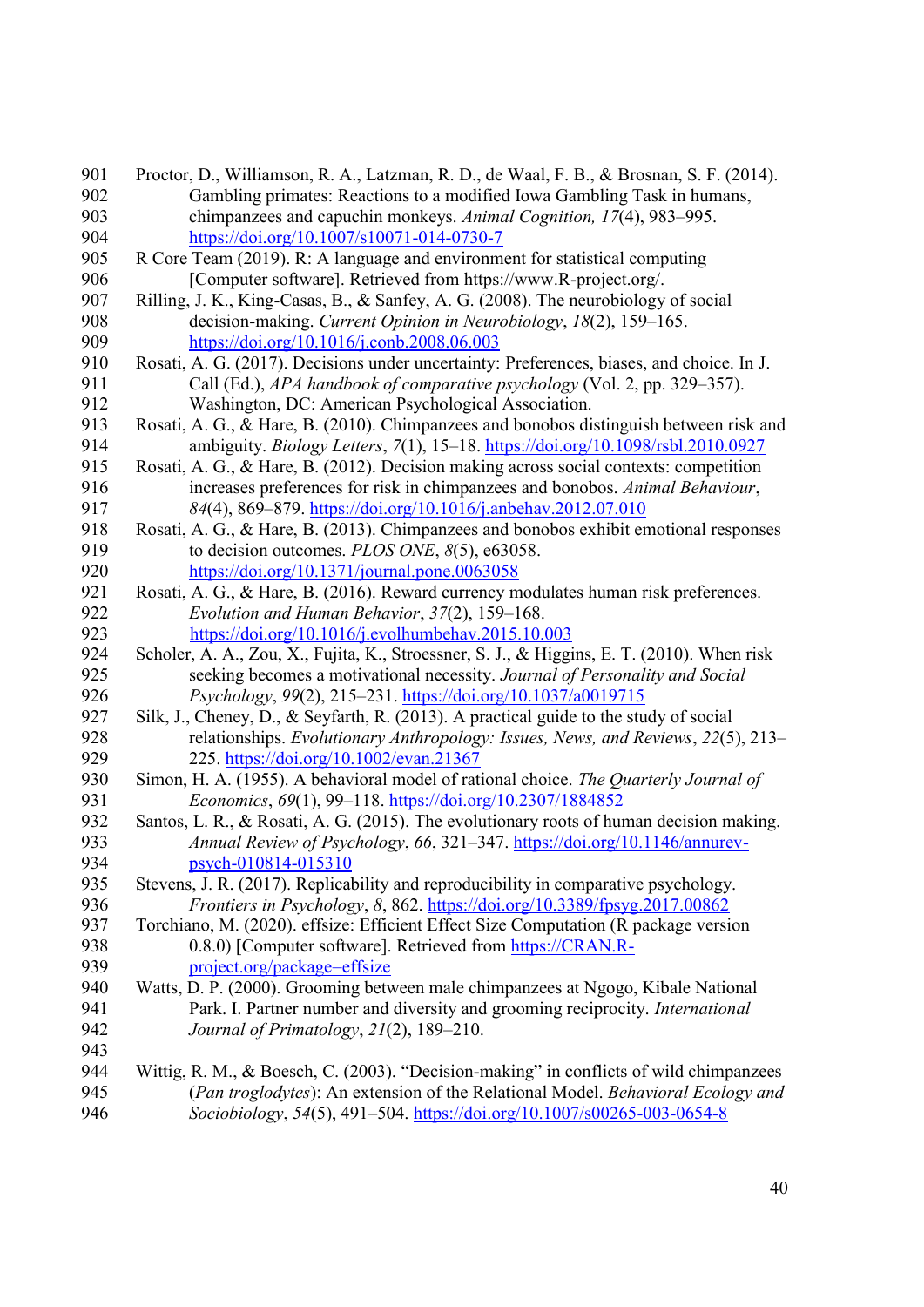| 901 | Proctor, D., Williamson, R. A., Latzman, R. D., de Waal, F. B., & Brosnan, S. F. (2014).                        |
|-----|-----------------------------------------------------------------------------------------------------------------|
| 902 | Gambling primates: Reactions to a modified Iowa Gambling Task in humans,                                        |
| 903 | chimpanzees and capuchin monkeys. Animal Cognition, 17(4), 983–995.                                             |
| 904 | https://doi.org/10.1007/s10071-014-0730-7                                                                       |
| 905 | R Core Team (2019). R: A language and environment for statistical computing                                     |
| 906 | [Computer software]. Retrieved from https://www.R-project.org/.                                                 |
| 907 | Rilling, J. K., King-Casas, B., & Sanfey, A. G. (2008). The neurobiology of social                              |
| 908 | decision-making. Current Opinion in Neurobiology, 18(2), 159-165.                                               |
| 909 | https://doi.org/10.1016/j.conb.2008.06.003                                                                      |
| 910 | Rosati, A. G. (2017). Decisions under uncertainty: Preferences, biases, and choice. In J.                       |
| 911 | Call (Ed.), APA handbook of comparative psychology (Vol. 2, pp. 329–357).                                       |
| 912 | Washington, DC: American Psychological Association.                                                             |
| 913 | Rosati, A. G., & Hare, B. (2010). Chimpanzees and bonobos distinguish between risk and                          |
| 914 | ambiguity. Biology Letters, 7(1), 15-18. https://doi.org/10.1098/rsbl.2010.0927                                 |
| 915 | Rosati, A. G., & Hare, B. (2012). Decision making across social contexts: competition                           |
| 916 | increases preferences for risk in chimpanzees and bonobos. Animal Behaviour,                                    |
| 917 | 84(4), 869-879. https://doi.org/10.1016/j.anbehav.2012.07.010                                                   |
| 918 | Rosati, A. G., & Hare, B. (2013). Chimpanzees and bonobos exhibit emotional responses                           |
| 919 | to decision outcomes. PLOS ONE, $8(5)$ , e $63058$ .                                                            |
| 920 | https://doi.org/10.1371/journal.pone.0063058                                                                    |
| 921 | Rosati, A. G., & Hare, B. (2016). Reward currency modulates human risk preferences.                             |
| 922 | Evolution and Human Behavior, 37(2), 159-168.                                                                   |
| 923 | $\frac{https://doi.org/10.1016/j.evolhumbehav.2015.10.003}{https://doi.org/10.1016/j.evolhumbehav.2015.10.003}$ |
| 924 | Scholer, A. A., Zou, X., Fujita, K., Stroessner, S. J., & Higgins, E. T. (2010). When risk                      |
| 925 | seeking becomes a motivational necessity. Journal of Personality and Social                                     |
| 926 | Psychology, 99(2), 215-231. https://doi.org/10.1037/a0019715                                                    |
| 927 | Silk, J., Cheney, D., & Seyfarth, R. (2013). A practical guide to the study of social                           |
| 928 | relationships. Evolutionary Anthropology: Issues, News, and Reviews, 22(5), 213-                                |
| 929 | 225. https://doi.org/10.1002/evan.21367                                                                         |
| 930 | Simon, H. A. (1955). A behavioral model of rational choice. The Quarterly Journal of                            |
| 931 | Economics, 69(1), 99-118. https://doi.org/10.2307/1884852                                                       |
| 932 | Santos, L. R., & Rosati, A. G. (2015). The evolutionary roots of human decision making.                         |
| 933 | Annual Review of Psychology, 66, 321-347. https://doi.org/10.1146/annurev-                                      |
| 934 | psych-010814-015310                                                                                             |
| 935 | Stevens, J. R. (2017). Replicability and reproducibility in comparative psychology.                             |
| 936 | Frontiers in Psychology, 8, 862. https://doi.org/10.3389/fpsyg.2017.00862                                       |
| 937 | Torchiano, M. (2020). effsize: Efficient Effect Size Computation (R package version                             |
| 938 | 0.8.0) [Computer software]. Retrieved from https://CRAN.R-                                                      |
| 939 | project.org/package=effsize                                                                                     |
| 940 | Watts, D. P. (2000). Grooming between male chimpanzees at Ngogo, Kibale National                                |
| 941 | Park. I. Partner number and diversity and grooming reciprocity. International                                   |
| 942 | Journal of Primatology, 21(2), 189-210.                                                                         |
| 943 |                                                                                                                 |
| 944 | Wittig, R. M., & Boesch, C. (2003). "Decision-making" in conflicts of wild chimpanzees                          |
| 945 | (Pan troglodytes): An extension of the Relational Model. Behavioral Ecology and                                 |
| 946 | Sociobiology, 54(5), 491-504. https://doi.org/10.1007/s00265-003-0654-8                                         |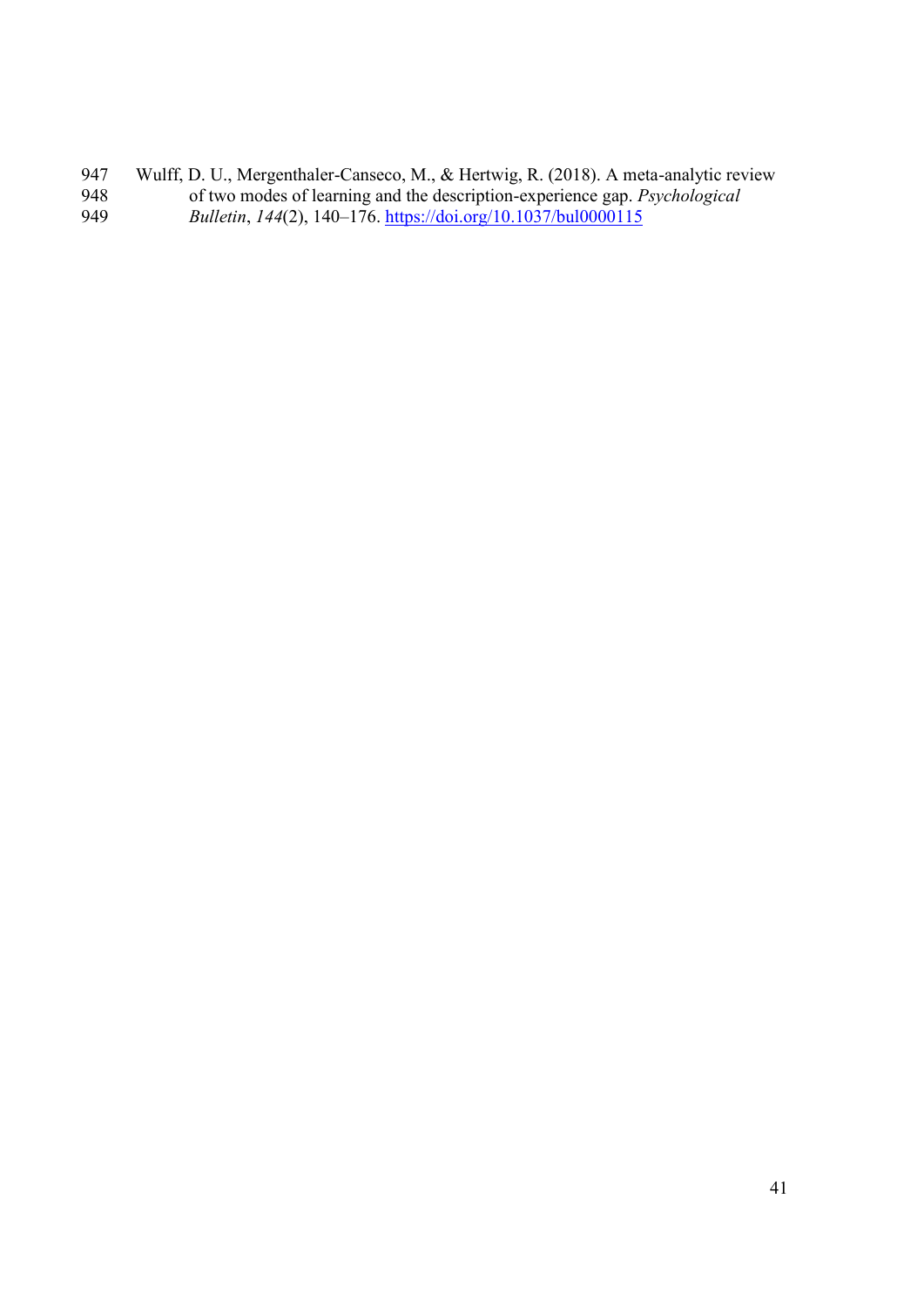947 Wulff, D. U., Mergenthaler-Canseco, M., & Hertwig, R. (2018). A meta-analytic review of two modes of learning and the description-experience gap. *Psychological*  of two modes of learning and the description-experience gap. *Psychological Bulletin*, *144*(2), 140–176. <https://doi.org/10.1037/bul0000115>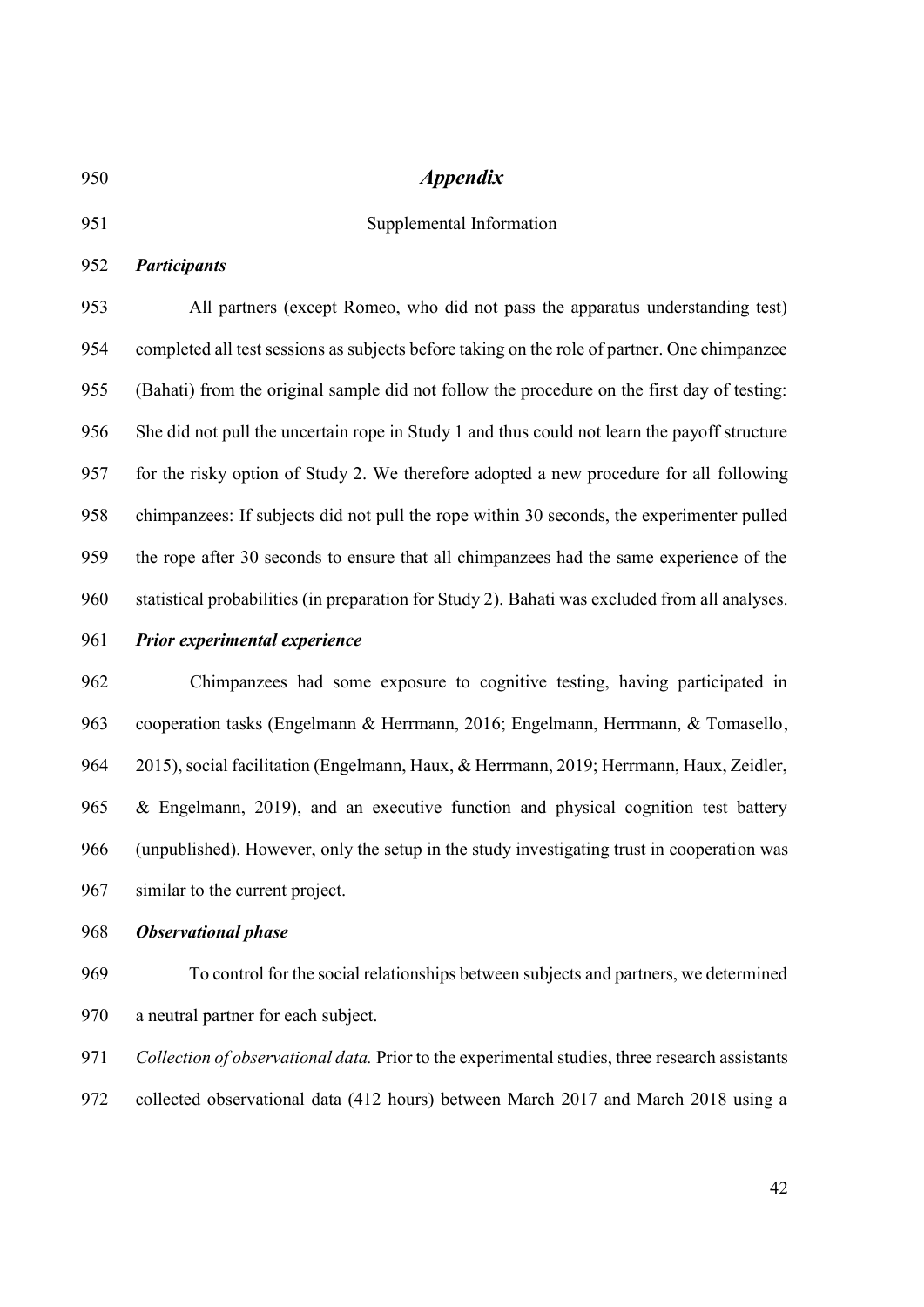# *Appendix* Supplemental Information *Participants* All partners (except Romeo, who did not pass the apparatus understanding test) completed all test sessions as subjects before taking on the role of partner. One chimpanzee (Bahati) from the original sample did not follow the procedure on the first day of testing: She did not pull the uncertain rope in Study 1 and thus could not learn the payoff structure for the risky option of Study 2. We therefore adopted a new procedure for all following chimpanzees: If subjects did not pull the rope within 30 seconds, the experimenter pulled the rope after 30 seconds to ensure that all chimpanzees had the same experience of the statistical probabilities (in preparation for Study 2). Bahati was excluded from all analyses. *Prior experimental experience* Chimpanzees had some exposure to cognitive testing, having participated in cooperation tasks (Engelmann & Herrmann, 2016; Engelmann, Herrmann, & Tomasello, 2015), social facilitation (Engelmann, Haux, & Herrmann, 2019; Herrmann, Haux, Zeidler, & Engelmann, 2019), and an executive function and physical cognition test battery (unpublished). However, only the setup in the study investigating trust in cooperation was similar to the current project. *Observational phase* To control for the social relationships between subjects and partners, we determined a neutral partner for each subject.

 *Collection of observational data.* Prior to the experimental studies, three research assistants collected observational data (412 hours) between March 2017 and March 2018 using a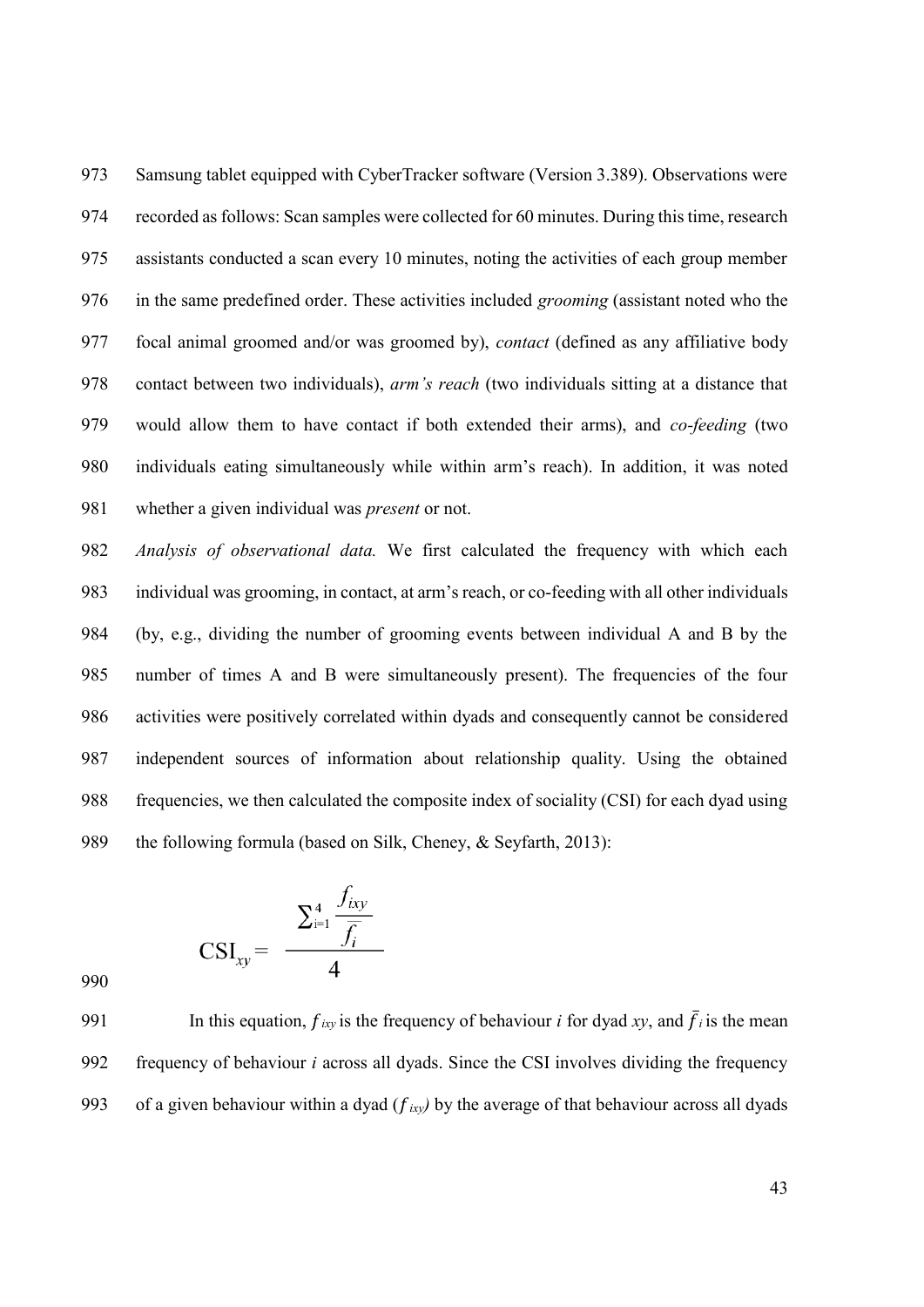Samsung tablet equipped with CyberTracker software (Version 3.389). Observations were recorded as follows: Scan samples were collected for 60 minutes. During this time, research assistants conducted a scan every 10 minutes, noting the activities of each group member in the same predefined order. These activities included *grooming* (assistant noted who the focal animal groomed and/or was groomed by), *contact* (defined as any affiliative body contact between two individuals), *arm's reach* (two individuals sitting at a distance that would allow them to have contact if both extended their arms), and *co-feeding* (two individuals eating simultaneously while within arm's reach). In addition, it was noted whether a given individual was *present* or not.

 *Analysis of observational data.* We first calculated the frequency with which each individual was grooming, in contact, at arm's reach, or co-feeding with all other individuals (by, e.g., dividing the number of grooming events between individual A and B by the number of times A and B were simultaneously present). The frequencies of the four activities were positively correlated within dyads and consequently cannot be considered independent sources of information about relationship quality. Using the obtained frequencies, we then calculated the composite index of sociality (CSI) for each dyad using 989 the following formula (based on Silk, Cheney, & Seyfarth, 2013):

$$
CSI_{xy} = \frac{\sum_{i=1}^{4} \frac{f_{ixy}}{\overline{f_i}}}{4}
$$

991 In this equation,  $f_{ixy}$  is the frequency of behaviour *i* for dyad *xy*, and  $\bar{f}_i$  is the mean frequency of behaviour *i* across all dyads. Since the CSI involves dividing the frequency 993 of a given behaviour within a dyad  $(f_{ixy})$  by the average of that behaviour across all dyads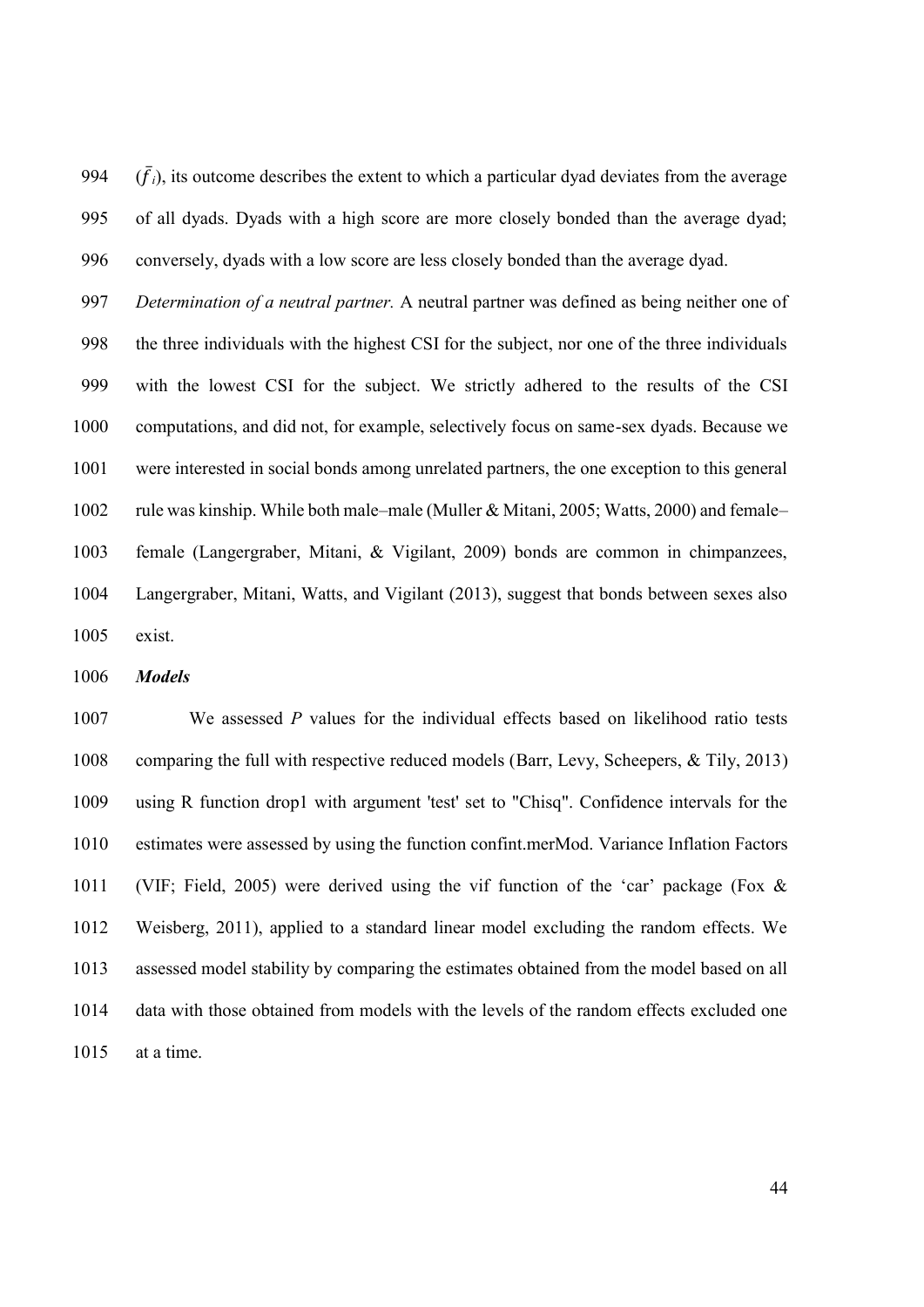994  $(\bar{f}_i)$ , its outcome describes the extent to which a particular dyad deviates from the average of all dyads. Dyads with a high score are more closely bonded than the average dyad; conversely, dyads with a low score are less closely bonded than the average dyad.

 *Determination of a neutral partner.* A neutral partner was defined as being neither one of the three individuals with the highest CSI for the subject, nor one of the three individuals with the lowest CSI for the subject. We strictly adhered to the results of the CSI computations, and did not, for example, selectively focus on same-sex dyads. Because we were interested in social bonds among unrelated partners, the one exception to this general rule was kinship. While both male–male (Muller & Mitani, 2005; Watts, 2000) and female– female (Langergraber, Mitani, & Vigilant, 2009) bonds are common in chimpanzees, Langergraber, Mitani, Watts, and Vigilant (2013), suggest that bonds between sexes also exist.

*Models*

 We assessed *P* values for the individual effects based on likelihood ratio tests comparing the full with respective reduced models (Barr, Levy, Scheepers, & Tily, 2013) using R function drop1 with argument 'test' set to "Chisq". Confidence intervals for the estimates were assessed by using the function confint.merMod. Variance Inflation Factors (VIF; Field, 2005) were derived using the vif function of the 'car' package (Fox & Weisberg, 2011), applied to a standard linear model excluding the random effects. We assessed model stability by comparing the estimates obtained from the model based on all data with those obtained from models with the levels of the random effects excluded one at a time.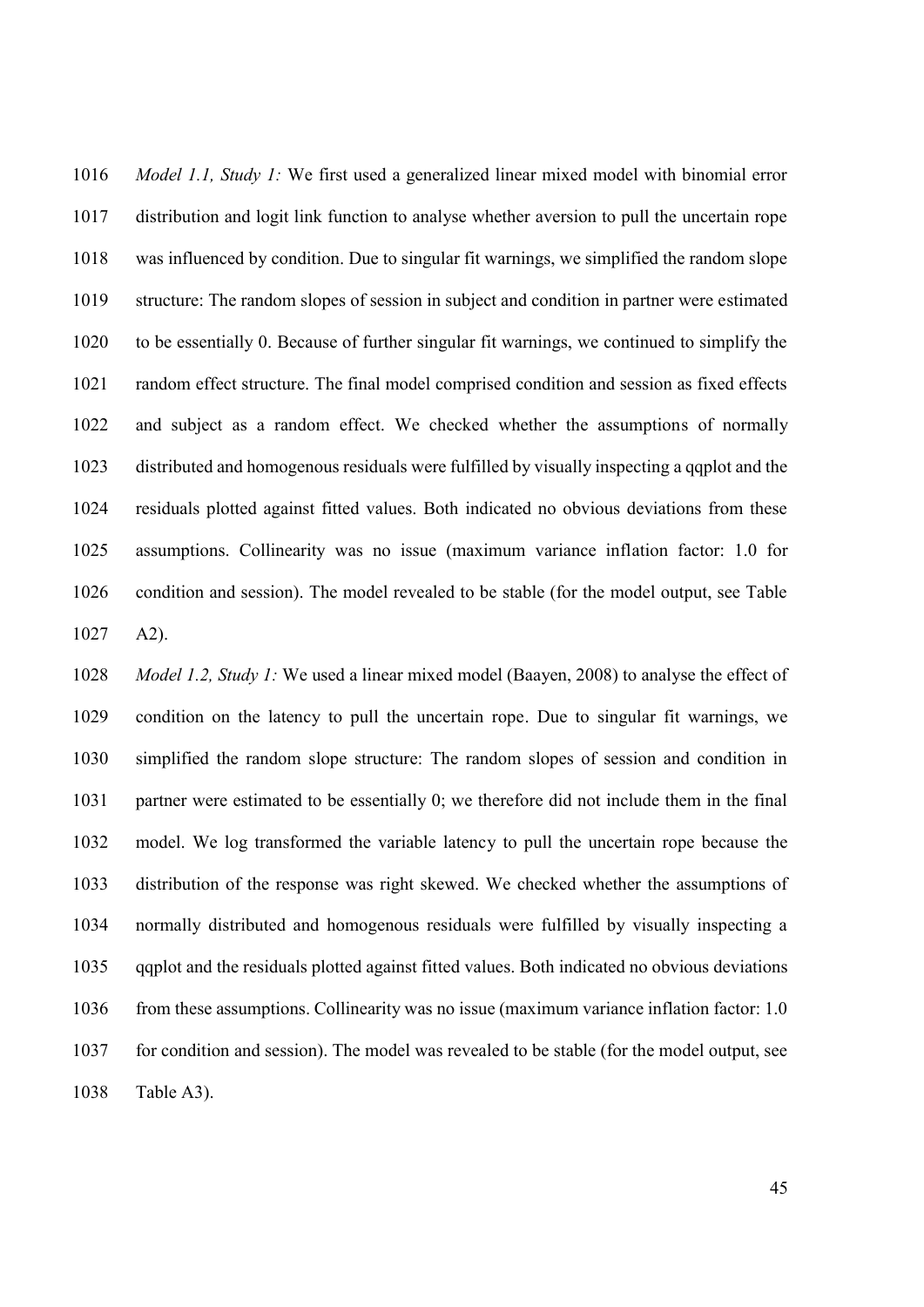*Model 1.1, Study 1:* We first used a generalized linear mixed model with binomial error distribution and logit link function to analyse whether aversion to pull the uncertain rope was influenced by condition. Due to singular fit warnings, we simplified the random slope structure: The random slopes of session in subject and condition in partner were estimated to be essentially 0. Because of further singular fit warnings, we continued to simplify the random effect structure. The final model comprised condition and session as fixed effects and subject as a random effect. We checked whether the assumptions of normally distributed and homogenous residuals were fulfilled by visually inspecting a qqplot and the residuals plotted against fitted values. Both indicated no obvious deviations from these assumptions. Collinearity was no issue (maximum variance inflation factor: 1.0 for condition and session). The model revealed to be stable (for the model output, see Table A2).

 *Model 1.2, Study 1:* We used a linear mixed model (Baayen, 2008) to analyse the effect of condition on the latency to pull the uncertain rope. Due to singular fit warnings, we simplified the random slope structure: The random slopes of session and condition in partner were estimated to be essentially 0; we therefore did not include them in the final model. We log transformed the variable latency to pull the uncertain rope because the distribution of the response was right skewed. We checked whether the assumptions of normally distributed and homogenous residuals were fulfilled by visually inspecting a qqplot and the residuals plotted against fitted values. Both indicated no obvious deviations from these assumptions. Collinearity was no issue (maximum variance inflation factor: 1.0 for condition and session). The model was revealed to be stable (for the model output, see Table A3).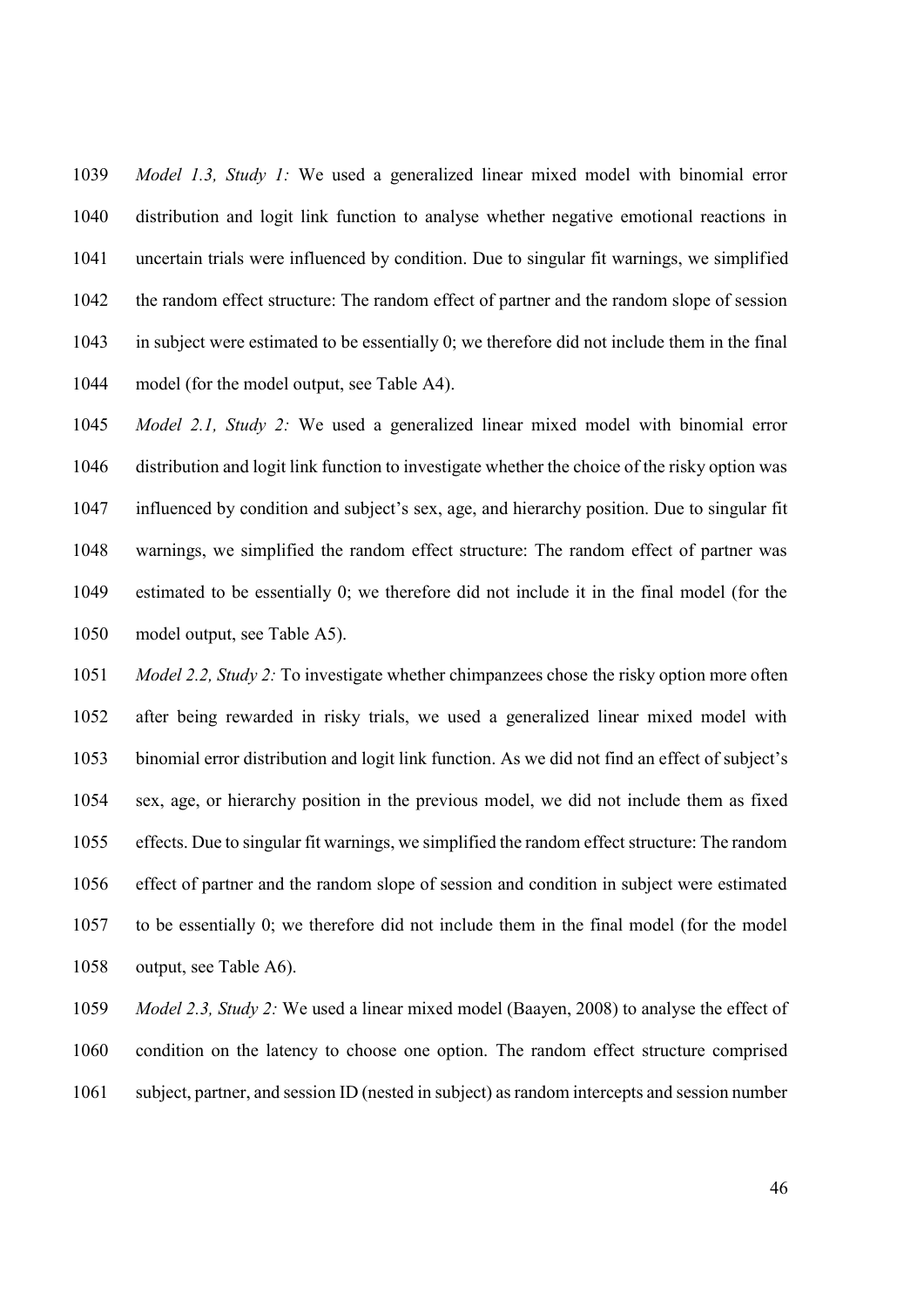*Model 1.3, Study 1:* We used a generalized linear mixed model with binomial error distribution and logit link function to analyse whether negative emotional reactions in uncertain trials were influenced by condition. Due to singular fit warnings, we simplified the random effect structure: The random effect of partner and the random slope of session in subject were estimated to be essentially 0; we therefore did not include them in the final model (for the model output, see Table A4).

 *Model 2.1, Study 2:* We used a generalized linear mixed model with binomial error distribution and logit link function to investigate whether the choice of the risky option was influenced by condition and subject's sex, age, and hierarchy position. Due to singular fit warnings, we simplified the random effect structure: The random effect of partner was estimated to be essentially 0; we therefore did not include it in the final model (for the model output, see Table A5).

 *Model 2.2, Study 2:* To investigate whether chimpanzees chose the risky option more often after being rewarded in risky trials, we used a generalized linear mixed model with binomial error distribution and logit link function. As we did not find an effect of subject's sex, age, or hierarchy position in the previous model, we did not include them as fixed effects. Due to singular fit warnings, we simplified the random effect structure: The random effect of partner and the random slope of session and condition in subject were estimated to be essentially 0; we therefore did not include them in the final model (for the model output, see Table A6).

 *Model 2.3, Study 2:* We used a linear mixed model (Baayen, 2008) to analyse the effect of condition on the latency to choose one option. The random effect structure comprised subject, partner, and session ID (nested in subject) as random intercepts and session number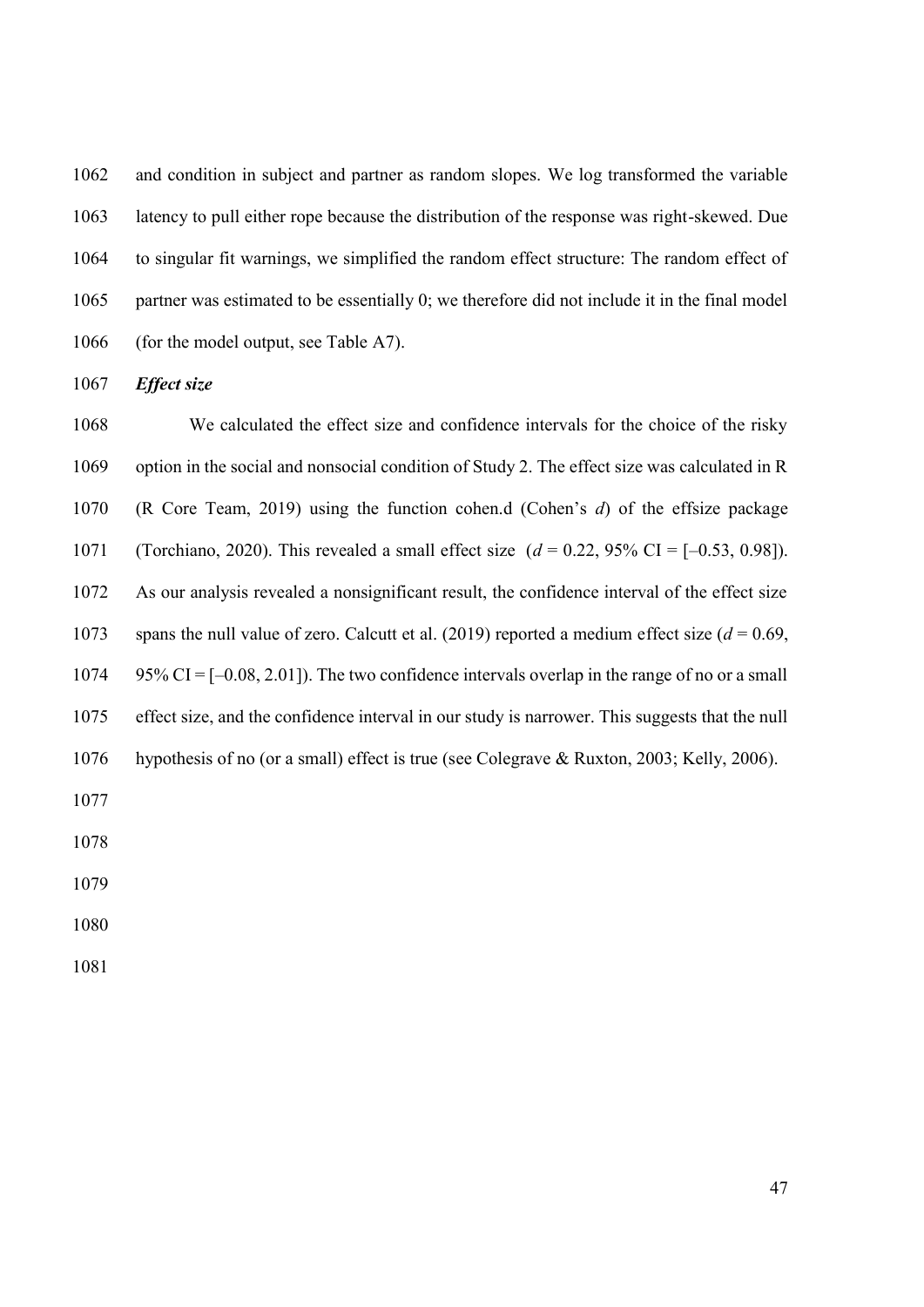and condition in subject and partner as random slopes. We log transformed the variable latency to pull either rope because the distribution of the response was right-skewed. Due to singular fit warnings, we simplified the random effect structure: The random effect of partner was estimated to be essentially 0; we therefore did not include it in the final model 1066 (for the model output, see Table A7).

*Effect size*

 We calculated the effect size and confidence intervals for the choice of the risky option in the social and nonsocial condition of Study 2. The effect size was calculated in R (R Core Team, 2019) using the function cohen.d (Cohen's *d*) of the effsize package (Torchiano, 2020). This revealed a small effect size (*d* = 0.22, 95% CI = [–0.53, 0.98]). As our analysis revealed a nonsignificant result, the confidence interval of the effect size 1073 spans the null value of zero. Calcutt et al.  $(2019)$  reported a medium effect size  $(d = 0.69,$  95% CI =  $[-0.08, 2.01]$ . The two confidence intervals overlap in the range of no or a small effect size, and the confidence interval in our study is narrower. This suggests that the null hypothesis of no (or a small) effect is true (see Colegrave & Ruxton, 2003; Kelly, 2006).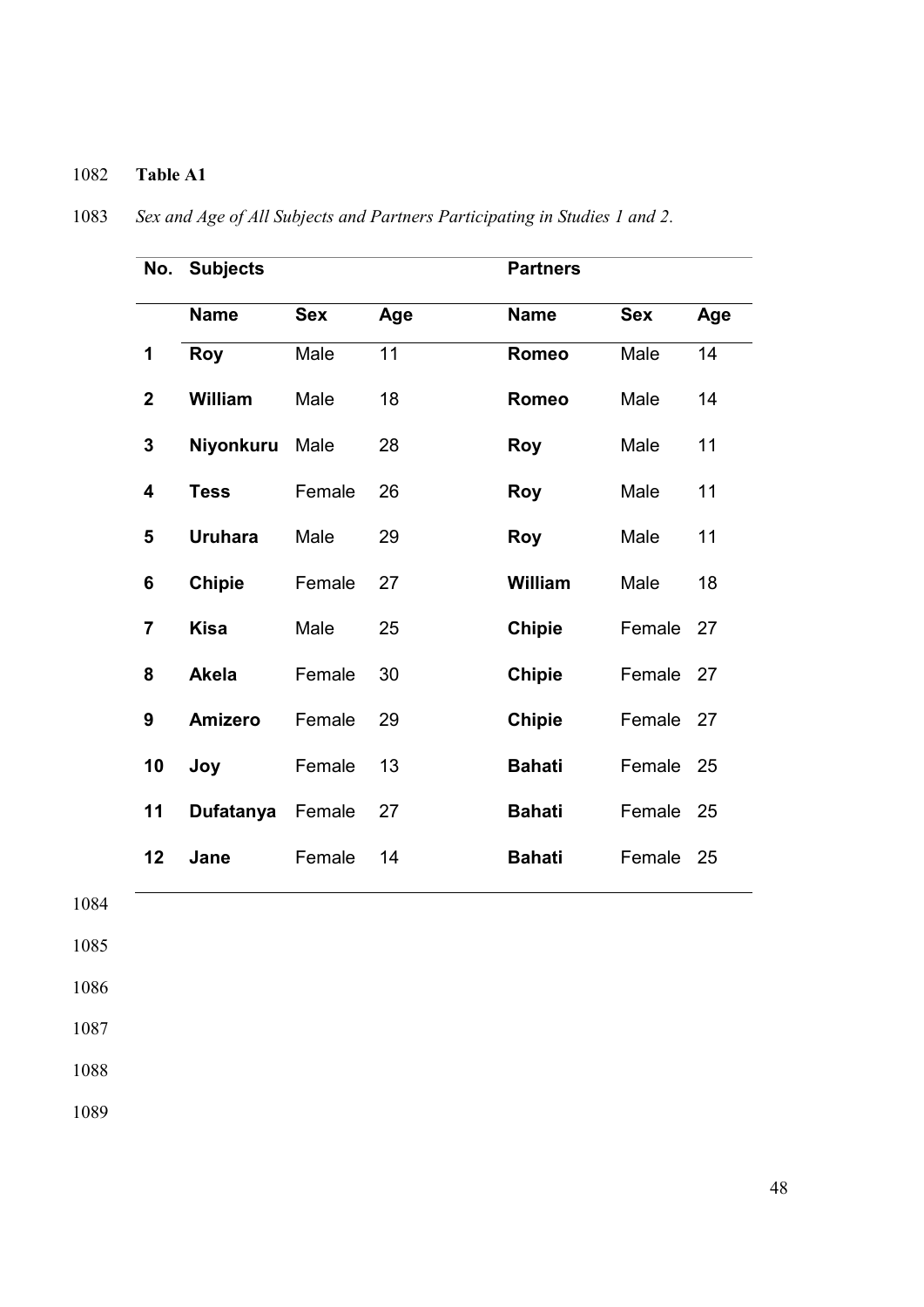## **Table A1**

| No.             | <b>Subjects</b> |            |     | <b>Partners</b> |            |     |
|-----------------|-----------------|------------|-----|-----------------|------------|-----|
|                 | <b>Name</b>     | <b>Sex</b> | Age | <b>Name</b>     | <b>Sex</b> | Age |
| 1               | <b>Roy</b>      | Male       | 11  | <b>Romeo</b>    | Male       | 14  |
| $\overline{2}$  | William         | Male       | 18  | <b>Romeo</b>    | Male       | 14  |
| $\mathbf{3}$    | Niyonkuru       | Male       | 28  | <b>Roy</b>      | Male       | 11  |
| 4               | <b>Tess</b>     | Female     | 26  | <b>Roy</b>      | Male       | 11  |
| 5               | <b>Uruhara</b>  | Male       | 29  | Roy             | Male       | 11  |
| $6\phantom{1}6$ | <b>Chipie</b>   | Female     | 27  | <b>William</b>  | Male       | 18  |
| $\overline{7}$  | <b>Kisa</b>     | Male       | 25  | <b>Chipie</b>   | Female     | 27  |
| 8               | <b>Akela</b>    | Female     | 30  | <b>Chipie</b>   | Female 27  |     |
| 9               | <b>Amizero</b>  | Female     | 29  | <b>Chipie</b>   | Female 27  |     |
| 10              | Joy             | Female     | 13  | <b>Bahati</b>   | Female 25  |     |
| 11              | Dufatanya       | Female     | 27  | <b>Bahati</b>   | Female 25  |     |
| 12              | Jane            | Female     | 14  | <b>Bahati</b>   | Female 25  |     |

*Sex and Age of All Subjects and Partners Participating in Studies 1 and 2.*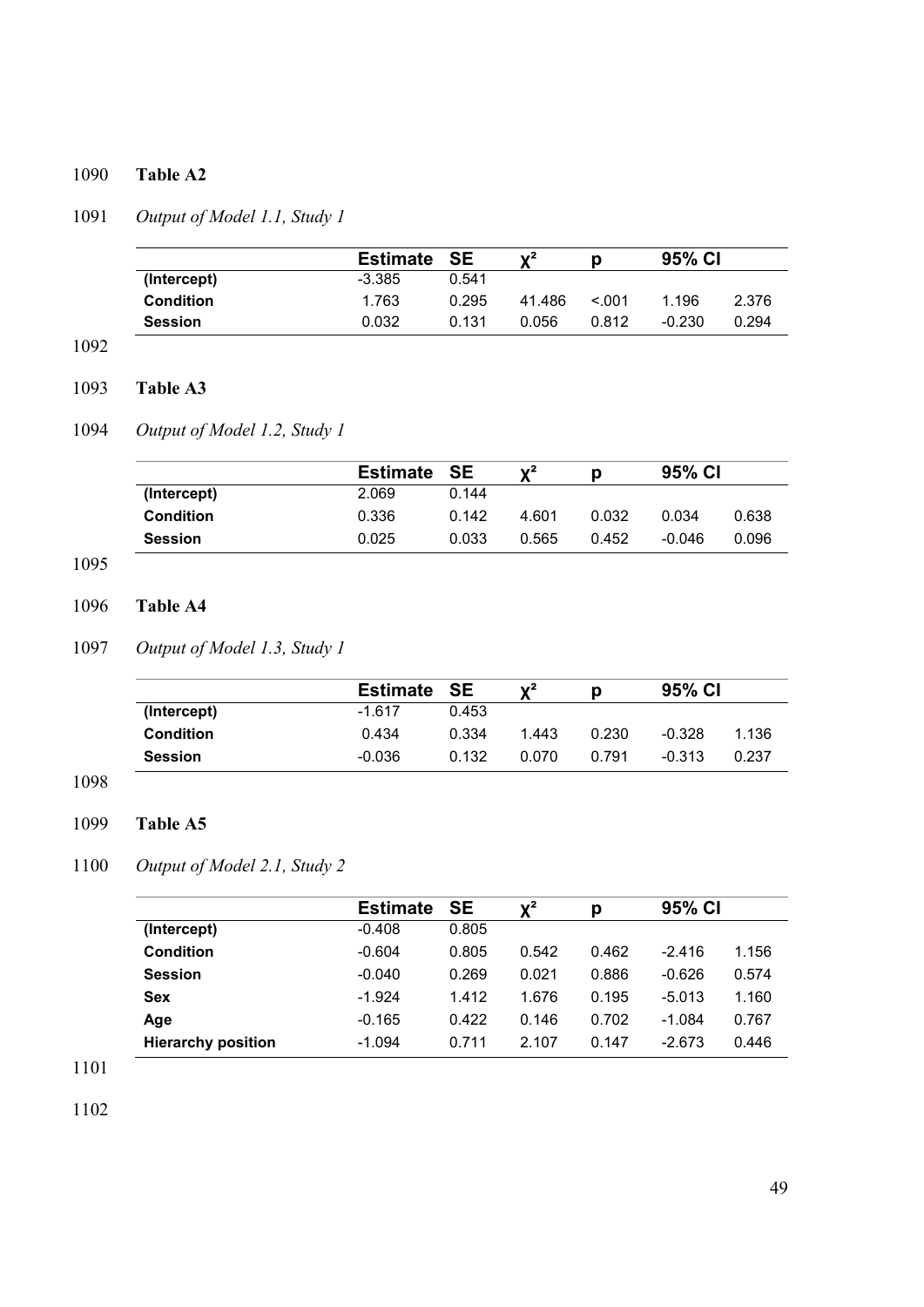## 1090 **Table A2**

## 1091 *Output of Model 1.1, Study 1*

|                  | <b>Estimate</b> | <b>SE</b> | $\mathbf{v}^2$ |        | 95% CI   |       |
|------------------|-----------------|-----------|----------------|--------|----------|-------|
| (Intercept)      | $-3.385$        | 0.541     |                |        |          |       |
| <b>Condition</b> | 1.763           | 0.295     | 41.486         | < 0.01 | 1.196    | 2.376 |
| <b>Session</b>   | 0.032           | 0.131     | 0.056          | 0.812  | $-0.230$ | 0.294 |

### 1092

## 1093 **Table A3**

## 1094 *Output of Model 1.2, Study 1*

|                  | <b>Estimate SE</b> |       | $\mathbf{v}^2$ |       | 95% CI |       |
|------------------|--------------------|-------|----------------|-------|--------|-------|
| (Intercept)      | 2.069              | 0.144 |                |       |        |       |
| <b>Condition</b> | 0.336              | 0.142 | 4.601          | 0.032 | 0.034  | 0.638 |
| <b>Session</b>   | 0.025              | 0.033 | 0.565          | 0.452 | -0.046 | 0.096 |

## 1095

## 1096 **Table A4**

## 1097 *Output of Model 1.3, Study 1*

|                  | <b>Estimate SE</b> |       | $V^2$ | р     | 95% CI   |       |
|------------------|--------------------|-------|-------|-------|----------|-------|
| (Intercept)      | $-1.617$           | 0.453 |       |       |          |       |
| <b>Condition</b> | 0.434              | 0.334 | 1.443 | 0.230 | $-0.328$ | 1.136 |
| <b>Session</b>   | $-0.036$           | 0.132 | 0.070 | 0.791 | $-0.313$ | 0.237 |

### 1098

## 1099 **Table A5**

## 1100 *Output of Model 2.1, Study 2*

|                           | <b>Estimate</b> | <b>SE</b> | $\mathbf{Y}^2$ | Ŋ     | 95% CI   |       |
|---------------------------|-----------------|-----------|----------------|-------|----------|-------|
| (Intercept)               | $-0.408$        | 0.805     |                |       |          |       |
| <b>Condition</b>          | $-0.604$        | 0.805     | 0.542          | 0.462 | $-2.416$ | 1.156 |
| <b>Session</b>            | $-0.040$        | 0.269     | 0.021          | 0.886 | $-0.626$ | 0.574 |
| <b>Sex</b>                | $-1.924$        | 1.412     | 1.676          | 0.195 | $-5.013$ | 1.160 |
| Age                       | $-0.165$        | 0.422     | 0.146          | 0.702 | $-1.084$ | 0.767 |
| <b>Hierarchy position</b> | $-1.094$        | 0.711     | 2.107          | 0.147 | $-2.673$ | 0.446 |

1101